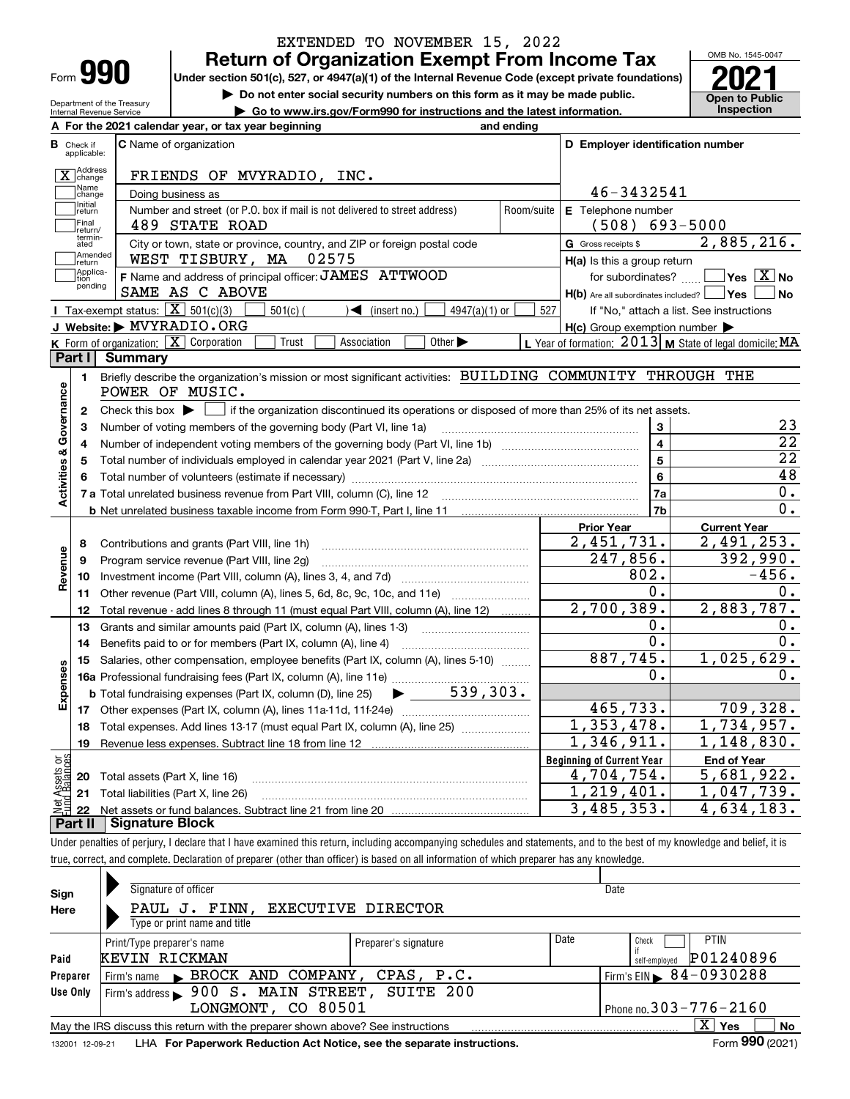| Form |  |
|------|--|

Department of the Treasury Internal Revenue Service

# **Return of Organization Exempt From Income Tax** EXTENDED TO NOVEMBER 15, 2022

Under section 501(c), 527, or 4947(a)(1) of the Internal Revenue Code (except private foundations) **2021** 

**| Do not enter social security numbers on this form as it may be made public.**

**| Go to www.irs.gov/Form990 for instructions and the latest information. Inspection**

OMB No. 1545-0047 **Open to Public** 

|                         |                                  | A For the 2021 calendar year, or tax year beginning                                                                                     | and ending              |                                                     |                                                           |
|-------------------------|----------------------------------|-----------------------------------------------------------------------------------------------------------------------------------------|-------------------------|-----------------------------------------------------|-----------------------------------------------------------|
|                         | <b>B</b> Check if<br>applicable: | C Name of organization                                                                                                                  |                         | D Employer identification number                    |                                                           |
|                         | X Address                        | FRIENDS OF MVYRADIO, INC.                                                                                                               |                         |                                                     |                                                           |
|                         | Name<br>change                   | Doing business as                                                                                                                       | 46-3432541              |                                                     |                                                           |
|                         | Initial<br>return                | Number and street (or P.O. box if mail is not delivered to street address)                                                              | Room/suite              | E Telephone number                                  |                                                           |
|                         | Final<br>return/                 | <b>489 STATE ROAD</b>                                                                                                                   |                         | $(508) 693 - 5000$                                  |                                                           |
|                         | termin-<br>ated                  | City or town, state or province, country, and ZIP or foreign postal code                                                                |                         | G Gross receipts \$                                 | 2,885,216.                                                |
|                         | Amended<br>return                | 02575<br>WEST TISBURY, MA                                                                                                               |                         | $H(a)$ is this a group return                       |                                                           |
|                         | Applica-<br>tion<br>pending      | F Name and address of principal officer: JAMES ATTWOOD                                                                                  |                         | for subordinates?                                   | $\Box$ Yes $\boxed{\mathrm{X}}$ No                        |
|                         |                                  | SAME AS C ABOVE                                                                                                                         |                         | H(b) Are all subordinates included?   Yes           | No                                                        |
|                         |                                  | Tax-exempt status: $\boxed{\mathbf{X}}$ 501(c)(3)<br>$\sqrt{\frac{2}{1}}$ (insert no.)<br>$501(c)$ (<br>$4947(a)(1)$ or                 | 527                     |                                                     | If "No," attach a list. See instructions                  |
|                         |                                  | J Website: MVYRADIO.ORG                                                                                                                 |                         | $H(c)$ Group exemption number $\blacktriangleright$ |                                                           |
|                         |                                  | K Form of organization:   X Corporation<br>Trust<br>Association<br>Other $\blacktriangleright$                                          |                         |                                                     | L Year of formation: $2013$ M State of legal domicile: MA |
|                         | Part I                           | Summary                                                                                                                                 |                         |                                                     |                                                           |
|                         | 1.                               | Briefly describe the organization's mission or most significant activities: BUILDING COMMUNITY THROUGH THE<br>POWER OF MUSIC.           |                         |                                                     |                                                           |
| Activities & Governance | $\mathbf{2}$                     | Check this box $\blacktriangleright$<br>if the organization discontinued its operations or disposed of more than 25% of its net assets. |                         |                                                     |                                                           |
|                         | 3                                | Number of voting members of the governing body (Part VI, line 1a)                                                                       |                         | 3                                                   | 23                                                        |
|                         | 4                                |                                                                                                                                         | $\overline{\mathbf{A}}$ | $\overline{22}$                                     |                                                           |
|                         | 5                                |                                                                                                                                         | $\overline{5}$          | $\overline{22}$                                     |                                                           |
|                         | 6                                |                                                                                                                                         | 6                       | 48                                                  |                                                           |
|                         |                                  |                                                                                                                                         | 7a                      | $0$ .                                               |                                                           |
|                         |                                  |                                                                                                                                         |                         | 7b                                                  | 0.                                                        |
|                         |                                  |                                                                                                                                         |                         | <b>Prior Year</b>                                   | <b>Current Year</b>                                       |
|                         | 8                                | Contributions and grants (Part VIII, line 1h)                                                                                           |                         | $\overline{2,451,731}$ .                            | 2,491,253.                                                |
| Revenue                 | 9                                | Program service revenue (Part VIII, line 2g)                                                                                            |                         | 247,856.                                            | 392,990.                                                  |
|                         | 10                               |                                                                                                                                         |                         | 802.                                                | $-456.$                                                   |
|                         | 11                               |                                                                                                                                         |                         | 0.                                                  | 0.                                                        |
|                         | 12                               | Total revenue - add lines 8 through 11 (must equal Part VIII, column (A), line 12)                                                      |                         | 2,700,389.                                          | 2,883,787.                                                |
|                         | 13                               | Grants and similar amounts paid (Part IX, column (A), lines 1-3) <i>manumanonononononon</i>                                             |                         | 0.                                                  | 0.                                                        |
|                         | 14                               | Benefits paid to or for members (Part IX, column (A), line 4)                                                                           |                         | $\overline{0}$ .                                    | 0.                                                        |
|                         | 15                               | Salaries, other compensation, employee benefits (Part IX, column (A), lines 5-10)                                                       |                         | 887,745.                                            | 1,025,629.                                                |
| Expenses                |                                  |                                                                                                                                         |                         | $\overline{0}$ .                                    | Ο.                                                        |
|                         |                                  | $\blacktriangleright$ 539,303.<br><b>b</b> Total fundraising expenses (Part IX, column (D), line 25)                                    |                         |                                                     |                                                           |
|                         |                                  |                                                                                                                                         |                         | 465,733.                                            | 709, 328.                                                 |
|                         | 18                               | Total expenses. Add lines 13-17 (must equal Part IX, column (A), line 25) <i></i>                                                       |                         | 1,353,478.                                          | 1,734,957.                                                |
|                         | 19                               |                                                                                                                                         |                         | 1,346,911.                                          | 1,148,830.                                                |
| ಕ್ಷ                     |                                  |                                                                                                                                         |                         | <b>Beginning of Current Year</b>                    | <b>End of Year</b>                                        |
| psets                   |                                  | <b>20</b> Total assets (Part X, line 16)                                                                                                |                         | 4,704,754.                                          | $\overline{5,681},922.$                                   |
|                         |                                  | 21 Total liabilities (Part X, line 26)                                                                                                  |                         | 1,219,401.                                          | 1,047,739.                                                |
|                         | 22                               | <b>Part II   Signature Block</b>                                                                                                        |                         | 3,485,353.                                          | 4,634,183.                                                |
|                         |                                  |                                                                                                                                         |                         |                                                     |                                                           |

Under penalties of perjury, I declare that I have examined this return, including accompanying schedules and statements, and to the best of my knowledge and belief, it is true, correct, and complete. Declaration of preparer (other than officer) is based on all information of which preparer has any knowledge.

| Sign            | Signature of officer                                                            |                           |      | Date                                   |
|-----------------|---------------------------------------------------------------------------------|---------------------------|------|----------------------------------------|
| Here            | PAUL J. FINN.                                                                   | <b>EXECUTIVE DIRECTOR</b> |      |                                        |
|                 | Type or print name and title                                                    |                           |      |                                        |
|                 | Print/Type preparer's name                                                      | Preparer's signature      | Date | <b>PTIN</b><br>Check                   |
| Paid            | KEVIN RICKMAN                                                                   |                           |      | P01240896<br>self-emploved             |
| Preparer        | Firm's name BROCK AND COMPANY, CPAS, P.C.                                       |                           |      | Firm's EIN $\triangleright$ 84-0930288 |
| Use Only        | Firm's address > 900 S. MAIN STREET, SUITE 200                                  |                           |      |                                        |
|                 | LONGMONT, CO 80501                                                              |                           |      | Phone no. $303 - 776 - 2160$           |
|                 | May the IRS discuss this return with the preparer shown above? See instructions |                           |      | $\mathbf{x}$<br><b>No</b><br>Yes       |
| 132001 12-09-21 | LHA For Paperwork Reduction Act Notice, see the separate instructions.          |                           |      | Form 990 (2021)                        |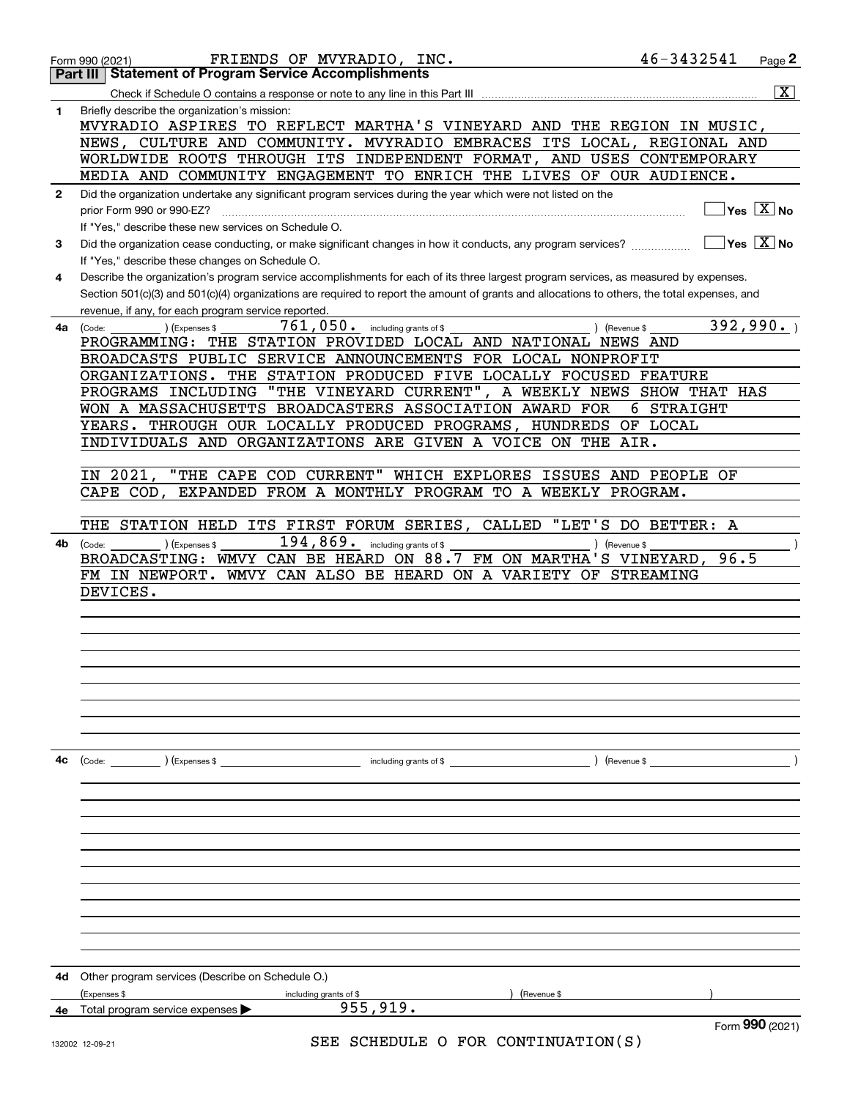|              | 46-3432541<br>FRIENDS OF MVYRADIO, INC.<br>Page 2<br>Form 990 (2021)<br><b>Statement of Program Service Accomplishments</b><br>Part III      |
|--------------|----------------------------------------------------------------------------------------------------------------------------------------------|
|              |                                                                                                                                              |
|              | $\overline{\text{X}}$                                                                                                                        |
| 1            | Briefly describe the organization's mission:<br>MVYRADIO ASPIRES TO REFLECT MARTHA'S VINEYARD AND THE REGION IN MUSIC,                       |
|              | NEWS, CULTURE AND COMMUNITY. MVYRADIO EMBRACES ITS LOCAL, REGIONAL AND                                                                       |
|              | WORLDWIDE ROOTS THROUGH ITS INDEPENDENT FORMAT, AND USES CONTEMPORARY                                                                        |
|              | MEDIA AND COMMUNITY ENGAGEMENT TO ENRICH THE LIVES OF OUR AUDIENCE.                                                                          |
| $\mathbf{2}$ | Did the organization undertake any significant program services during the year which were not listed on the                                 |
|              | Yes $\boxed{X}$ No<br>prior Form 990 or 990-EZ?                                                                                              |
|              | If "Yes," describe these new services on Schedule O.                                                                                         |
| 3            | Yes $\boxed{X}$ No<br>Did the organization cease conducting, or make significant changes in how it conducts, any program services?           |
|              | If "Yes," describe these changes on Schedule O.                                                                                              |
| 4            | Describe the organization's program service accomplishments for each of its three largest program services, as measured by expenses.         |
|              | Section 501(c)(3) and 501(c)(4) organizations are required to report the amount of grants and allocations to others, the total expenses, and |
|              |                                                                                                                                              |
|              | revenue, if any, for each program service reported.                                                                                          |
| 4a -         | $761,050.$ including grants of \$<br>392,990.<br>) (Revenue \$<br>(Code:<br>(Expenses \$                                                     |
|              | PROGRAMMING: THE STATION PROVIDED LOCAL AND NATIONAL NEWS AND                                                                                |
|              | BROADCASTS PUBLIC SERVICE ANNOUNCEMENTS FOR LOCAL NONPROFIT                                                                                  |
|              | ORGANIZATIONS. THE STATION PRODUCED FIVE LOCALLY FOCUSED FEATURE                                                                             |
|              | PROGRAMS INCLUDING "THE VINEYARD CURRENT"<br>A WEEKLY NEWS SHOW THAT HAS                                                                     |
|              | WON A MASSACHUSETTS BROADCASTERS ASSOCIATION AWARD FOR<br>6 STRAIGHT                                                                         |
|              | YEARS. THROUGH OUR LOCALLY PRODUCED PROGRAMS, HUNDREDS OF LOCAL                                                                              |
|              | INDIVIDUALS AND ORGANIZATIONS ARE GIVEN A VOICE ON THE AIR.                                                                                  |
|              |                                                                                                                                              |
|              | "THE CAPE COD CURRENT" WHICH EXPLORES ISSUES AND PEOPLE OF<br>IN 2021,                                                                       |
|              |                                                                                                                                              |
|              | CAPE COD, EXPANDED FROM A MONTHLY PROGRAM TO A WEEKLY PROGRAM.                                                                               |
|              |                                                                                                                                              |
|              | "LET'S DO BETTER: A<br>STATION HELD ITS FIRST FORUM SERIES, CALLED<br>THE                                                                    |
| 4b           | $194,869$ . including grants of \$<br>) (Expenses \$<br>) (Revenue \$<br>(Code:                                                              |
|              | BROADCASTING: WMVY CAN BE HEARD ON 88.7 FM ON MARTHA'S VINEYARD, 96.5                                                                        |
|              | FM IN NEWPORT. WMVY CAN ALSO BE HEARD ON A VARIETY OF STREAMING                                                                              |
|              | DEVICES.                                                                                                                                     |
|              |                                                                                                                                              |
|              |                                                                                                                                              |
|              |                                                                                                                                              |
|              |                                                                                                                                              |
|              |                                                                                                                                              |
|              |                                                                                                                                              |
|              |                                                                                                                                              |
|              |                                                                                                                                              |
|              |                                                                                                                                              |
|              |                                                                                                                                              |
| 4с           | ) (Revenue \$<br>) (Expenses \$<br>including grants of \$<br>(Code:                                                                          |
|              |                                                                                                                                              |
|              |                                                                                                                                              |
|              |                                                                                                                                              |
|              |                                                                                                                                              |
|              |                                                                                                                                              |
|              |                                                                                                                                              |
|              |                                                                                                                                              |
|              |                                                                                                                                              |
|              |                                                                                                                                              |
|              |                                                                                                                                              |
|              |                                                                                                                                              |
|              |                                                                                                                                              |
|              |                                                                                                                                              |
| 4d           | Other program services (Describe on Schedule O.)                                                                                             |
|              | (Expenses \$<br>including grants of \$<br>(Revenue \$                                                                                        |
| 4е           | 955, 919.<br>Total program service expenses                                                                                                  |
|              | Form 990 (2021)                                                                                                                              |
|              | SEE SCHEDIILE O FOR CONTINUATION(S)                                                                                                          |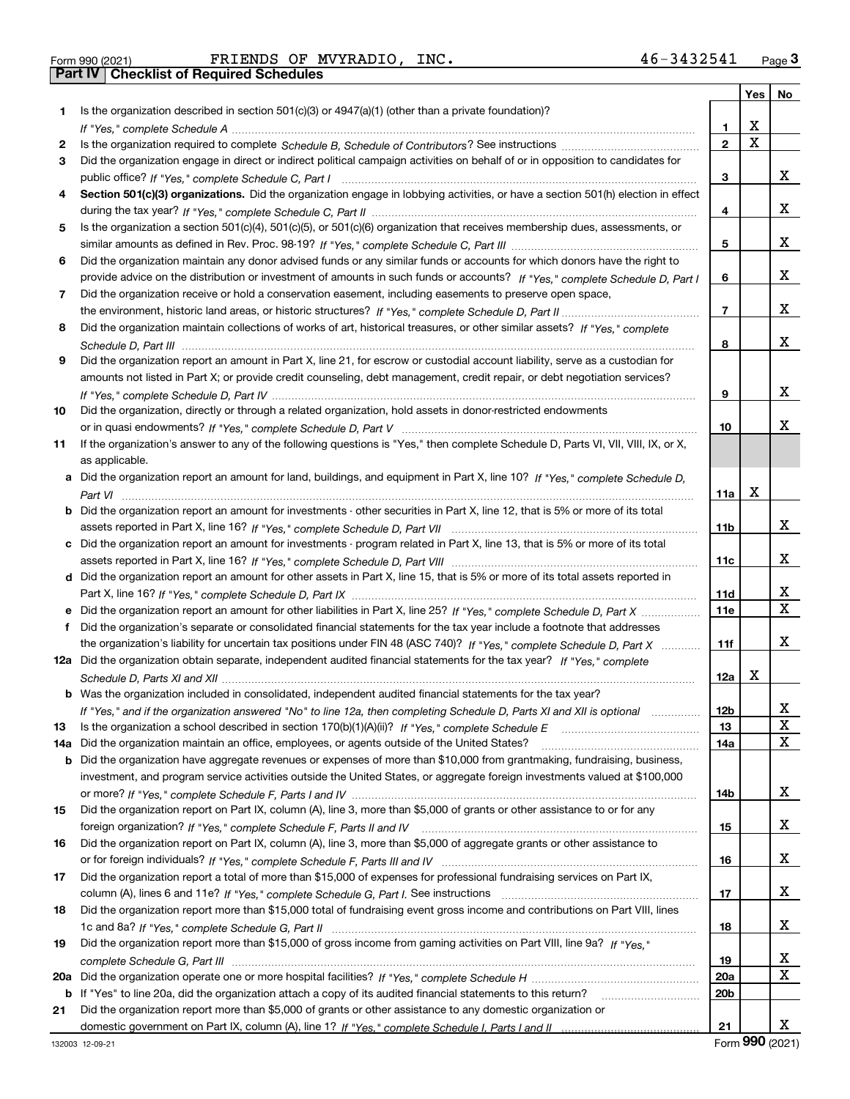|  | Form 990 (2021) |
|--|-----------------|

|     |                                                                                                                                   |                 |   | Yes   No    |
|-----|-----------------------------------------------------------------------------------------------------------------------------------|-----------------|---|-------------|
| 1   | Is the organization described in section $501(c)(3)$ or $4947(a)(1)$ (other than a private foundation)?                           |                 |   |             |
|     |                                                                                                                                   | 1               | х |             |
| 2   |                                                                                                                                   | $\overline{2}$  | X |             |
| 3   | Did the organization engage in direct or indirect political campaign activities on behalf of or in opposition to candidates for   |                 |   |             |
|     |                                                                                                                                   | 3               |   | x           |
| 4   | Section 501(c)(3) organizations. Did the organization engage in lobbying activities, or have a section 501(h) election in effect  |                 |   |             |
|     |                                                                                                                                   | 4               |   | x           |
| 5   | Is the organization a section 501(c)(4), 501(c)(5), or 501(c)(6) organization that receives membership dues, assessments, or      |                 |   |             |
|     |                                                                                                                                   | 5               |   | x           |
| 6   | Did the organization maintain any donor advised funds or any similar funds or accounts for which donors have the right to         |                 |   |             |
|     | provide advice on the distribution or investment of amounts in such funds or accounts? If "Yes," complete Schedule D, Part I      | 6               |   | x           |
| 7   | Did the organization receive or hold a conservation easement, including easements to preserve open space,                         |                 |   |             |
|     |                                                                                                                                   | $\overline{7}$  |   | x           |
| 8   | Did the organization maintain collections of works of art, historical treasures, or other similar assets? If "Yes," complete      |                 |   |             |
|     |                                                                                                                                   | 8               |   | x           |
| 9   | Did the organization report an amount in Part X, line 21, for escrow or custodial account liability, serve as a custodian for     |                 |   |             |
|     | amounts not listed in Part X; or provide credit counseling, debt management, credit repair, or debt negotiation services?         |                 |   |             |
|     |                                                                                                                                   | 9               |   | x           |
| 10  | Did the organization, directly or through a related organization, hold assets in donor-restricted endowments                      |                 |   |             |
|     |                                                                                                                                   | 10              |   | x           |
| 11  | If the organization's answer to any of the following questions is "Yes," then complete Schedule D, Parts VI, VII, VIII, IX, or X, |                 |   |             |
|     | as applicable.                                                                                                                    |                 |   |             |
|     | Did the organization report an amount for land, buildings, and equipment in Part X, line 10? If "Yes," complete Schedule D,       |                 | х |             |
|     |                                                                                                                                   | 11a             |   |             |
| b   | Did the organization report an amount for investments - other securities in Part X, line 12, that is 5% or more of its total      |                 |   | x           |
|     |                                                                                                                                   | 11 <sub>b</sub> |   |             |
|     | c Did the organization report an amount for investments - program related in Part X, line 13, that is 5% or more of its total     | 11c             |   | x           |
|     | d Did the organization report an amount for other assets in Part X, line 15, that is 5% or more of its total assets reported in   |                 |   |             |
|     |                                                                                                                                   | 11d             |   | х           |
|     |                                                                                                                                   | 11e             |   | $\mathbf X$ |
| f   | Did the organization's separate or consolidated financial statements for the tax year include a footnote that addresses           |                 |   |             |
|     | the organization's liability for uncertain tax positions under FIN 48 (ASC 740)? If "Yes," complete Schedule D, Part X            | 11f             |   | x           |
|     | 12a Did the organization obtain separate, independent audited financial statements for the tax year? If "Yes," complete           |                 |   |             |
|     |                                                                                                                                   | 12a             | х |             |
|     | <b>b</b> Was the organization included in consolidated, independent audited financial statements for the tax year?                |                 |   |             |
|     | If "Yes," and if the organization answered "No" to line 12a, then completing Schedule D, Parts XI and XII is optional             | 12 <sub>b</sub> |   | 47          |
| 13  |                                                                                                                                   | 13              |   | X           |
| 14a | Did the organization maintain an office, employees, or agents outside of the United States?                                       | 14a             |   | X           |
| b   | Did the organization have aggregate revenues or expenses of more than \$10,000 from grantmaking, fundraising, business,           |                 |   |             |
|     | investment, and program service activities outside the United States, or aggregate foreign investments valued at \$100,000        |                 |   |             |
|     |                                                                                                                                   | 14b             |   | x           |
| 15  | Did the organization report on Part IX, column (A), line 3, more than \$5,000 of grants or other assistance to or for any         |                 |   |             |
|     |                                                                                                                                   | 15              |   | x           |
| 16  | Did the organization report on Part IX, column (A), line 3, more than \$5,000 of aggregate grants or other assistance to          |                 |   |             |
|     |                                                                                                                                   | 16              |   | x           |
| 17  | Did the organization report a total of more than \$15,000 of expenses for professional fundraising services on Part IX,           |                 |   |             |
|     |                                                                                                                                   | 17              |   | x           |
| 18  | Did the organization report more than \$15,000 total of fundraising event gross income and contributions on Part VIII, lines      |                 |   |             |
|     |                                                                                                                                   | 18              |   | x           |
| 19  | Did the organization report more than \$15,000 of gross income from gaming activities on Part VIII, line 9a? If "Yes."            |                 |   |             |
|     |                                                                                                                                   | 19              |   | x           |
| 20a |                                                                                                                                   | 20a             |   | X           |
| b   | If "Yes" to line 20a, did the organization attach a copy of its audited financial statements to this return?                      | 20 <sub>b</sub> |   |             |
| 21  | Did the organization report more than \$5,000 of grants or other assistance to any domestic organization or                       |                 |   |             |
|     |                                                                                                                                   | 21              |   | x           |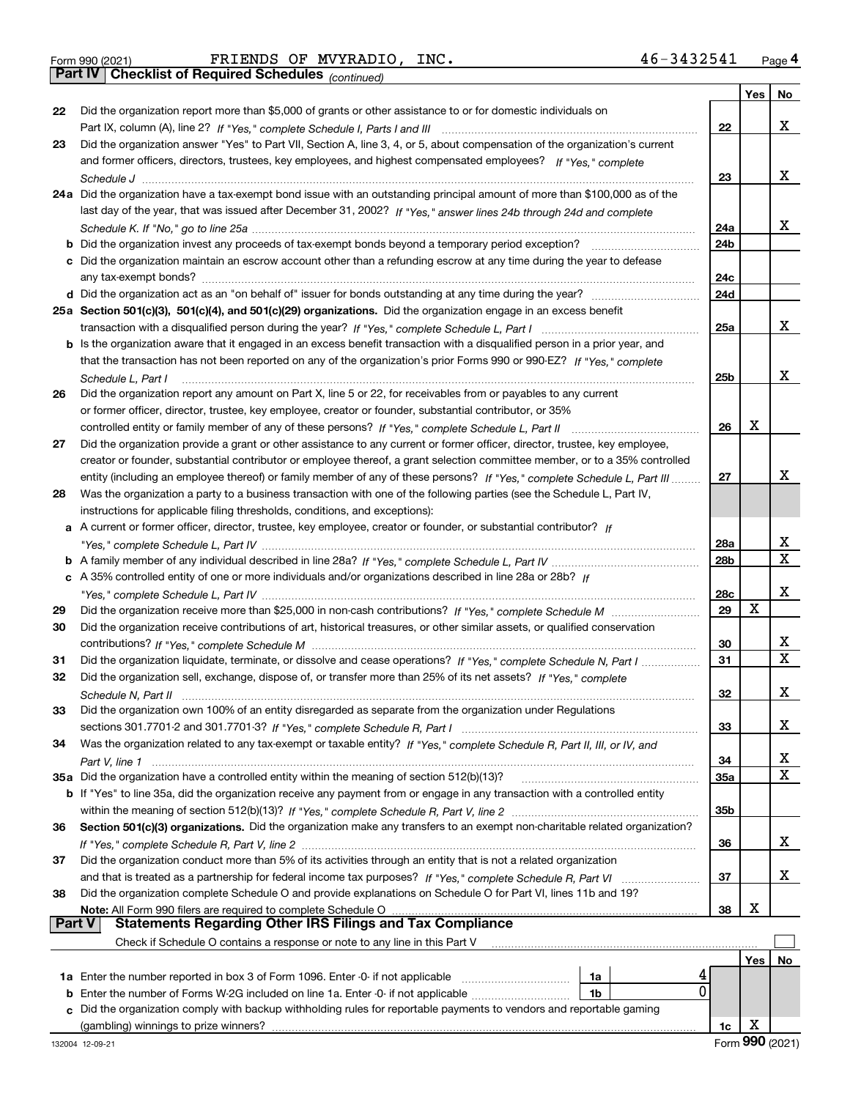|  | Form 990 (2021) |
|--|-----------------|
|  |                 |

*(continued)*

|               |                                                                                                                                                                                                   |                 | Yes | No |
|---------------|---------------------------------------------------------------------------------------------------------------------------------------------------------------------------------------------------|-----------------|-----|----|
| 22            | Did the organization report more than \$5,000 of grants or other assistance to or for domestic individuals on                                                                                     |                 |     |    |
|               |                                                                                                                                                                                                   | 22              |     | x  |
| 23            | Did the organization answer "Yes" to Part VII, Section A, line 3, 4, or 5, about compensation of the organization's current                                                                       |                 |     |    |
|               | and former officers, directors, trustees, key employees, and highest compensated employees? If "Yes," complete                                                                                    |                 |     |    |
|               | Schedule J                                                                                                                                                                                        | 23              |     | х  |
|               | 24a Did the organization have a tax-exempt bond issue with an outstanding principal amount of more than \$100,000 as of the                                                                       |                 |     |    |
|               | last day of the year, that was issued after December 31, 2002? If "Yes," answer lines 24b through 24d and complete                                                                                |                 |     |    |
|               |                                                                                                                                                                                                   | 24a             |     | х  |
|               | <b>b</b> Did the organization invest any proceeds of tax-exempt bonds beyond a temporary period exception?                                                                                        | 24 <sub>b</sub> |     |    |
|               | c Did the organization maintain an escrow account other than a refunding escrow at any time during the year to defease                                                                            |                 |     |    |
|               | any tax-exempt bonds?                                                                                                                                                                             | 24c             |     |    |
|               |                                                                                                                                                                                                   | 24d             |     |    |
|               | 25a Section 501(c)(3), 501(c)(4), and 501(c)(29) organizations. Did the organization engage in an excess benefit                                                                                  |                 |     |    |
|               |                                                                                                                                                                                                   | 25a             |     | х  |
|               | b Is the organization aware that it engaged in an excess benefit transaction with a disqualified person in a prior year, and                                                                      |                 |     |    |
|               | that the transaction has not been reported on any of the organization's prior Forms 990 or 990-EZ? If "Yes," complete                                                                             |                 |     |    |
|               | Schedule L, Part I                                                                                                                                                                                | 25 <sub>b</sub> |     | х  |
| 26            | Did the organization report any amount on Part X, line 5 or 22, for receivables from or payables to any current                                                                                   |                 |     |    |
|               | or former officer, director, trustee, key employee, creator or founder, substantial contributor, or 35%                                                                                           |                 |     |    |
|               | controlled entity or family member of any of these persons? If "Yes," complete Schedule L, Part II                                                                                                | 26              | х   |    |
| 27            | Did the organization provide a grant or other assistance to any current or former officer, director, trustee, key employee,                                                                       |                 |     |    |
|               | creator or founder, substantial contributor or employee thereof, a grant selection committee member, or to a 35% controlled                                                                       |                 |     | х  |
|               | entity (including an employee thereof) or family member of any of these persons? If "Yes," complete Schedule L, Part III                                                                          | 27              |     |    |
| 28            | Was the organization a party to a business transaction with one of the following parties (see the Schedule L, Part IV,                                                                            |                 |     |    |
|               | instructions for applicable filing thresholds, conditions, and exceptions):<br>a A current or former officer, director, trustee, key employee, creator or founder, or substantial contributor? If |                 |     |    |
|               |                                                                                                                                                                                                   | 28a             |     | х  |
|               |                                                                                                                                                                                                   | 28 <sub>b</sub> |     | X  |
|               | c A 35% controlled entity of one or more individuals and/or organizations described in line 28a or 28b? If                                                                                        |                 |     |    |
|               |                                                                                                                                                                                                   | 28c             |     | х  |
| 29            |                                                                                                                                                                                                   | 29              | x   |    |
| 30            | Did the organization receive contributions of art, historical treasures, or other similar assets, or qualified conservation                                                                       |                 |     |    |
|               |                                                                                                                                                                                                   | 30              |     | х  |
| 31            | Did the organization liquidate, terminate, or dissolve and cease operations? If "Yes," complete Schedule N, Part I                                                                                | 31              |     | X  |
| 32            | Did the organization sell, exchange, dispose of, or transfer more than 25% of its net assets? If "Yes," complete                                                                                  |                 |     |    |
|               | Schedule N, Part II                                                                                                                                                                               | 32              |     | х  |
| 33            | Did the organization own 100% of an entity disregarded as separate from the organization under Regulations                                                                                        |                 |     |    |
|               |                                                                                                                                                                                                   | 33              |     | х  |
| 34            | Was the organization related to any tax-exempt or taxable entity? If "Yes," complete Schedule R, Part II, III, or IV, and                                                                         |                 |     |    |
|               |                                                                                                                                                                                                   | 34              |     | x  |
|               | 35a Did the organization have a controlled entity within the meaning of section 512(b)(13)?                                                                                                       | <b>35a</b>      |     | х  |
|               | <b>b</b> If "Yes" to line 35a, did the organization receive any payment from or engage in any transaction with a controlled entity                                                                |                 |     |    |
|               |                                                                                                                                                                                                   | 35b             |     |    |
| 36            | Section 501(c)(3) organizations. Did the organization make any transfers to an exempt non-charitable related organization?                                                                        |                 |     |    |
|               |                                                                                                                                                                                                   | 36              |     | x  |
| 37            | Did the organization conduct more than 5% of its activities through an entity that is not a related organization                                                                                  |                 |     |    |
|               |                                                                                                                                                                                                   | 37              |     | x  |
| 38            | Did the organization complete Schedule O and provide explanations on Schedule O for Part VI, lines 11b and 19?                                                                                    |                 |     |    |
|               | Note: All Form 990 filers are required to complete Schedule O                                                                                                                                     | 38              | х   |    |
| <b>Part V</b> | <b>Statements Regarding Other IRS Filings and Tax Compliance</b>                                                                                                                                  |                 |     |    |
|               | Check if Schedule O contains a response or note to any line in this Part V                                                                                                                        |                 |     |    |
|               |                                                                                                                                                                                                   |                 | Yes | No |
|               | 1a<br>0                                                                                                                                                                                           |                 |     |    |
|               | <b>b</b> Enter the number of Forms W-2G included on line 1a. Enter -0- if not applicable<br>1b                                                                                                    |                 |     |    |
| c             | Did the organization comply with backup withholding rules for reportable payments to vendors and reportable gaming                                                                                | 1c              | х   |    |
|               |                                                                                                                                                                                                   |                 |     |    |

Form (2021) **990**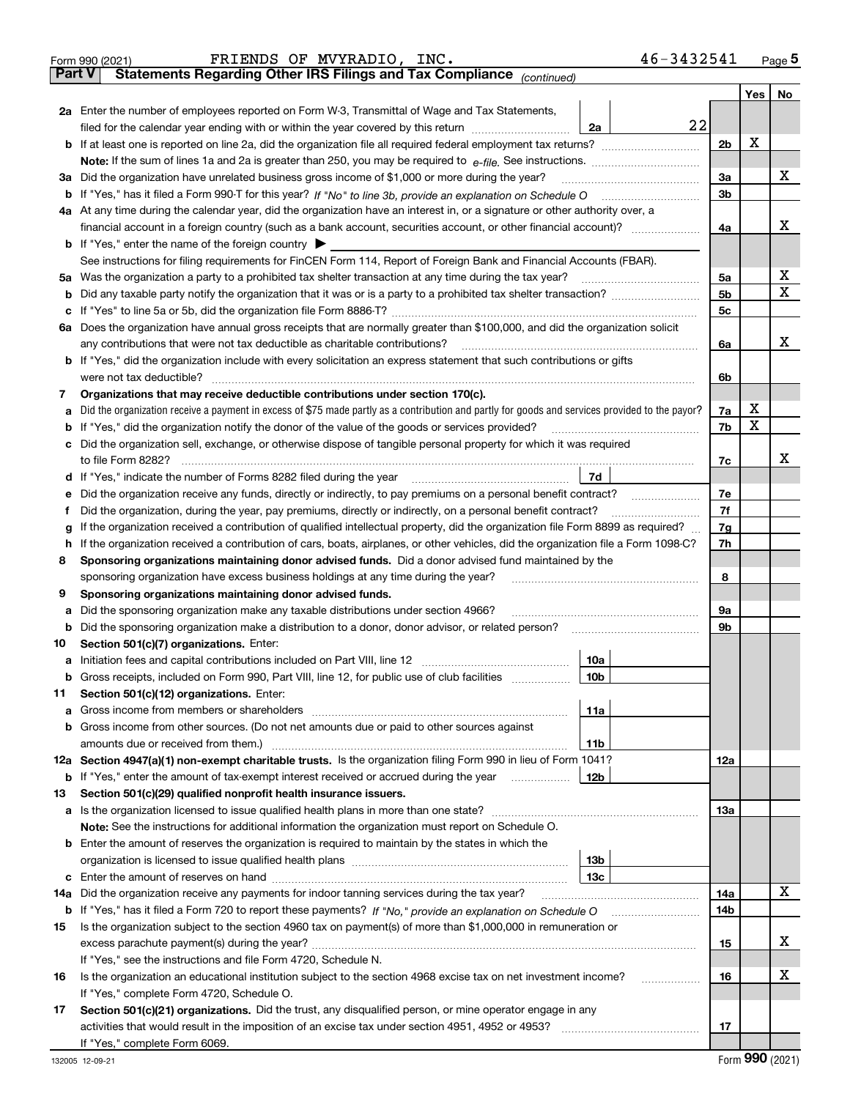|               | 46-3432541<br>FRIENDS OF MVYRADIO, INC.<br>Form 990 (2021)                                                                                      |                |     | Page 5      |
|---------------|-------------------------------------------------------------------------------------------------------------------------------------------------|----------------|-----|-------------|
| <b>Part V</b> | Statements Regarding Other IRS Filings and Tax Compliance (continued)                                                                           |                |     |             |
|               |                                                                                                                                                 |                | Yes | No          |
|               | 2a Enter the number of employees reported on Form W-3, Transmittal of Wage and Tax Statements,                                                  |                |     |             |
|               | filed for the calendar year ending with or within the year covered by this return<br>2a                                                         | 22             |     |             |
|               |                                                                                                                                                 | 2 <sub>b</sub> | X   |             |
|               | Note: If the sum of lines 1a and 2a is greater than 250, you may be required to $e$ -file. See instructions. $\ldots$                           |                |     |             |
|               | 3a Did the organization have unrelated business gross income of \$1,000 or more during the year?                                                | 3a             |     | х           |
|               | <b>b</b> If "Yes," has it filed a Form 990-T for this year? If "No" to line 3b, provide an explanation on Schedule O                            | 3 <sub>b</sub> |     |             |
|               | 4a At any time during the calendar year, did the organization have an interest in, or a signature or other authority over, a                    |                |     |             |
|               |                                                                                                                                                 | 4a             |     | х           |
|               | <b>b</b> If "Yes," enter the name of the foreign country $\triangleright$                                                                       |                |     |             |
|               | See instructions for filing requirements for FinCEN Form 114, Report of Foreign Bank and Financial Accounts (FBAR).                             |                |     |             |
|               | 5a Was the organization a party to a prohibited tax shelter transaction at any time during the tax year?                                        | 5a             |     | х           |
| b             |                                                                                                                                                 | 5 <sub>b</sub> |     | $\mathbf x$ |
| с             |                                                                                                                                                 | 5c             |     |             |
|               | 6a Does the organization have annual gross receipts that are normally greater than \$100,000, and did the organization solicit                  |                |     |             |
|               | any contributions that were not tax deductible as charitable contributions?                                                                     | 6a             |     | х           |
|               | <b>b</b> If "Yes," did the organization include with every solicitation an express statement that such contributions or gifts                   |                |     |             |
|               | were not tax deductible?                                                                                                                        | 6b             |     |             |
| 7             | Organizations that may receive deductible contributions under section 170(c).                                                                   |                |     |             |
| a             | Did the organization receive a payment in excess of \$75 made partly as a contribution and partly for goods and services provided to the payor? | 7a             | х   |             |
| b             | If "Yes," did the organization notify the donor of the value of the goods or services provided?                                                 | 7b             | X   |             |
| c             | Did the organization sell, exchange, or otherwise dispose of tangible personal property for which it was required                               |                |     |             |
|               | to file Form 8282?                                                                                                                              | 7c             |     | х           |
|               | 7d<br>d If "Yes," indicate the number of Forms 8282 filed during the year                                                                       |                |     |             |
| е             | Did the organization receive any funds, directly or indirectly, to pay premiums on a personal benefit contract?                                 | 7e             |     |             |
| Ť.            | Did the organization, during the year, pay premiums, directly or indirectly, on a personal benefit contract?                                    | 7f             |     |             |
| g             | If the organization received a contribution of qualified intellectual property, did the organization file Form 8899 as required?                | 7g             |     |             |
| h             | If the organization received a contribution of cars, boats, airplanes, or other vehicles, did the organization file a Form 1098-C?              | 7h             |     |             |
| 8             | Sponsoring organizations maintaining donor advised funds. Did a donor advised fund maintained by the                                            |                |     |             |
|               | sponsoring organization have excess business holdings at any time during the year?                                                              | 8              |     |             |
| 9             | Sponsoring organizations maintaining donor advised funds.                                                                                       |                |     |             |
| а             | Did the sponsoring organization make any taxable distributions under section 4966?                                                              | 9а<br>9b       |     |             |
| b             | Did the sponsoring organization make a distribution to a donor, donor advisor, or related person?<br>Section 501(c)(7) organizations. Enter:    |                |     |             |
| 10            | 10a<br>Initiation fees and capital contributions included on Part VIII, line 12                                                                 |                |     |             |
| a<br>b        | Gross receipts, included on Form 990, Part VIII, line 12, for public use of club facilities<br>10b                                              |                |     |             |
| 11            | Section 501(c)(12) organizations. Enter:                                                                                                        |                |     |             |
| а             | 11a                                                                                                                                             |                |     |             |
| b             | Gross income from other sources. (Do not net amounts due or paid to other sources against                                                       |                |     |             |
|               | amounts due or received from them.)<br>11b                                                                                                      |                |     |             |
|               | 12a Section 4947(a)(1) non-exempt charitable trusts. Is the organization filing Form 990 in lieu of Form 1041?                                  | 12a            |     |             |
| b             | If "Yes," enter the amount of tax-exempt interest received or accrued during the year<br>12b                                                    |                |     |             |
| 13            | Section 501(c)(29) qualified nonprofit health insurance issuers.                                                                                |                |     |             |
|               | <b>a</b> Is the organization licensed to issue qualified health plans in more than one state?                                                   | 13а            |     |             |
|               | Note: See the instructions for additional information the organization must report on Schedule O.                                               |                |     |             |
|               | <b>b</b> Enter the amount of reserves the organization is required to maintain by the states in which the                                       |                |     |             |
|               | 13b                                                                                                                                             |                |     |             |
| c             | 13с                                                                                                                                             |                |     |             |
| 14a           | Did the organization receive any payments for indoor tanning services during the tax year?                                                      | 14a            |     | X           |
| b             |                                                                                                                                                 | 14b            |     |             |
| 15            | Is the organization subject to the section 4960 tax on payment(s) of more than \$1,000,000 in remuneration or                                   |                |     |             |
|               |                                                                                                                                                 | 15             |     | х           |
|               | If "Yes," see the instructions and file Form 4720, Schedule N.                                                                                  |                |     |             |
| 16            | Is the organization an educational institution subject to the section 4968 excise tax on net investment income?<br>.                            | 16             |     | х           |
|               | If "Yes," complete Form 4720, Schedule O.                                                                                                       |                |     |             |
| 17            | Section 501(c)(21) organizations. Did the trust, any disqualified person, or mine operator engage in any                                        |                |     |             |
|               |                                                                                                                                                 | 17             |     |             |
|               | If "Yes," complete Form 6069.                                                                                                                   |                |     |             |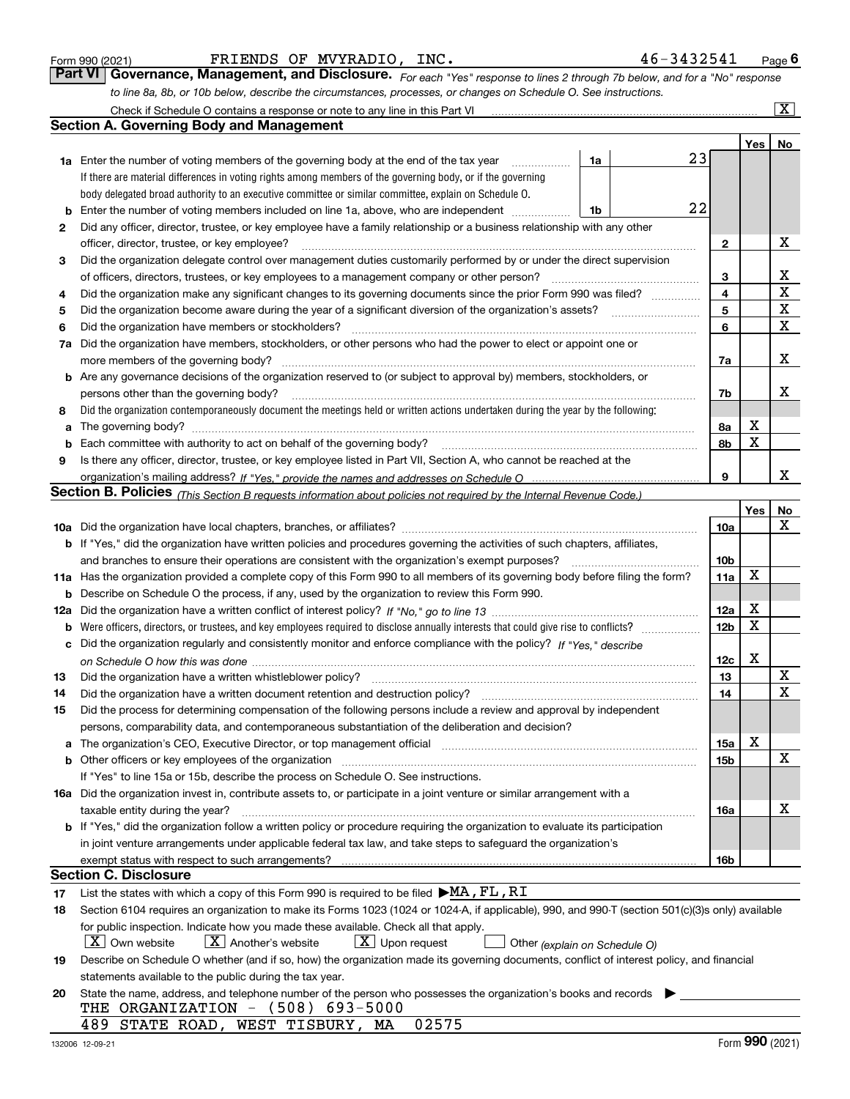|  | Form 990 (2021) |
|--|-----------------|
|  |                 |

### FRIENDS OF MVYRADIO, INC. 44

|  | . . | ., |
|--|-----|----|
|  |     |    |

*For each "Yes" response to lines 2 through 7b below, and for a "No" response to line 8a, 8b, or 10b below, describe the circumstances, processes, or changes on Schedule O. See instructions.* Form 990 (2021) **FORTENDS OF MVYRADIO, INC.**<br>**Part VI Governance, Management, and Disclosure.** For each "Yes" response to lines 2 through 7b below, and for a "No" response

|     | Check if Schedule O contains a response or note to any line in this Part VI                                                                                                                                                                                                |    |  |                 |     | x           |
|-----|----------------------------------------------------------------------------------------------------------------------------------------------------------------------------------------------------------------------------------------------------------------------------|----|--|-----------------|-----|-------------|
|     | <b>Section A. Governing Body and Management</b>                                                                                                                                                                                                                            |    |  |                 |     |             |
|     |                                                                                                                                                                                                                                                                            |    |  |                 | Yes | No          |
|     | 1a Enter the number of voting members of the governing body at the end of the tax year                                                                                                                                                                                     | 1a |  | 23              |     |             |
|     | If there are material differences in voting rights among members of the governing body, or if the governing                                                                                                                                                                |    |  |                 |     |             |
|     | body delegated broad authority to an executive committee or similar committee, explain on Schedule O.                                                                                                                                                                      |    |  |                 |     |             |
| b   | Enter the number of voting members included on line 1a, above, who are independent                                                                                                                                                                                         | 1b |  | 22              |     |             |
| 2   | Did any officer, director, trustee, or key employee have a family relationship or a business relationship with any other                                                                                                                                                   |    |  |                 |     |             |
|     | officer, director, trustee, or key employee?                                                                                                                                                                                                                               |    |  | $\mathbf{2}$    |     | X           |
| 3   | Did the organization delegate control over management duties customarily performed by or under the direct supervision                                                                                                                                                      |    |  |                 |     |             |
|     | of officers, directors, trustees, or key employees to a management company or other person?                                                                                                                                                                                |    |  | 3               |     | x           |
| 4   | Did the organization make any significant changes to its governing documents since the prior Form 990 was filed?                                                                                                                                                           |    |  | $\overline{4}$  |     | $\mathbf X$ |
| 5   |                                                                                                                                                                                                                                                                            |    |  | 5               |     | $\mathbf X$ |
| 6   | Did the organization have members or stockholders?                                                                                                                                                                                                                         |    |  | 6               |     | $\mathbf X$ |
| 7a  | Did the organization have members, stockholders, or other persons who had the power to elect or appoint one or                                                                                                                                                             |    |  |                 |     |             |
|     | more members of the governing body?                                                                                                                                                                                                                                        |    |  | 7a              |     | х           |
|     | <b>b</b> Are any governance decisions of the organization reserved to (or subject to approval by) members, stockholders, or                                                                                                                                                |    |  |                 |     |             |
|     | persons other than the governing body?                                                                                                                                                                                                                                     |    |  | 7b              |     | x           |
| 8   | Did the organization contemporaneously document the meetings held or written actions undertaken during the year by the following:                                                                                                                                          |    |  |                 |     |             |
| a   | The governing body?                                                                                                                                                                                                                                                        |    |  | 8a              | х   |             |
| b   |                                                                                                                                                                                                                                                                            |    |  | 8b              | X   |             |
| 9   | Is there any officer, director, trustee, or key employee listed in Part VII, Section A, who cannot be reached at the                                                                                                                                                       |    |  |                 |     |             |
|     |                                                                                                                                                                                                                                                                            |    |  | 9               |     | x           |
|     | <b>Section B. Policies</b> (This Section B requests information about policies not required by the Internal Revenue Code.)                                                                                                                                                 |    |  |                 |     |             |
|     |                                                                                                                                                                                                                                                                            |    |  |                 | Yes | No          |
|     |                                                                                                                                                                                                                                                                            |    |  | 10a             |     | х           |
|     | <b>b</b> If "Yes," did the organization have written policies and procedures governing the activities of such chapters, affiliates,                                                                                                                                        |    |  |                 |     |             |
|     | and branches to ensure their operations are consistent with the organization's exempt purposes?                                                                                                                                                                            |    |  | 10 <sub>b</sub> |     |             |
|     | 11a Has the organization provided a complete copy of this Form 990 to all members of its governing body before filing the form?                                                                                                                                            |    |  | 11a             | X   |             |
| b   | Describe on Schedule O the process, if any, used by the organization to review this Form 990.                                                                                                                                                                              |    |  | 12a             |     |             |
| 12a |                                                                                                                                                                                                                                                                            |    |  |                 | X   |             |
| b   |                                                                                                                                                                                                                                                                            |    |  | 12 <sub>b</sub> | X   |             |
| с   | Did the organization regularly and consistently monitor and enforce compliance with the policy? If "Yes." describe                                                                                                                                                         |    |  |                 |     |             |
|     | on Schedule O how this was done <i>manually contained to contain the contained to be seen the schedule O how this was done</i>                                                                                                                                             |    |  | 12c             | х   | X           |
| 13  | Did the organization have a written whistleblower policy?                                                                                                                                                                                                                  |    |  | 13              |     | х           |
| 14  | Did the organization have a written document retention and destruction policy?                                                                                                                                                                                             |    |  | 14              |     |             |
| 15  | Did the process for determining compensation of the following persons include a review and approval by independent                                                                                                                                                         |    |  |                 |     |             |
|     | persons, comparability data, and contemporaneous substantiation of the deliberation and decision?<br>The organization's CEO, Executive Director, or top management official manufactured content of the organization's CEO, Executive Director, or top management official |    |  |                 | X   |             |
| a   |                                                                                                                                                                                                                                                                            |    |  | 15a<br>15b      |     | х           |
|     | If "Yes" to line 15a or 15b, describe the process on Schedule O. See instructions.                                                                                                                                                                                         |    |  |                 |     |             |
|     | 16a Did the organization invest in, contribute assets to, or participate in a joint venture or similar arrangement with a                                                                                                                                                  |    |  |                 |     |             |
|     | taxable entity during the year?                                                                                                                                                                                                                                            |    |  | 16a             |     | х           |
|     | b If "Yes," did the organization follow a written policy or procedure requiring the organization to evaluate its participation                                                                                                                                             |    |  |                 |     |             |
|     | in joint venture arrangements under applicable federal tax law, and take steps to safeguard the organization's                                                                                                                                                             |    |  |                 |     |             |
|     | exempt status with respect to such arrangements?                                                                                                                                                                                                                           |    |  | 16b             |     |             |
|     | <b>Section C. Disclosure</b>                                                                                                                                                                                                                                               |    |  |                 |     |             |
| 17  | List the states with which a copy of this Form 990 is required to be filed $\blacktriangleright$ MA, FL, RT                                                                                                                                                                |    |  |                 |     |             |
| 18  | Section 6104 requires an organization to make its Forms 1023 (1024 or 1024-A, if applicable), 990, and 990-T (section 501(c)(3)s only) available                                                                                                                           |    |  |                 |     |             |
|     | for public inspection. Indicate how you made these available. Check all that apply.                                                                                                                                                                                        |    |  |                 |     |             |
|     | $X$ Own website<br>$X$ Another's website<br>$\lfloor X \rfloor$ Upon request<br>Other (explain on Schedule O)                                                                                                                                                              |    |  |                 |     |             |
| 19  | Describe on Schedule O whether (and if so, how) the organization made its governing documents, conflict of interest policy, and financial                                                                                                                                  |    |  |                 |     |             |
|     | statements available to the public during the tax year.                                                                                                                                                                                                                    |    |  |                 |     |             |
| 20  | State the name, address, and telephone number of the person who possesses the organization's books and records                                                                                                                                                             |    |  |                 |     |             |
|     | THE ORGANIZATION - (508) 693-5000                                                                                                                                                                                                                                          |    |  |                 |     |             |
|     | 02575<br>489 STATE ROAD, WEST TISBURY, MA                                                                                                                                                                                                                                  |    |  |                 |     |             |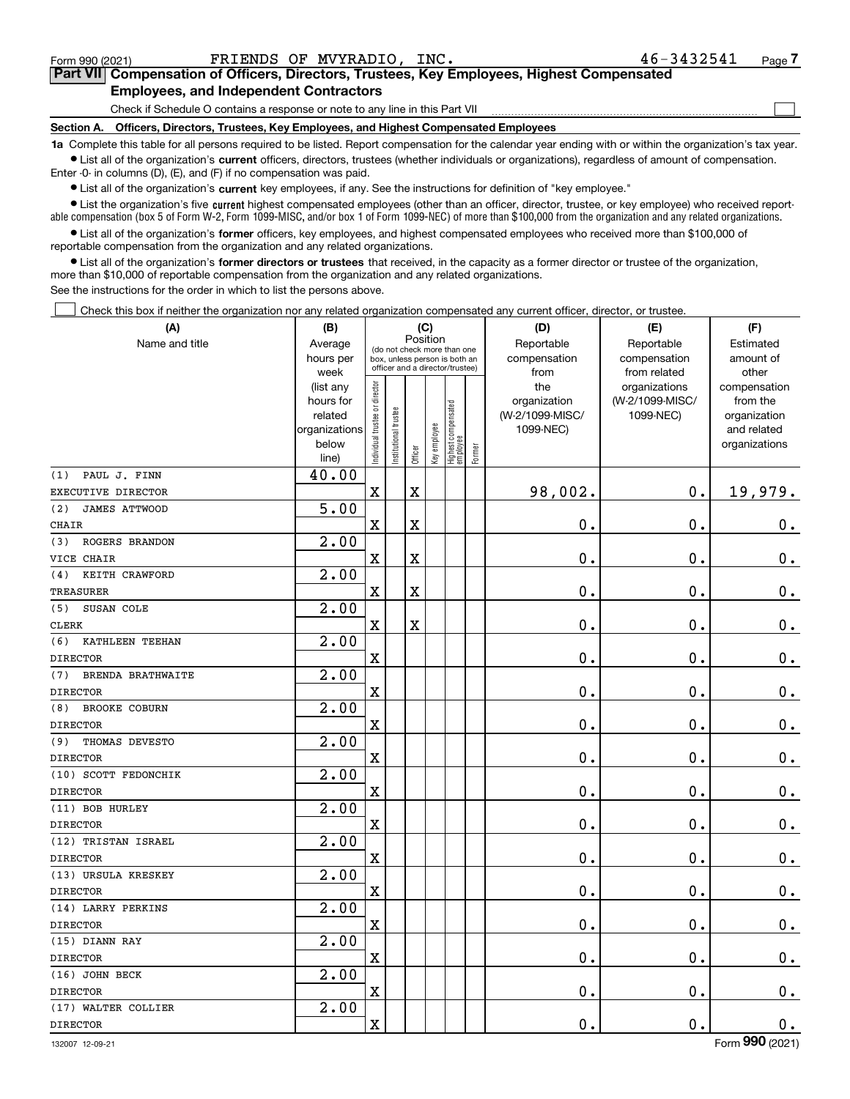$\mathcal{L}^{\text{max}}$ 

# **7Part VII Compensation of Officers, Directors, Trustees, Key Employees, Highest Compensated Employees, and Independent Contractors**

Check if Schedule O contains a response or note to any line in this Part VII

**Section A. Officers, Directors, Trustees, Key Employees, and Highest Compensated Employees**

**1a**  Complete this table for all persons required to be listed. Report compensation for the calendar year ending with or within the organization's tax year. **•** List all of the organization's current officers, directors, trustees (whether individuals or organizations), regardless of amount of compensation.

Enter -0- in columns (D), (E), and (F) if no compensation was paid.

 $\bullet$  List all of the organization's  $\sf current$  key employees, if any. See the instructions for definition of "key employee."

**•** List the organization's five current highest compensated employees (other than an officer, director, trustee, or key employee) who received reportable compensation (box 5 of Form W-2, Form 1099-MISC, and/or box 1 of Form 1099-NEC) of more than \$100,000 from the organization and any related organizations.

**•** List all of the organization's former officers, key employees, and highest compensated employees who received more than \$100,000 of reportable compensation from the organization and any related organizations.

**former directors or trustees**  ¥ List all of the organization's that received, in the capacity as a former director or trustee of the organization, more than \$10,000 of reportable compensation from the organization and any related organizations.

See the instructions for the order in which to list the persons above.

Check this box if neither the organization nor any related organization compensated any current officer, director, or trustee.  $\mathcal{L}^{\text{max}}$ 

| Position<br>Name and title<br>Reportable<br>Reportable<br>Average<br>(do not check more than one<br>compensation<br>hours per<br>compensation<br>box, unless person is both an | Estimated<br>amount of   |
|--------------------------------------------------------------------------------------------------------------------------------------------------------------------------------|--------------------------|
|                                                                                                                                                                                |                          |
| officer and a director/trustee)                                                                                                                                                |                          |
| from related<br>week<br>from<br>the                                                                                                                                            | other                    |
| organizations<br>(list any<br>(W-2/1099-MISC/<br>hours for<br>organization                                                                                                     | compensation<br>from the |
| related<br>(W-2/1099-MISC/<br>1099-NEC)                                                                                                                                        | organization             |
| organizations<br>1099-NEC)                                                                                                                                                     | and related              |
| ndividual trustee or director<br>nstitutional trustee<br>Key employee<br>below                                                                                                 | organizations            |
| Highest compensated<br> employee<br>Former<br>Officer<br>line)                                                                                                                 |                          |
| 40.00<br>(1)<br>PAUL J. FINN                                                                                                                                                   |                          |
| 98,002.<br>0.<br>$\mathbf X$<br>$\overline{\textbf{X}}$<br>EXECUTIVE DIRECTOR                                                                                                  | 19,979.                  |
| 5.00<br>(2)<br><b>JAMES ATTWOOD</b>                                                                                                                                            |                          |
| 0.<br>0.<br>X<br>$\overline{\textbf{X}}$<br>CHAIR                                                                                                                              | $0_{.}$                  |
| 2.00<br>ROGERS BRANDON<br>(3)                                                                                                                                                  |                          |
| $\mathbf 0$ .<br>$\mathbf 0$ .<br>$\mathbf X$<br>$\overline{\textbf{X}}$<br>VICE CHAIR                                                                                         | $0_{.}$                  |
| 2.00<br>KEITH CRAWFORD<br>(4)                                                                                                                                                  |                          |
| $\overline{\text{X}}$<br>$\overline{\textbf{X}}$<br>0.<br>0.<br><b>TREASURER</b>                                                                                               | $0_{.}$                  |
| 2.00<br>SUSAN COLE<br>(5)                                                                                                                                                      |                          |
| $\mathbf X$<br>$\overline{\text{X}}$<br>0.<br>0.<br><b>CLERK</b>                                                                                                               | $0_{.}$                  |
| 2.00<br>(6)<br>KATHLEEN TEEHAN                                                                                                                                                 |                          |
| $\overline{\text{X}}$<br>0.<br>0.<br><b>DIRECTOR</b>                                                                                                                           | $\mathbf 0$ .            |
| 2.00<br>BRENDA BRATHWAITE<br>(7)                                                                                                                                               |                          |
| $\rm X$<br>0.<br>0.<br><b>DIRECTOR</b>                                                                                                                                         | $\mathbf 0$ .            |
| 2.00<br>(8)<br><b>BROOKE COBURN</b>                                                                                                                                            |                          |
| 0.<br>$\mathbf 0$ .<br>$\overline{\textbf{X}}$<br><b>DIRECTOR</b>                                                                                                              | $0_{.}$                  |
| 2.00<br>THOMAS DEVESTO<br>(9)                                                                                                                                                  |                          |
| $\mathbf 0$ .<br>$\rm X$<br>0.<br><b>DIRECTOR</b>                                                                                                                              | $0_{.}$                  |
| 2.00<br>(10) SCOTT FEDONCHIK                                                                                                                                                   |                          |
| 0.<br>$\mathbf 0$ .<br>$\overline{\textbf{X}}$<br><b>DIRECTOR</b>                                                                                                              | $0_{.}$                  |
| $\overline{2.00}$<br>(11) BOB HURLEY                                                                                                                                           |                          |
| $\rm X$<br>0.<br>$\mathbf 0$ .<br><b>DIRECTOR</b>                                                                                                                              | $0_{.}$                  |
| 2.00<br>(12) TRISTAN ISRAEL                                                                                                                                                    |                          |
| 0.<br>$\mathbf 0$ .<br>$\mathbf x$<br><b>DIRECTOR</b>                                                                                                                          | $0_{.}$                  |
| $\overline{2.00}$<br>(13) URSULA KRESKEY                                                                                                                                       |                          |
| $\mathbf 0$ .<br>$\mathbf X$<br>$\mathbf 0$ .<br><b>DIRECTOR</b>                                                                                                               | $0 \cdot$                |
| 2.00<br>(14) LARRY PERKINS                                                                                                                                                     |                          |
| 0.<br>0.<br>X<br><b>DIRECTOR</b>                                                                                                                                               | $\mathbf 0$ .            |
| 2.00<br>(15) DIANN RAY                                                                                                                                                         |                          |
| 0.<br>0.<br>X<br><b>DIRECTOR</b>                                                                                                                                               | $0_{.}$                  |
| $\overline{2.00}$<br>(16) JOHN BECK                                                                                                                                            |                          |
| $\overline{\textbf{X}}$<br>0.<br>0.<br><b>DIRECTOR</b>                                                                                                                         | $\mathbf 0$ .            |
| 2.00<br>(17) WALTER COLLIER                                                                                                                                                    |                          |
| $\rm X$<br>0.<br>0.<br><b>DIRECTOR</b>                                                                                                                                         | $0_{.}$                  |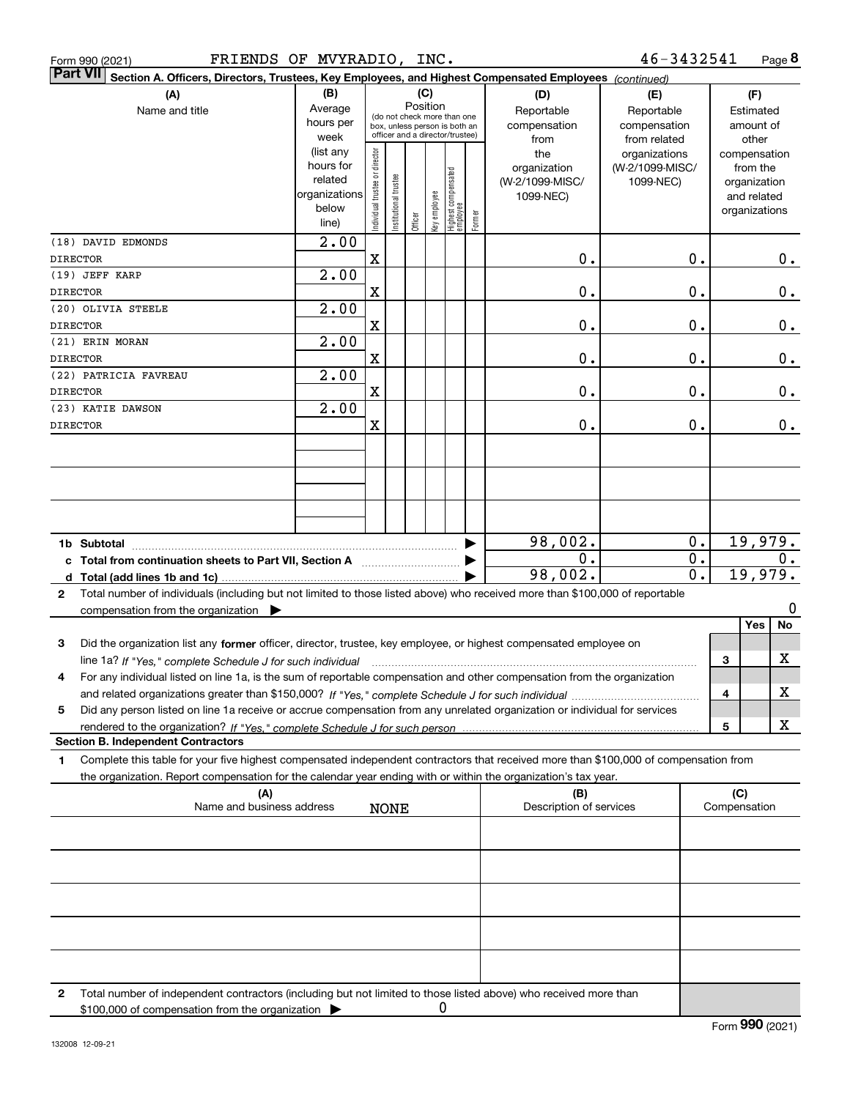| FRIENDS OF MVYRADIO, INC.<br>Form 990 (2021)                                                                                                      |                        |                                |                        |         |              |                                                                  |        |                                 | 46-3432541                   |                  |                     |                          | Page 8 |
|---------------------------------------------------------------------------------------------------------------------------------------------------|------------------------|--------------------------------|------------------------|---------|--------------|------------------------------------------------------------------|--------|---------------------------------|------------------------------|------------------|---------------------|--------------------------|--------|
| <b>Part VII</b><br>Section A. Officers, Directors, Trustees, Key Employees, and Highest Compensated Employees (continued)                         |                        |                                |                        |         |              |                                                                  |        |                                 |                              |                  |                     |                          |        |
| (B)<br>(A)<br>(C)<br>(D)<br>Position                                                                                                              |                        |                                |                        |         |              |                                                                  |        | (E)                             |                              |                  | (F)                 |                          |        |
| Name and title                                                                                                                                    | Average                |                                |                        |         |              | (do not check more than one                                      |        | Reportable                      | Reportable                   |                  |                     | Estimated                |        |
|                                                                                                                                                   | hours per              |                                |                        |         |              | box, unless person is both an<br>officer and a director/trustee) |        | compensation                    | compensation                 |                  |                     | amount of                |        |
|                                                                                                                                                   | week                   |                                |                        |         |              |                                                                  |        | from                            | from related                 |                  |                     | other                    |        |
|                                                                                                                                                   | (list any<br>hours for |                                |                        |         |              |                                                                  |        | the                             | organizations                |                  |                     | compensation             |        |
|                                                                                                                                                   | related                |                                |                        |         |              |                                                                  |        | organization<br>(W-2/1099-MISC/ | (W-2/1099-MISC/<br>1099-NEC) |                  |                     | from the<br>organization |        |
|                                                                                                                                                   | organizations          |                                |                        |         |              |                                                                  |        | 1099-NEC)                       |                              |                  |                     | and related              |        |
|                                                                                                                                                   | below                  |                                |                        |         |              |                                                                  |        |                                 |                              |                  |                     | organizations            |        |
|                                                                                                                                                   | line)                  | Individual trustee or director | In stitutional trustee | Officer | key employee | Highest compensated<br>employee                                  | Former |                                 |                              |                  |                     |                          |        |
| (18) DAVID EDMONDS                                                                                                                                | 2.00                   |                                |                        |         |              |                                                                  |        |                                 |                              |                  |                     |                          |        |
| <b>DIRECTOR</b>                                                                                                                                   |                        | $\mathbf X$                    |                        |         |              |                                                                  |        | $\mathbf 0$ .                   |                              | 0.               |                     |                          | $0$ .  |
| $(19)$ JEFF KARP                                                                                                                                  | 2.00                   |                                |                        |         |              |                                                                  |        |                                 |                              |                  |                     |                          |        |
| <b>DIRECTOR</b>                                                                                                                                   |                        | X                              |                        |         |              |                                                                  |        | $\mathbf 0$ .                   |                              | 0.               |                     |                          | $0$ .  |
| (20) OLIVIA STEELE                                                                                                                                | 2.00                   |                                |                        |         |              |                                                                  |        |                                 |                              |                  |                     |                          |        |
| <b>DIRECTOR</b>                                                                                                                                   |                        | $\mathbf X$                    |                        |         |              |                                                                  |        | $\mathbf 0$ .                   |                              | 0.               |                     |                          | 0.     |
| (21) ERIN MORAN                                                                                                                                   | 2.00                   |                                |                        |         |              |                                                                  |        |                                 |                              |                  |                     |                          |        |
| <b>DIRECTOR</b>                                                                                                                                   |                        | $\mathbf X$                    |                        |         |              |                                                                  |        | $\mathbf 0$ .                   |                              | 0.               |                     |                          | $0$ .  |
| (22) PATRICIA FAVREAU                                                                                                                             | 2.00                   |                                |                        |         |              |                                                                  |        |                                 |                              |                  |                     |                          |        |
| <b>DIRECTOR</b>                                                                                                                                   |                        | $\mathbf X$                    |                        |         |              |                                                                  |        | $\mathbf 0$ .                   |                              | 0.               |                     |                          | $0\,.$ |
| (23) KATIE DAWSON                                                                                                                                 | 2.00                   |                                |                        |         |              |                                                                  |        |                                 |                              |                  |                     |                          |        |
| <b>DIRECTOR</b>                                                                                                                                   |                        | $\mathbf X$                    |                        |         |              |                                                                  |        | 0.                              |                              | 0.               |                     |                          | 0.     |
|                                                                                                                                                   |                        |                                |                        |         |              |                                                                  |        |                                 |                              |                  |                     |                          |        |
|                                                                                                                                                   |                        |                                |                        |         |              |                                                                  |        |                                 |                              |                  |                     |                          |        |
|                                                                                                                                                   |                        |                                |                        |         |              |                                                                  |        |                                 |                              |                  |                     |                          |        |
|                                                                                                                                                   |                        |                                |                        |         |              |                                                                  |        |                                 |                              |                  |                     |                          |        |
|                                                                                                                                                   |                        |                                |                        |         |              |                                                                  |        |                                 |                              |                  |                     |                          |        |
| 1b Subtotal                                                                                                                                       |                        |                                |                        |         |              |                                                                  |        | 98,002.                         |                              | 0.               |                     | 19,979.                  |        |
| c Total from continuation sheets to Part VII, Section A manufactor continues                                                                      |                        |                                |                        |         |              |                                                                  |        | $0$ .                           |                              | $\overline{0}$ . |                     |                          | 0.     |
|                                                                                                                                                   |                        |                                |                        |         |              |                                                                  |        | 98,002.                         |                              | $\overline{0}$ . |                     | 19,979.                  |        |
| Total number of individuals (including but not limited to those listed above) who received more than \$100,000 of reportable<br>$\mathbf{2}$      |                        |                                |                        |         |              |                                                                  |        |                                 |                              |                  |                     |                          |        |
| compensation from the organization $\blacktriangleright$                                                                                          |                        |                                |                        |         |              |                                                                  |        |                                 |                              |                  |                     |                          | 0      |
|                                                                                                                                                   |                        |                                |                        |         |              |                                                                  |        |                                 |                              |                  |                     | Yes                      | No     |
| Did the organization list any former officer, director, trustee, key employee, or highest compensated employee on<br>3                            |                        |                                |                        |         |              |                                                                  |        |                                 |                              |                  |                     |                          |        |
| line 1a? If "Yes," complete Schedule J for such individual material content content to the content of the complete schedule J for such individual |                        |                                |                        |         |              |                                                                  |        |                                 |                              |                  | 3                   |                          | X      |
| For any individual listed on line 1a, is the sum of reportable compensation and other compensation from the organization<br>4                     |                        |                                |                        |         |              |                                                                  |        |                                 |                              |                  |                     |                          |        |
|                                                                                                                                                   |                        |                                |                        |         |              |                                                                  |        |                                 |                              |                  | 4                   |                          | х      |
| Did any person listed on line 1a receive or accrue compensation from any unrelated organization or individual for services<br>5                   |                        |                                |                        |         |              |                                                                  |        |                                 |                              |                  |                     |                          |        |
|                                                                                                                                                   |                        |                                |                        |         |              |                                                                  |        |                                 |                              |                  | 5                   |                          | X      |
| <b>Section B. Independent Contractors</b>                                                                                                         |                        |                                |                        |         |              |                                                                  |        |                                 |                              |                  |                     |                          |        |
| Complete this table for your five highest compensated independent contractors that received more than \$100,000 of compensation from<br>1         |                        |                                |                        |         |              |                                                                  |        |                                 |                              |                  |                     |                          |        |
| the organization. Report compensation for the calendar year ending with or within the organization's tax year.                                    |                        |                                |                        |         |              |                                                                  |        |                                 |                              |                  |                     |                          |        |
| (A)<br>Name and business address                                                                                                                  |                        |                                | <b>NONE</b>            |         |              |                                                                  |        | (B)<br>Description of services  |                              |                  | (C)<br>Compensation |                          |        |
|                                                                                                                                                   |                        |                                |                        |         |              |                                                                  |        |                                 |                              |                  |                     |                          |        |
|                                                                                                                                                   |                        |                                |                        |         |              |                                                                  |        |                                 |                              |                  |                     |                          |        |
|                                                                                                                                                   |                        |                                |                        |         |              |                                                                  |        |                                 |                              |                  |                     |                          |        |
|                                                                                                                                                   |                        |                                |                        |         |              |                                                                  |        |                                 |                              |                  |                     |                          |        |
|                                                                                                                                                   |                        |                                |                        |         |              |                                                                  |        |                                 |                              |                  |                     |                          |        |
|                                                                                                                                                   |                        |                                |                        |         |              |                                                                  |        |                                 |                              |                  |                     |                          |        |
|                                                                                                                                                   |                        |                                |                        |         |              |                                                                  |        |                                 |                              |                  |                     |                          |        |
|                                                                                                                                                   |                        |                                |                        |         |              |                                                                  |        |                                 |                              |                  |                     |                          |        |
| Total number of independent contractors (including but not limited to those listed above) who received more than<br>2                             |                        |                                |                        |         |              |                                                                  |        |                                 |                              |                  |                     |                          |        |
| \$100,000 of compensation from the organization                                                                                                   |                        |                                |                        |         | 0            |                                                                  |        |                                 |                              |                  |                     |                          |        |

132008 12-09-21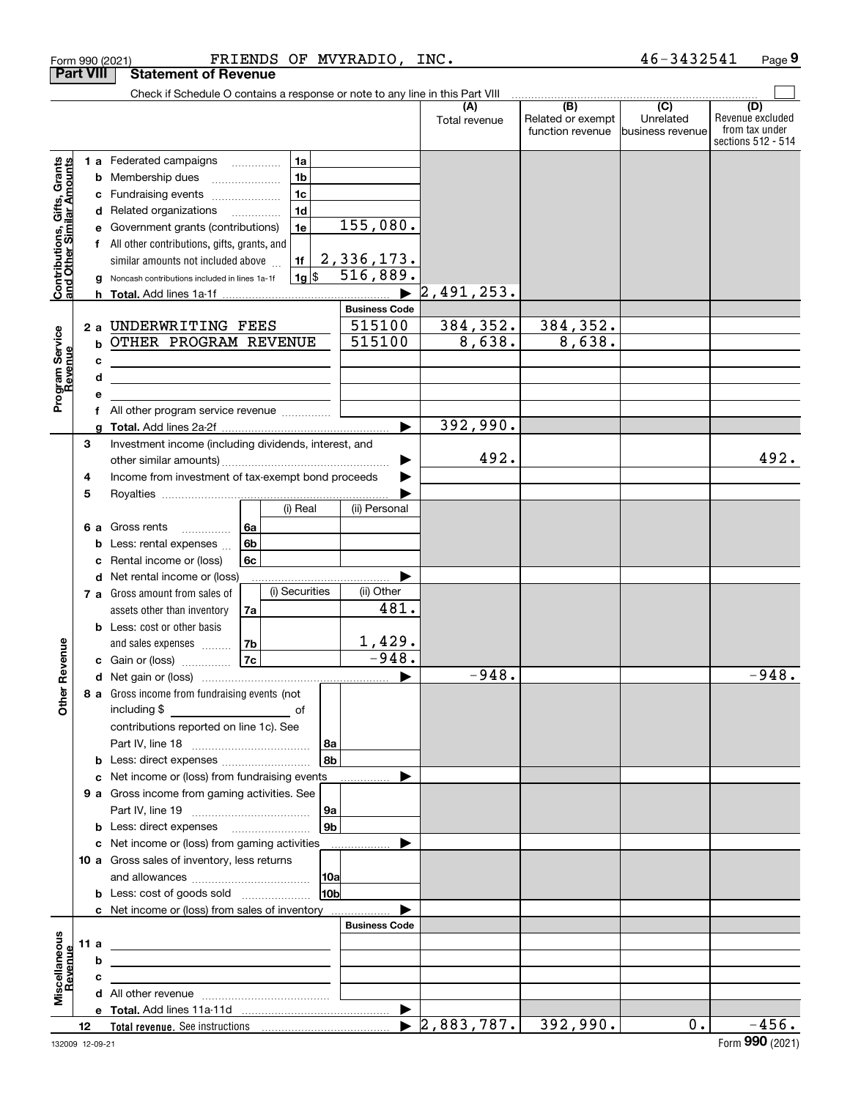|                                                           |                  |        | Form 990 (2021)                                                                                                      |    |                |                 | FRIENDS OF MVYRADIO, INC. |                      |                                                                 | 46-3432541                    | Page 9                                                          |
|-----------------------------------------------------------|------------------|--------|----------------------------------------------------------------------------------------------------------------------|----|----------------|-----------------|---------------------------|----------------------|-----------------------------------------------------------------|-------------------------------|-----------------------------------------------------------------|
|                                                           | <b>Part VIII</b> |        | <b>Statement of Revenue</b>                                                                                          |    |                |                 |                           |                      |                                                                 |                               |                                                                 |
|                                                           |                  |        | Check if Schedule O contains a response or note to any line in this Part VIII                                        |    |                |                 |                           |                      |                                                                 |                               |                                                                 |
|                                                           |                  |        |                                                                                                                      |    |                |                 |                           | (A)<br>Total revenue | $\overline{)}$ (B) (C)<br>Related or exempt<br>function revenue | Unrelated<br>business revenue | (D)<br>Revenue excluded<br>from tax under<br>sections 512 - 514 |
|                                                           |                  |        | 1 a Federated campaigns                                                                                              |    | 1a             |                 |                           |                      |                                                                 |                               |                                                                 |
| Contributions, Gifts, Grants<br>and Other Similar Amounts |                  | b      | Membership dues<br>$\ldots \ldots \ldots \ldots \ldots$                                                              |    | 1 <sub>b</sub> |                 |                           |                      |                                                                 |                               |                                                                 |
|                                                           |                  | с      | Fundraising events                                                                                                   |    | 1 <sub>c</sub> |                 |                           |                      |                                                                 |                               |                                                                 |
|                                                           |                  |        | d Related organizations                                                                                              |    | 1 <sub>d</sub> |                 |                           |                      |                                                                 |                               |                                                                 |
|                                                           |                  | е      | Government grants (contributions)                                                                                    |    | 1e             |                 | 155,080.                  |                      |                                                                 |                               |                                                                 |
|                                                           |                  |        | f All other contributions, gifts, grants, and                                                                        |    |                |                 |                           |                      |                                                                 |                               |                                                                 |
|                                                           |                  |        | similar amounts not included above                                                                                   |    | 1f             |                 | 2,336,173.                |                      |                                                                 |                               |                                                                 |
|                                                           |                  |        | Noncash contributions included in lines 1a-1f                                                                        |    | 1g             |                 | 516,889.                  |                      |                                                                 |                               |                                                                 |
|                                                           |                  |        |                                                                                                                      |    |                |                 |                           | 2,491,253.           |                                                                 |                               |                                                                 |
|                                                           |                  |        |                                                                                                                      |    |                |                 | <b>Business Code</b>      |                      |                                                                 |                               |                                                                 |
| Program Service<br>Revenue                                | 2a               |        | UNDERWRITING FEES<br>OTHER PROGRAM REVENUE                                                                           |    |                |                 | 515100<br>515100          | 384,352.<br>8,638.   | 384,352.<br>8,638.                                              |                               |                                                                 |
|                                                           |                  | b      |                                                                                                                      |    |                |                 |                           |                      |                                                                 |                               |                                                                 |
|                                                           |                  | c      |                                                                                                                      |    |                |                 |                           |                      |                                                                 |                               |                                                                 |
|                                                           |                  | d      | <u> 1989 - Johann Barn, amerikansk politiker (d. 1989)</u>                                                           |    |                |                 |                           |                      |                                                                 |                               |                                                                 |
|                                                           |                  | е<br>f | All other program service revenue                                                                                    |    |                |                 |                           |                      |                                                                 |                               |                                                                 |
|                                                           |                  | a      |                                                                                                                      |    |                |                 |                           | 392,990.             |                                                                 |                               |                                                                 |
|                                                           | 3                |        | Investment income (including dividends, interest, and                                                                |    |                |                 |                           |                      |                                                                 |                               |                                                                 |
|                                                           |                  |        |                                                                                                                      |    |                |                 |                           | 492.                 |                                                                 |                               | 492.                                                            |
|                                                           | 4                |        | Income from investment of tax-exempt bond proceeds                                                                   |    |                |                 |                           |                      |                                                                 |                               |                                                                 |
|                                                           | 5                |        |                                                                                                                      |    |                |                 |                           |                      |                                                                 |                               |                                                                 |
|                                                           |                  |        |                                                                                                                      |    | (i) Real       |                 | (ii) Personal             |                      |                                                                 |                               |                                                                 |
|                                                           | 6а               |        | Gross rents<br>.                                                                                                     | 6a |                |                 |                           |                      |                                                                 |                               |                                                                 |
|                                                           |                  | b      | Less: rental expenses                                                                                                | 6b |                |                 |                           |                      |                                                                 |                               |                                                                 |
|                                                           |                  | c      | Rental income or (loss)                                                                                              | 6c |                |                 |                           |                      |                                                                 |                               |                                                                 |
|                                                           |                  |        | <b>d</b> Net rental income or (loss)                                                                                 |    |                |                 |                           |                      |                                                                 |                               |                                                                 |
|                                                           |                  |        | 7 a Gross amount from sales of                                                                                       |    | (i) Securities |                 | (ii) Other                |                      |                                                                 |                               |                                                                 |
|                                                           |                  |        | assets other than inventory                                                                                          | 7a |                |                 | 481.                      |                      |                                                                 |                               |                                                                 |
|                                                           |                  |        | <b>b</b> Less: cost or other basis                                                                                   |    |                |                 |                           |                      |                                                                 |                               |                                                                 |
|                                                           |                  |        | and sales expenses                                                                                                   | 7b |                |                 | 1,429.                    |                      |                                                                 |                               |                                                                 |
|                                                           |                  |        | c Gain or (loss)                                                                                                     | 7c |                |                 | $-948.$                   |                      |                                                                 |                               |                                                                 |
|                                                           |                  |        |                                                                                                                      |    |                |                 |                           | 948.                 |                                                                 |                               | 948.                                                            |
|                                                           |                  |        | 8 a Gross income from fundraising events (not                                                                        |    |                |                 |                           |                      |                                                                 |                               |                                                                 |
|                                                           |                  |        |                                                                                                                      |    |                |                 |                           |                      |                                                                 |                               |                                                                 |
|                                                           |                  |        | contributions reported on line 1c). See                                                                              |    |                |                 |                           |                      |                                                                 |                               |                                                                 |
|                                                           |                  |        |                                                                                                                      |    |                | 8a              |                           |                      |                                                                 |                               |                                                                 |
|                                                           |                  |        |                                                                                                                      |    |                | 8bl             |                           |                      |                                                                 |                               |                                                                 |
|                                                           |                  |        | c Net income or (loss) from fundraising events<br>9 a Gross income from gaming activities. See                       |    |                |                 |                           |                      |                                                                 |                               |                                                                 |
|                                                           |                  |        |                                                                                                                      |    |                | 9a              |                           |                      |                                                                 |                               |                                                                 |
|                                                           |                  |        | <b>b</b> Less: direct expenses <b>manually</b>                                                                       |    |                | 9 <sub>b</sub>  |                           |                      |                                                                 |                               |                                                                 |
|                                                           |                  |        | c Net income or (loss) from gaming activities                                                                        |    |                |                 | .                         |                      |                                                                 |                               |                                                                 |
|                                                           |                  |        | 10 a Gross sales of inventory, less returns                                                                          |    |                |                 |                           |                      |                                                                 |                               |                                                                 |
|                                                           |                  |        |                                                                                                                      |    |                | 10a             |                           |                      |                                                                 |                               |                                                                 |
|                                                           |                  |        |                                                                                                                      |    |                | 10 <sub>b</sub> |                           |                      |                                                                 |                               |                                                                 |
|                                                           |                  |        | c Net income or (loss) from sales of inventory                                                                       |    |                |                 |                           |                      |                                                                 |                               |                                                                 |
|                                                           |                  |        |                                                                                                                      |    |                |                 | <b>Business Code</b>      |                      |                                                                 |                               |                                                                 |
|                                                           | 11a              |        | <u> 1989 - Johann Stein, mars an deutscher Stein und der Stein und der Stein und der Stein und der Stein und der</u> |    |                |                 |                           |                      |                                                                 |                               |                                                                 |
|                                                           |                  | b      | the control of the control of the control of the control of the control of the control of                            |    |                |                 |                           |                      |                                                                 |                               |                                                                 |
| evenue                                                    |                  | с      |                                                                                                                      |    |                |                 |                           |                      |                                                                 |                               |                                                                 |
|                                                           |                  |        |                                                                                                                      |    |                |                 |                           |                      |                                                                 |                               |                                                                 |
| Miscellaneous                                             |                  |        |                                                                                                                      |    |                |                 |                           |                      |                                                                 |                               |                                                                 |
|                                                           | 12 <sub>2</sub>  |        |                                                                                                                      |    |                |                 |                           |                      | 392,990.                                                        | 0.                            | $-456.$                                                         |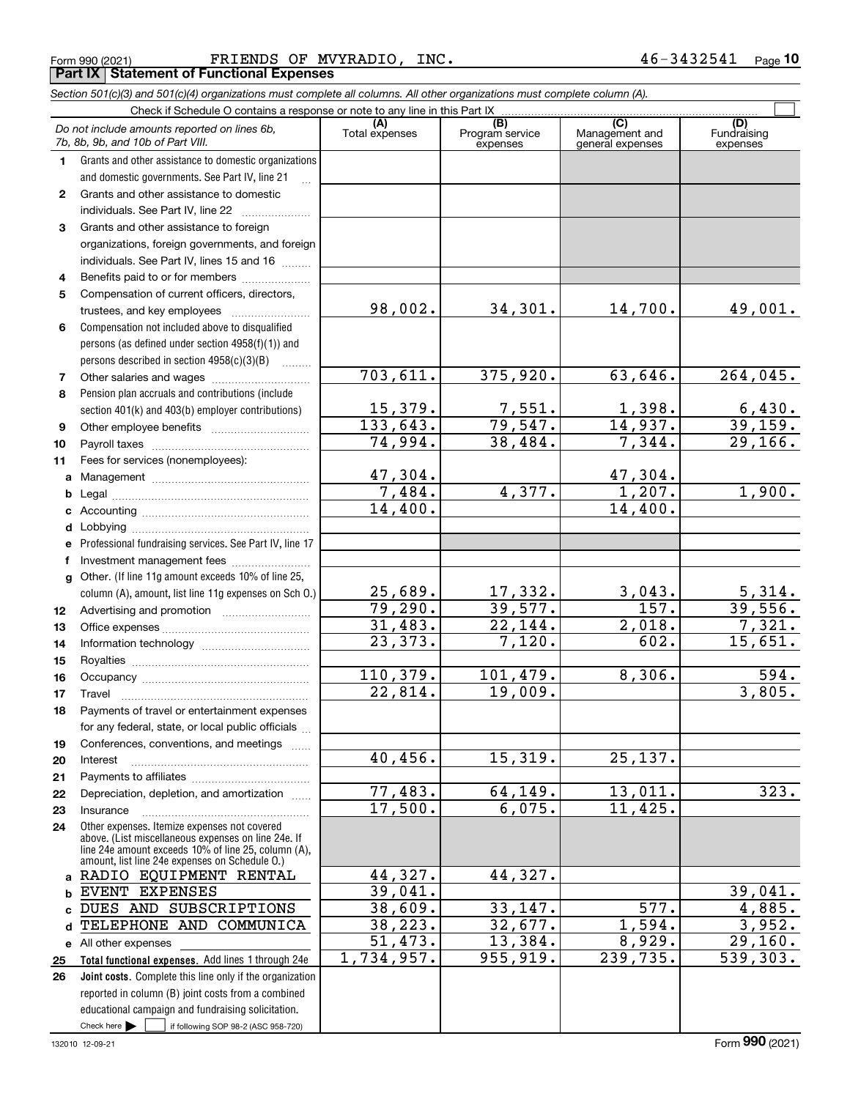*Section 501(c)(3) and 501(c)(4) organizations must complete all columns. All other organizations must complete column (A).*

**10**

|                 | Do not include amounts reported on lines 6b,<br>7b, 8b, 9b, and 10b of Part VIII.                                                                            | (A)<br>Total expenses | (B)<br>Program service<br>expenses | $\overline{C}$<br>Management and<br>general expenses | (D)<br>Fundraising<br>expenses |
|-----------------|--------------------------------------------------------------------------------------------------------------------------------------------------------------|-----------------------|------------------------------------|------------------------------------------------------|--------------------------------|
| 1.              | Grants and other assistance to domestic organizations                                                                                                        |                       |                                    |                                                      |                                |
|                 | and domestic governments. See Part IV, line 21                                                                                                               |                       |                                    |                                                      |                                |
| $\mathbf{2}$    | Grants and other assistance to domestic                                                                                                                      |                       |                                    |                                                      |                                |
|                 | individuals. See Part IV, line 22                                                                                                                            |                       |                                    |                                                      |                                |
| 3               | Grants and other assistance to foreign                                                                                                                       |                       |                                    |                                                      |                                |
|                 | organizations, foreign governments, and foreign                                                                                                              |                       |                                    |                                                      |                                |
|                 | individuals. See Part IV, lines 15 and 16                                                                                                                    |                       |                                    |                                                      |                                |
| 4               | Benefits paid to or for members                                                                                                                              |                       |                                    |                                                      |                                |
| 5               | Compensation of current officers, directors,                                                                                                                 |                       |                                    |                                                      |                                |
|                 |                                                                                                                                                              | 98,002.               | 34,301.                            | 14,700.                                              | 49,001.                        |
| 6               | Compensation not included above to disqualified                                                                                                              |                       |                                    |                                                      |                                |
|                 | persons (as defined under section 4958(f)(1)) and                                                                                                            |                       |                                    |                                                      |                                |
|                 | persons described in section 4958(c)(3)(B)<br>1.1.1.1.1.1.1                                                                                                  |                       |                                    |                                                      |                                |
| 7               |                                                                                                                                                              | 703,611.              | 375,920.                           | 63,646.                                              | 264,045.                       |
| 8               | Pension plan accruals and contributions (include                                                                                                             |                       |                                    |                                                      |                                |
|                 | section 401(k) and 403(b) employer contributions)                                                                                                            | 15,379.               | 7,551.                             | 1,398.                                               | $\frac{6,430}{39,159}$ .       |
| 9               |                                                                                                                                                              | 133,643.              | 79,547.                            | 14,937.                                              |                                |
| 10              |                                                                                                                                                              | 74,994.               | 38,484.                            | 7,344.                                               | 29, 166.                       |
| 11              | Fees for services (nonemployees):                                                                                                                            |                       |                                    |                                                      |                                |
| a               |                                                                                                                                                              | 47,304.               |                                    | 47,304.                                              |                                |
| b               |                                                                                                                                                              | 7,484.                | 4,377.                             | $\overline{1,207}$ .                                 | 1,900.                         |
| c               |                                                                                                                                                              | 14,400.               |                                    | 14,400.                                              |                                |
| d               |                                                                                                                                                              |                       |                                    |                                                      |                                |
| е               | Professional fundraising services. See Part IV, line 17                                                                                                      |                       |                                    |                                                      |                                |
| f               | Investment management fees                                                                                                                                   |                       |                                    |                                                      |                                |
| g               | Other. (If line 11g amount exceeds 10% of line 25,                                                                                                           |                       |                                    |                                                      |                                |
|                 | column (A), amount, list line 11g expenses on Sch O.)                                                                                                        | 25,689.               | 17,332.                            | 3,043.                                               | <u>5,314.</u>                  |
| 12 <sub>2</sub> |                                                                                                                                                              | 79,290.               | 39,577.                            | 157.                                                 | 39,556.                        |
| 13              |                                                                                                                                                              | 31,483.               | 22,144.                            | 2,018.                                               | 7,321.                         |
| 14              |                                                                                                                                                              | 23, 373.              | 7,120.                             | 602.                                                 | 15,651.                        |
| 15              |                                                                                                                                                              |                       |                                    |                                                      |                                |
| 16              |                                                                                                                                                              | 110,379.              | 101,479.                           | 8,306.                                               | 594.                           |
| 17              | Travel                                                                                                                                                       | 22,814.               | 19,009.                            |                                                      | 3,805.                         |
| 18              | Payments of travel or entertainment expenses                                                                                                                 |                       |                                    |                                                      |                                |
|                 | for any federal, state, or local public officials                                                                                                            |                       |                                    |                                                      |                                |
| 19              | Conferences, conventions, and meetings                                                                                                                       | 40, 456.              | 15,319.                            |                                                      |                                |
| 20              | Interest                                                                                                                                                     |                       |                                    | 25, 137.                                             |                                |
| 21              |                                                                                                                                                              | 77,483.               | 64,149.                            | 13,011.                                              | $\overline{323}$ .             |
| 22              | Depreciation, depletion, and amortization                                                                                                                    | 17,500.               | 6,075.                             | 11,425.                                              |                                |
| 23              | Insurance<br>Other expenses. Itemize expenses not covered                                                                                                    |                       |                                    |                                                      |                                |
| 24              | above. (List miscellaneous expenses on line 24e. If<br>line 24e amount exceeds 10% of line 25, column (A),<br>amount, list line 24e expenses on Schedule O.) |                       |                                    |                                                      |                                |
|                 | a RADIO EQUIPMENT RENTAL                                                                                                                                     | 44,327.               | 44,327.                            |                                                      |                                |
|                 | <b>b EVENT EXPENSES</b>                                                                                                                                      | 39,041.               |                                    |                                                      | 39,041.                        |
|                 | c DUES AND SUBSCRIPTIONS                                                                                                                                     | 38,609.               | 33,147.                            | 577.                                                 | 4,885.                         |
| d               | TELEPHONE AND COMMUNICA                                                                                                                                      | 38,223.               | 32,677.                            | 1,594.                                               | 3,952.                         |
|                 | e All other expenses                                                                                                                                         | 51,473.               | 13,384.                            | 8,929.                                               | 29,160.                        |
| 25              | Total functional expenses. Add lines 1 through 24e                                                                                                           | 1,734,957.            | 955,919.                           | 239,735.                                             | 539, 303.                      |
| 26              | <b>Joint costs.</b> Complete this line only if the organization                                                                                              |                       |                                    |                                                      |                                |
|                 | reported in column (B) joint costs from a combined                                                                                                           |                       |                                    |                                                      |                                |
|                 | educational campaign and fundraising solicitation.                                                                                                           |                       |                                    |                                                      |                                |
|                 | Check here $\blacktriangleright$<br>if following SOP 98-2 (ASC 958-720)                                                                                      |                       |                                    |                                                      |                                |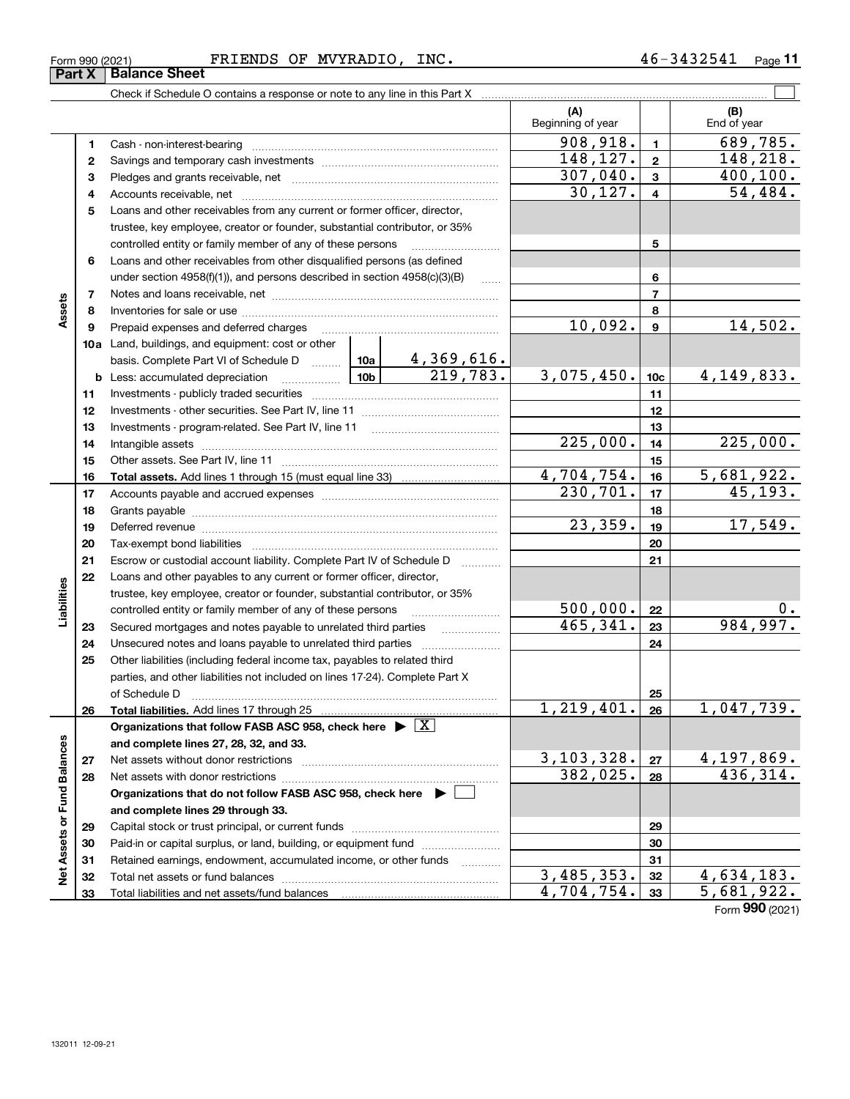**Net Assets or Fund Balances**

Net Assets or Fund Balances

**and complete lines 29 through 33.**

Total liabilities and net assets/fund balances

Capital stock or trust principal, or current funds ~~~~~~~~~~~~~~~ Paid-in or capital surplus, or land, building, or equipment fund www.commun.com Retained earnings, endowment, accumulated income, or other funds we have all the Total net assets or fund balances ~~~~~~~~~~~~~~~~~~~~~~

|             |                 |                                                                                                                                          |                         |                         | 46-3432541<br>$P_{\text{aqe}}$ 11 |
|-------------|-----------------|------------------------------------------------------------------------------------------------------------------------------------------|-------------------------|-------------------------|-----------------------------------|
| Part X      | Form 990 (2021) | FRIENDS OF MVYRADIO, INC.<br><b>Balance Sheet</b>                                                                                        |                         |                         |                                   |
|             |                 |                                                                                                                                          |                         |                         |                                   |
|             |                 |                                                                                                                                          | (A)                     |                         | (B)                               |
|             |                 |                                                                                                                                          | Beginning of year       |                         | End of year                       |
|             | 1.              |                                                                                                                                          | 908,918.                | 1.                      | 689,785.                          |
|             | 2               |                                                                                                                                          | 148,127.                | $\mathbf{2}$            | 148, 218.                         |
|             | 3               |                                                                                                                                          | 307,040.                | 3                       | 400, 100.                         |
|             | 4               |                                                                                                                                          | 30, 127.                | $\overline{4}$          | 54,484.                           |
|             | 5               | Loans and other receivables from any current or former officer, director,                                                                |                         |                         |                                   |
|             |                 | trustee, key employee, creator or founder, substantial contributor, or 35%                                                               |                         |                         |                                   |
|             |                 | controlled entity or family member of any of these persons                                                                               |                         | 5                       |                                   |
|             | 6               | Loans and other receivables from other disqualified persons (as defined                                                                  |                         |                         |                                   |
| Assets      |                 | under section 4958(f)(1)), and persons described in section 4958(c)(3)(B)<br>$\sim$                                                      |                         | 6                       |                                   |
|             | 7               |                                                                                                                                          |                         | $\overline{\mathbf{r}}$ |                                   |
|             | 8               |                                                                                                                                          |                         | 8                       |                                   |
|             | 9               | Prepaid expenses and deferred charges                                                                                                    | 10,092.                 | 9                       | 14,502.                           |
|             |                 | 10a Land, buildings, and equipment: cost or other                                                                                        |                         |                         |                                   |
|             |                 | <u>4,369,616.</u><br>basis. Complete Part VI of Schedule D  10a<br>$\overline{219,783}$ .                                                |                         |                         |                                   |
|             |                 | 10 <sub>b</sub><br><b>b</b> Less: accumulated depreciation                                                                               | 3,075,450.              | 10 <sub>c</sub>         | 4, 149, 833.                      |
|             | 11              |                                                                                                                                          |                         | 11                      |                                   |
|             | 12              |                                                                                                                                          |                         | 12                      |                                   |
|             | 13<br>14        |                                                                                                                                          | $\overline{225}$ , 000. | 13<br>14                | $\overline{225}$ ,000.            |
|             | 15              |                                                                                                                                          |                         | 15                      |                                   |
|             | 16              |                                                                                                                                          | 4,704,754.              | 16                      | 5,681,922.                        |
|             | 17              |                                                                                                                                          | 230,701.                | 17                      | 45, 193.                          |
|             | 18              |                                                                                                                                          |                         | 18                      |                                   |
|             | 19              | Deferred revenue                                                                                                                         | 23,359.                 | 19                      | 17,549.                           |
|             | 20              | Tax-exempt bond liabilities                                                                                                              |                         | 20                      |                                   |
|             | 21              | Escrow or custodial account liability. Complete Part IV of Schedule D<br>.                                                               |                         | 21                      |                                   |
|             | 22              | Loans and other payables to any current or former officer, director,                                                                     |                         |                         |                                   |
|             |                 | trustee, key employee, creator or founder, substantial contributor, or 35%                                                               |                         |                         |                                   |
| Liabilities |                 | controlled entity or family member of any of these persons                                                                               | 500,000.                | 22                      | 0.                                |
|             | 23              | Secured mortgages and notes payable to unrelated third parties<br>.                                                                      | 465,341.                | 23                      | 984,997.                          |
|             | 24              | Unsecured notes and loans payable to unrelated third parties                                                                             |                         | 24                      |                                   |
|             | 25              | Other liabilities (including federal income tax, payables to related third                                                               |                         |                         |                                   |
|             |                 | parties, and other liabilities not included on lines 17-24). Complete Part X                                                             |                         |                         |                                   |
|             |                 | of Schedule D                                                                                                                            | 1, 219, 401.            | 25                      | 1,047,739.                        |
|             | 26              | Total liabilities. Add lines 17 through 25<br>Organizations that follow FASB ASC 958, check here $\blacktriangleright \lfloor X \rfloor$ |                         | 26                      |                                   |
|             |                 | and complete lines 27, 28, 32, and 33.                                                                                                   |                         |                         |                                   |
|             | 27              | Net assets without donor restrictions                                                                                                    | 3, 103, 328.            | 27                      | 4,197,869.                        |
|             | 28              |                                                                                                                                          | 382,025.                | 28                      | 436,314.                          |
| nd Balances |                 | Organizations that do not follow FASB ASC 958, check here $\blacktriangleright$                                                          |                         |                         |                                   |
|             |                 |                                                                                                                                          |                         |                         |                                   |

Form (2021) **990**

3,485,353. 4,634,183. 4,704,754. 5,681,922.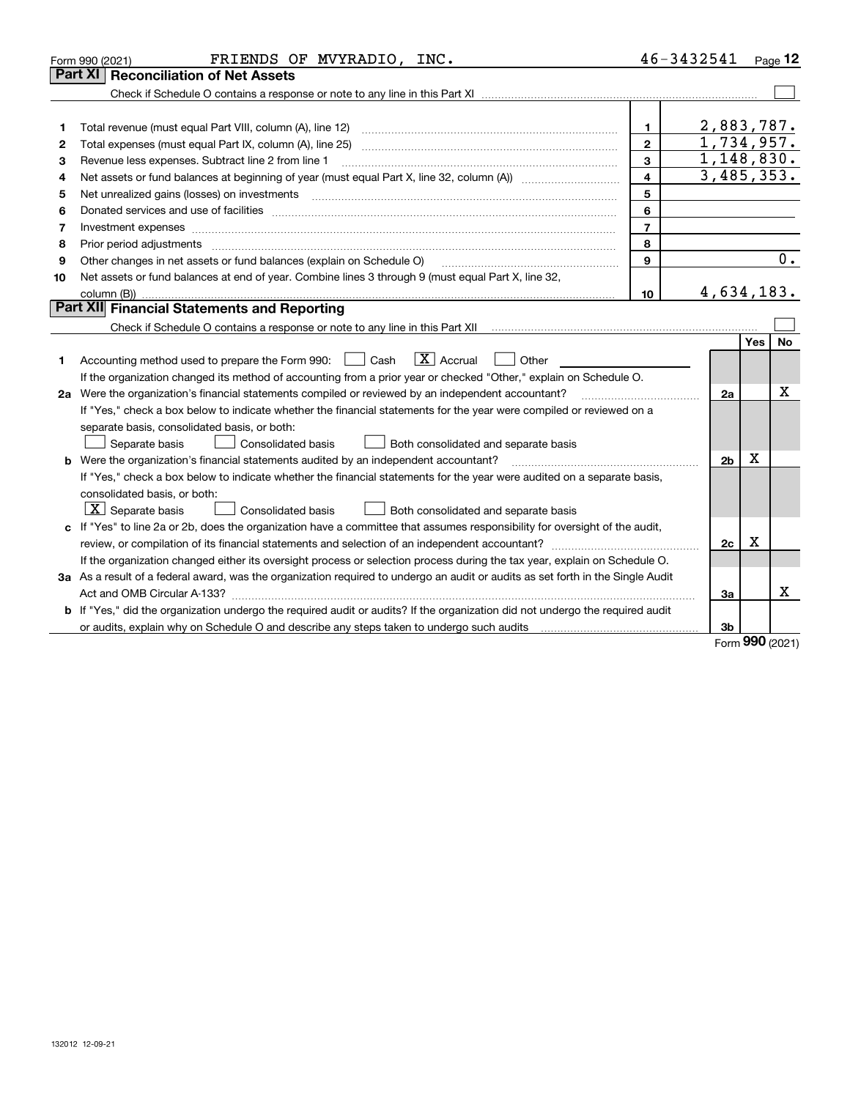|    | FRIENDS OF MVYRADIO, INC.<br>Form 990 (2021)                                                                                                                                                                                   |                | 46-3432541     | $Page$ 12  |    |
|----|--------------------------------------------------------------------------------------------------------------------------------------------------------------------------------------------------------------------------------|----------------|----------------|------------|----|
|    | <b>Reconciliation of Net Assets</b><br><b>Part XI</b>                                                                                                                                                                          |                |                |            |    |
|    |                                                                                                                                                                                                                                |                |                |            |    |
|    |                                                                                                                                                                                                                                |                |                |            |    |
| 1  | Total revenue (must equal Part VIII, column (A), line 12)                                                                                                                                                                      | $\mathbf 1$    | 2,883,787.     |            |    |
| 2  | Total expenses (must equal Part IX, column (A), line 25)                                                                                                                                                                       | $\overline{2}$ | 1,734,957.     |            |    |
| 3  | Revenue less expenses. Subtract line 2 from line 1                                                                                                                                                                             | 3              | 1,148,830.     |            |    |
| 4  |                                                                                                                                                                                                                                | 4              | 3,485,353.     |            |    |
| 5  | Net unrealized gains (losses) on investments                                                                                                                                                                                   | 5              |                |            |    |
| 6  | Donated services and use of facilities [111] Donated and the service of facilities [11] Donated services and use of facilities [11] Donated and the service of the service of the service of the service of the service of the | 6              |                |            |    |
| 7  |                                                                                                                                                                                                                                | $\overline{7}$ |                |            |    |
| 8  | Prior period adjustments                                                                                                                                                                                                       | 8              |                |            |    |
| 9  | Other changes in net assets or fund balances (explain on Schedule O)                                                                                                                                                           | 9              |                |            | 0. |
| 10 | Net assets or fund balances at end of year. Combine lines 3 through 9 (must equal Part X, line 32,                                                                                                                             |                |                |            |    |
|    | column $(B)$                                                                                                                                                                                                                   | 10             | 4,634,183.     |            |    |
|    | <b>Part XII</b> Financial Statements and Reporting                                                                                                                                                                             |                |                |            |    |
|    |                                                                                                                                                                                                                                |                |                |            |    |
|    |                                                                                                                                                                                                                                |                |                | <b>Yes</b> | No |
| 1. | $\boxed{\mathbf{X}}$ Accrual<br>Accounting method used to prepare the Form 990: <u>June</u> Cash<br>Other                                                                                                                      |                |                |            |    |
|    | If the organization changed its method of accounting from a prior year or checked "Other," explain on Schedule O.                                                                                                              |                |                |            |    |
|    | 2a Were the organization's financial statements compiled or reviewed by an independent accountant?                                                                                                                             |                | 2a             |            | x  |
|    | If "Yes," check a box below to indicate whether the financial statements for the year were compiled or reviewed on a                                                                                                           |                |                |            |    |
|    | separate basis, consolidated basis, or both:                                                                                                                                                                                   |                |                |            |    |
|    | Consolidated basis<br>Separate basis<br>Both consolidated and separate basis                                                                                                                                                   |                |                |            |    |
|    | <b>b</b> Were the organization's financial statements audited by an independent accountant?                                                                                                                                    |                | 2 <sub>b</sub> | х          |    |
|    | If "Yes," check a box below to indicate whether the financial statements for the year were audited on a separate basis,                                                                                                        |                |                |            |    |
|    | consolidated basis, or both:                                                                                                                                                                                                   |                |                |            |    |
|    | $X$ Separate basis<br><b>Consolidated basis</b><br>Both consolidated and separate basis                                                                                                                                        |                |                |            |    |
|    | c If "Yes" to line 2a or 2b, does the organization have a committee that assumes responsibility for oversight of the audit,                                                                                                    |                |                |            |    |
|    |                                                                                                                                                                                                                                |                | 2c             | х          |    |
|    | If the organization changed either its oversight process or selection process during the tax year, explain on Schedule O.                                                                                                      |                |                |            |    |
|    | 3a As a result of a federal award, was the organization required to undergo an audit or audits as set forth in the Single Audit                                                                                                |                |                |            |    |
|    |                                                                                                                                                                                                                                |                | За             |            | x  |
|    | b If "Yes," did the organization undergo the required audit or audits? If the organization did not undergo the required audit                                                                                                  |                |                |            |    |
|    |                                                                                                                                                                                                                                |                | 3 <sub>b</sub> |            |    |

Form (2021) **990**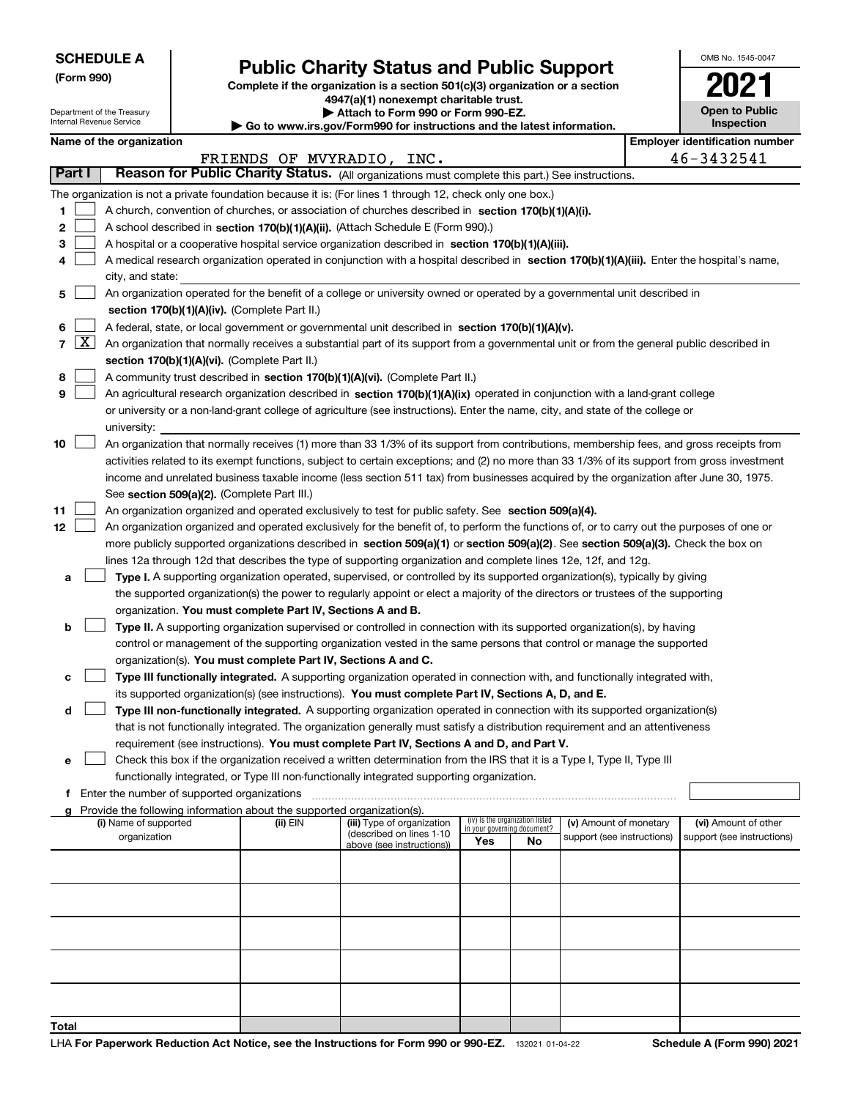Department of the Treasury Internal Revenue Service

**(Form 990)**

# **Public Charity Status and Public Support**

**Complete if the organization is a section 501(c)(3) organization or a section 4947(a)(1) nonexempt charitable trust.**

**| Attach to Form 990 or Form 990-EZ.** 

**| Go to www.irs.gov/Form990 for instructions and the latest information.**

| OMB No 1545-0047      |
|-----------------------|
| 202                   |
| <b>Open to Public</b> |

**Inspection**

| Name of the organization |  |
|--------------------------|--|
|--------------------------|--|

|       |                                                                                                                                            | Name of the organization                                                                                                                     |          |                                                       |                                    |                                 |                            |  | <b>Employer identification number</b> |  |  |  |  |
|-------|--------------------------------------------------------------------------------------------------------------------------------------------|----------------------------------------------------------------------------------------------------------------------------------------------|----------|-------------------------------------------------------|------------------------------------|---------------------------------|----------------------------|--|---------------------------------------|--|--|--|--|
|       |                                                                                                                                            |                                                                                                                                              |          | FRIENDS OF MVYRADIO, INC.                             |                                    |                                 |                            |  | 46-3432541                            |  |  |  |  |
|       | Part I                                                                                                                                     | Reason for Public Charity Status. (All organizations must complete this part.) See instructions.                                             |          |                                                       |                                    |                                 |                            |  |                                       |  |  |  |  |
|       |                                                                                                                                            | The organization is not a private foundation because it is: (For lines 1 through 12, check only one box.)                                    |          |                                                       |                                    |                                 |                            |  |                                       |  |  |  |  |
| 1.    |                                                                                                                                            | A church, convention of churches, or association of churches described in section 170(b)(1)(A)(i).                                           |          |                                                       |                                    |                                 |                            |  |                                       |  |  |  |  |
| 2     |                                                                                                                                            | A school described in section 170(b)(1)(A)(ii). (Attach Schedule E (Form 990).)                                                              |          |                                                       |                                    |                                 |                            |  |                                       |  |  |  |  |
| 3     |                                                                                                                                            | A hospital or a cooperative hospital service organization described in section 170(b)(1)(A)(iii).                                            |          |                                                       |                                    |                                 |                            |  |                                       |  |  |  |  |
| 4     | A medical research organization operated in conjunction with a hospital described in section 170(b)(1)(A)(iii). Enter the hospital's name, |                                                                                                                                              |          |                                                       |                                    |                                 |                            |  |                                       |  |  |  |  |
|       | city, and state:                                                                                                                           |                                                                                                                                              |          |                                                       |                                    |                                 |                            |  |                                       |  |  |  |  |
| 5     | An organization operated for the benefit of a college or university owned or operated by a governmental unit described in                  |                                                                                                                                              |          |                                                       |                                    |                                 |                            |  |                                       |  |  |  |  |
|       | section 170(b)(1)(A)(iv). (Complete Part II.)                                                                                              |                                                                                                                                              |          |                                                       |                                    |                                 |                            |  |                                       |  |  |  |  |
| 6     |                                                                                                                                            | A federal, state, or local government or governmental unit described in section 170(b)(1)(A)(v).                                             |          |                                                       |                                    |                                 |                            |  |                                       |  |  |  |  |
|       | $7 \vert X \vert$                                                                                                                          | An organization that normally receives a substantial part of its support from a governmental unit or from the general public described in    |          |                                                       |                                    |                                 |                            |  |                                       |  |  |  |  |
|       |                                                                                                                                            | section 170(b)(1)(A)(vi). (Complete Part II.)                                                                                                |          |                                                       |                                    |                                 |                            |  |                                       |  |  |  |  |
| 8     |                                                                                                                                            | A community trust described in section 170(b)(1)(A)(vi). (Complete Part II.)                                                                 |          |                                                       |                                    |                                 |                            |  |                                       |  |  |  |  |
| 9     |                                                                                                                                            | An agricultural research organization described in section 170(b)(1)(A)(ix) operated in conjunction with a land-grant college                |          |                                                       |                                    |                                 |                            |  |                                       |  |  |  |  |
|       |                                                                                                                                            | or university or a non-land-grant college of agriculture (see instructions). Enter the name, city, and state of the college or               |          |                                                       |                                    |                                 |                            |  |                                       |  |  |  |  |
|       |                                                                                                                                            | university:                                                                                                                                  |          |                                                       |                                    |                                 |                            |  |                                       |  |  |  |  |
| 10    |                                                                                                                                            | An organization that normally receives (1) more than 33 1/3% of its support from contributions, membership fees, and gross receipts from     |          |                                                       |                                    |                                 |                            |  |                                       |  |  |  |  |
|       |                                                                                                                                            | activities related to its exempt functions, subject to certain exceptions; and (2) no more than 33 1/3% of its support from gross investment |          |                                                       |                                    |                                 |                            |  |                                       |  |  |  |  |
|       |                                                                                                                                            | income and unrelated business taxable income (less section 511 tax) from businesses acquired by the organization after June 30, 1975.        |          |                                                       |                                    |                                 |                            |  |                                       |  |  |  |  |
|       |                                                                                                                                            | See section 509(a)(2). (Complete Part III.)                                                                                                  |          |                                                       |                                    |                                 |                            |  |                                       |  |  |  |  |
| 11    |                                                                                                                                            | An organization organized and operated exclusively to test for public safety. See section 509(a)(4).                                         |          |                                                       |                                    |                                 |                            |  |                                       |  |  |  |  |
| 12    |                                                                                                                                            | An organization organized and operated exclusively for the benefit of, to perform the functions of, or to carry out the purposes of one or   |          |                                                       |                                    |                                 |                            |  |                                       |  |  |  |  |
|       |                                                                                                                                            | more publicly supported organizations described in section 509(a)(1) or section 509(a)(2). See section 509(a)(3). Check the box on           |          |                                                       |                                    |                                 |                            |  |                                       |  |  |  |  |
|       |                                                                                                                                            | lines 12a through 12d that describes the type of supporting organization and complete lines 12e, 12f, and 12g.                               |          |                                                       |                                    |                                 |                            |  |                                       |  |  |  |  |
| a     |                                                                                                                                            | Type I. A supporting organization operated, supervised, or controlled by its supported organization(s), typically by giving                  |          |                                                       |                                    |                                 |                            |  |                                       |  |  |  |  |
|       |                                                                                                                                            | the supported organization(s) the power to regularly appoint or elect a majority of the directors or trustees of the supporting              |          |                                                       |                                    |                                 |                            |  |                                       |  |  |  |  |
|       |                                                                                                                                            | organization. You must complete Part IV, Sections A and B.                                                                                   |          |                                                       |                                    |                                 |                            |  |                                       |  |  |  |  |
| b     |                                                                                                                                            | Type II. A supporting organization supervised or controlled in connection with its supported organization(s), by having                      |          |                                                       |                                    |                                 |                            |  |                                       |  |  |  |  |
|       |                                                                                                                                            | control or management of the supporting organization vested in the same persons that control or manage the supported                         |          |                                                       |                                    |                                 |                            |  |                                       |  |  |  |  |
|       |                                                                                                                                            | organization(s). You must complete Part IV, Sections A and C.                                                                                |          |                                                       |                                    |                                 |                            |  |                                       |  |  |  |  |
| c     |                                                                                                                                            | Type III functionally integrated. A supporting organization operated in connection with, and functionally integrated with,                   |          |                                                       |                                    |                                 |                            |  |                                       |  |  |  |  |
|       |                                                                                                                                            | its supported organization(s) (see instructions). You must complete Part IV, Sections A, D, and E.                                           |          |                                                       |                                    |                                 |                            |  |                                       |  |  |  |  |
| d     |                                                                                                                                            | Type III non-functionally integrated. A supporting organization operated in connection with its supported organization(s)                    |          |                                                       |                                    |                                 |                            |  |                                       |  |  |  |  |
|       |                                                                                                                                            | that is not functionally integrated. The organization generally must satisfy a distribution requirement and an attentiveness                 |          |                                                       |                                    |                                 |                            |  |                                       |  |  |  |  |
|       |                                                                                                                                            | requirement (see instructions). You must complete Part IV, Sections A and D, and Part V.                                                     |          |                                                       |                                    |                                 |                            |  |                                       |  |  |  |  |
|       |                                                                                                                                            | Check this box if the organization received a written determination from the IRS that it is a Type I, Type II, Type III                      |          |                                                       |                                    |                                 |                            |  |                                       |  |  |  |  |
|       |                                                                                                                                            | functionally integrated, or Type III non-functionally integrated supporting organization.                                                    |          |                                                       |                                    |                                 |                            |  |                                       |  |  |  |  |
|       |                                                                                                                                            | <b>f</b> Enter the number of supported organizations<br>Provide the following information about the supported organization(s).               |          |                                                       |                                    |                                 |                            |  |                                       |  |  |  |  |
|       |                                                                                                                                            | (i) Name of supported                                                                                                                        | (ii) EIN | (iii) Type of organization                            |                                    | (iv) Is the organization listed | (v) Amount of monetary     |  | (vi) Amount of other                  |  |  |  |  |
|       |                                                                                                                                            | organization                                                                                                                                 |          | (described on lines 1-10<br>above (see instructions)) | in your governing document?<br>Yes | No                              | support (see instructions) |  | support (see instructions)            |  |  |  |  |
|       |                                                                                                                                            |                                                                                                                                              |          |                                                       |                                    |                                 |                            |  |                                       |  |  |  |  |
|       |                                                                                                                                            |                                                                                                                                              |          |                                                       |                                    |                                 |                            |  |                                       |  |  |  |  |
|       |                                                                                                                                            |                                                                                                                                              |          |                                                       |                                    |                                 |                            |  |                                       |  |  |  |  |
|       |                                                                                                                                            |                                                                                                                                              |          |                                                       |                                    |                                 |                            |  |                                       |  |  |  |  |
|       |                                                                                                                                            |                                                                                                                                              |          |                                                       |                                    |                                 |                            |  |                                       |  |  |  |  |
|       |                                                                                                                                            |                                                                                                                                              |          |                                                       |                                    |                                 |                            |  |                                       |  |  |  |  |
|       |                                                                                                                                            |                                                                                                                                              |          |                                                       |                                    |                                 |                            |  |                                       |  |  |  |  |
|       |                                                                                                                                            |                                                                                                                                              |          |                                                       |                                    |                                 |                            |  |                                       |  |  |  |  |
|       |                                                                                                                                            |                                                                                                                                              |          |                                                       |                                    |                                 |                            |  |                                       |  |  |  |  |
|       |                                                                                                                                            |                                                                                                                                              |          |                                                       |                                    |                                 |                            |  |                                       |  |  |  |  |
| Total |                                                                                                                                            |                                                                                                                                              |          |                                                       |                                    |                                 |                            |  |                                       |  |  |  |  |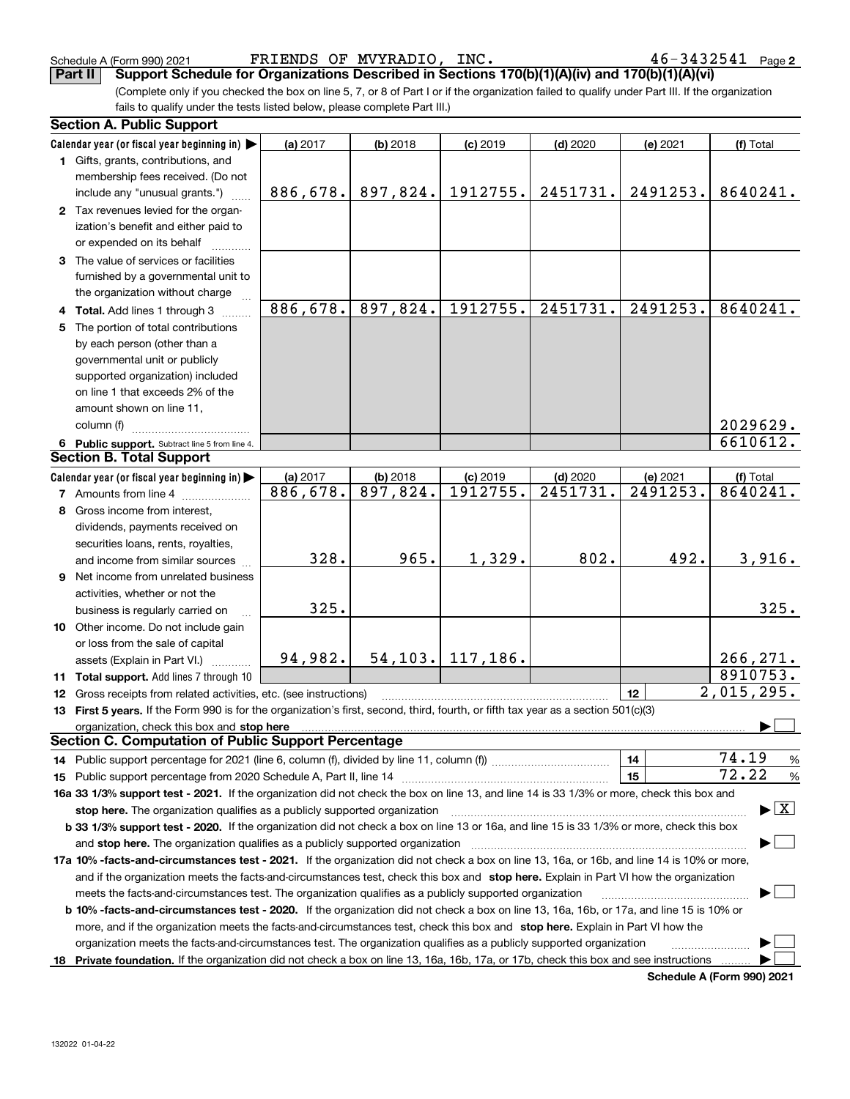132022 01-04-22

|         |  | Schedule A (Form 990) 2021 |  |  |  |
|---------|--|----------------------------|--|--|--|
| - - - - |  |                            |  |  |  |

Schedule A (Form 990) 2021 Page FRIENDS OF MVYRADIO, INC. 46-3432541

(Complete only if you checked the box on line 5, 7, or 8 of Part I or if the organization failed to qualify under Part III. If the organization fails to qualify under the tests listed below, please complete Part III.) **Part II Support Schedule for Organizations Described in Sections 170(b)(1)(A)(iv) and 170(b)(1)(A)(vi)**

|    | <b>Section A. Public Support</b>                                                                                                               |          |            |                      |            |          |                                |
|----|------------------------------------------------------------------------------------------------------------------------------------------------|----------|------------|----------------------|------------|----------|--------------------------------|
|    | Calendar year (or fiscal year beginning in)                                                                                                    | (a) 2017 | (b) 2018   | $(c)$ 2019           | $(d)$ 2020 | (e) 2021 | (f) Total                      |
|    | 1 Gifts, grants, contributions, and                                                                                                            |          |            |                      |            |          |                                |
|    | membership fees received. (Do not                                                                                                              |          |            |                      |            |          |                                |
|    | include any "unusual grants.")                                                                                                                 | 886,678. | 897,824.   | 1912755.             | 2451731.   | 2491253. | 8640241.                       |
|    | 2 Tax revenues levied for the organ-                                                                                                           |          |            |                      |            |          |                                |
|    | ization's benefit and either paid to                                                                                                           |          |            |                      |            |          |                                |
|    | or expended on its behalf                                                                                                                      |          |            |                      |            |          |                                |
|    | 3 The value of services or facilities                                                                                                          |          |            |                      |            |          |                                |
|    | furnished by a governmental unit to                                                                                                            |          |            |                      |            |          |                                |
|    | the organization without charge                                                                                                                |          |            |                      |            |          |                                |
|    | 4 Total. Add lines 1 through 3                                                                                                                 | 886,678. | 897,824.   | 1912755.             | 2451731.   | 2491253. | 8640241.                       |
|    | The portion of total contributions                                                                                                             |          |            |                      |            |          |                                |
|    | by each person (other than a                                                                                                                   |          |            |                      |            |          |                                |
|    | governmental unit or publicly                                                                                                                  |          |            |                      |            |          |                                |
|    | supported organization) included                                                                                                               |          |            |                      |            |          |                                |
|    | on line 1 that exceeds 2% of the                                                                                                               |          |            |                      |            |          |                                |
|    | amount shown on line 11,                                                                                                                       |          |            |                      |            |          |                                |
|    | column (f)                                                                                                                                     |          |            |                      |            |          | 2029629.                       |
|    | 6 Public support. Subtract line 5 from line 4.                                                                                                 |          |            |                      |            |          | 6610612.                       |
|    | <b>Section B. Total Support</b>                                                                                                                |          |            |                      |            |          |                                |
|    | Calendar year (or fiscal year beginning in) $\blacktriangleright$                                                                              | (a) 2017 | $(b)$ 2018 | $(c)$ 2019           | $(d)$ 2020 | (e) 2021 | (f) Total                      |
|    | <b>7</b> Amounts from line 4                                                                                                                   | 886,678. | 897,824.   | 1912755.             | 2451731.   | 2491253. | 8640241.                       |
|    | 8 Gross income from interest,                                                                                                                  |          |            |                      |            |          |                                |
|    | dividends, payments received on                                                                                                                |          |            |                      |            |          |                                |
|    | securities loans, rents, royalties,                                                                                                            |          |            |                      |            |          |                                |
|    | and income from similar sources                                                                                                                | 328.     | 965.       | 1,329.               | 802.       | 492.     | 3,916.                         |
|    | <b>9</b> Net income from unrelated business                                                                                                    |          |            |                      |            |          |                                |
|    | activities, whether or not the                                                                                                                 |          |            |                      |            |          |                                |
|    | business is regularly carried on                                                                                                               | 325.     |            |                      |            |          | 325.                           |
|    | 10 Other income. Do not include gain                                                                                                           |          |            |                      |            |          |                                |
|    | or loss from the sale of capital                                                                                                               |          |            |                      |            |          |                                |
|    | assets (Explain in Part VI.)                                                                                                                   | 94,982.  |            | $54, 103.$ 117, 186. |            |          | 266, 271.                      |
|    | 11 Total support. Add lines 7 through 10                                                                                                       |          |            |                      |            |          | 8910753.                       |
|    | 12 Gross receipts from related activities, etc. (see instructions)                                                                             |          |            |                      |            | 12       | 2,015,295.                     |
|    | 13 First 5 years. If the Form 990 is for the organization's first, second, third, fourth, or fifth tax year as a section 501(c)(3)             |          |            |                      |            |          |                                |
|    | organization, check this box and stop here                                                                                                     |          |            |                      |            |          |                                |
|    | <b>Section C. Computation of Public Support Percentage</b>                                                                                     |          |            |                      |            |          |                                |
|    |                                                                                                                                                |          |            |                      |            | 14       | 74.19<br>%                     |
|    | 15 Public support percentage from 2020 Schedule A, Part II, line 14                                                                            |          |            |                      |            | 15       | 72.22<br>$\%$                  |
|    | 16a 33 1/3% support test - 2021. If the organization did not check the box on line 13, and line 14 is 33 1/3% or more, check this box and      |          |            |                      |            |          |                                |
|    | stop here. The organization qualifies as a publicly supported organization                                                                     |          |            |                      |            |          | $\blacktriangleright$ $\mid$ X |
|    | b 33 1/3% support test - 2020. If the organization did not check a box on line 13 or 16a, and line 15 is 33 1/3% or more, check this box       |          |            |                      |            |          |                                |
|    | and stop here. The organization qualifies as a publicly supported organization                                                                 |          |            |                      |            |          |                                |
|    | 17a 10% -facts-and-circumstances test - 2021. If the organization did not check a box on line 13, 16a, or 16b, and line 14 is 10% or more,     |          |            |                      |            |          |                                |
|    | and if the organization meets the facts-and-circumstances test, check this box and stop here. Explain in Part VI how the organization          |          |            |                      |            |          |                                |
|    | meets the facts-and-circumstances test. The organization qualifies as a publicly supported organization                                        |          |            |                      |            |          |                                |
|    | <b>b 10% -facts-and-circumstances test - 2020.</b> If the organization did not check a box on line 13, 16a, 16b, or 17a, and line 15 is 10% or |          |            |                      |            |          |                                |
|    | more, and if the organization meets the facts-and-circumstances test, check this box and stop here. Explain in Part VI how the                 |          |            |                      |            |          |                                |
|    | organization meets the facts-and-circumstances test. The organization qualifies as a publicly supported organization                           |          |            |                      |            |          |                                |
| 18 | Private foundation. If the organization did not check a box on line 13, 16a, 16b, 17a, or 17b, check this box and see instructions             |          |            |                      |            |          |                                |

**Schedule A (Form 990) 2021**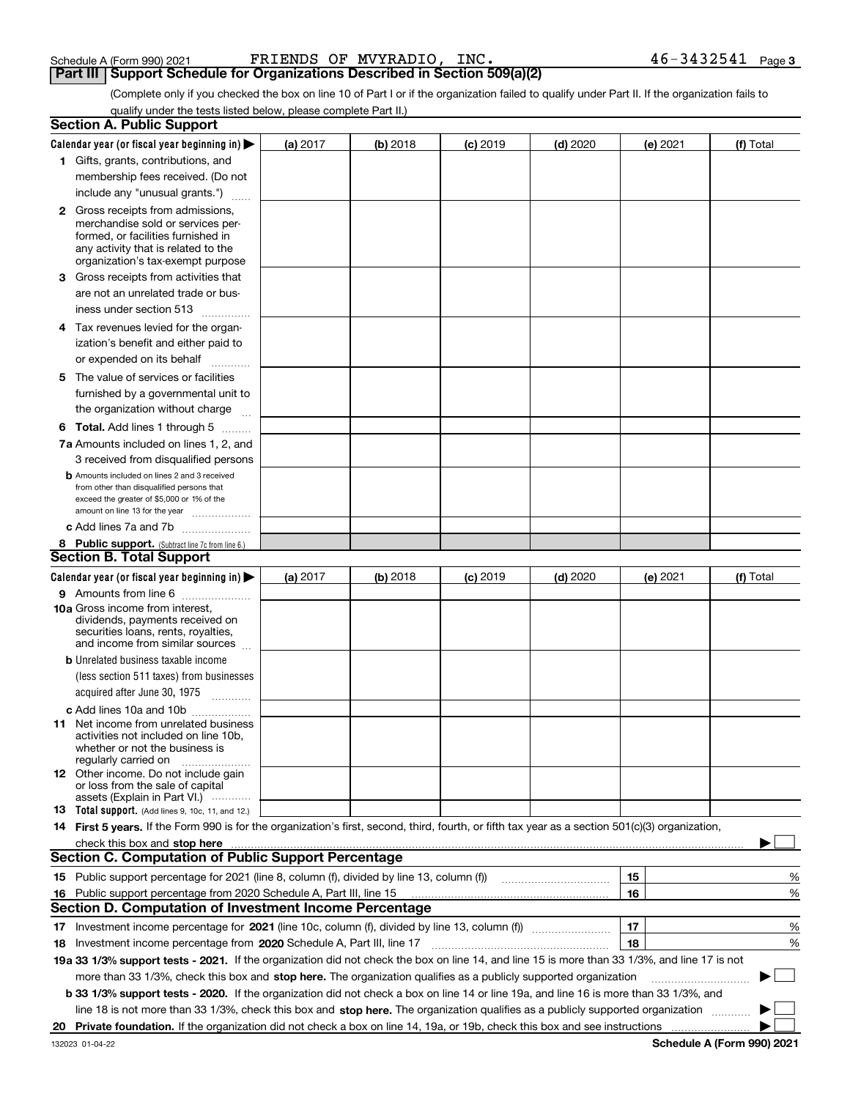| 20              | Private |  |
|-----------------|---------|--|
| 132023 01-04-22 |         |  |

| Schedule A (Form 990) 2021 |  |
|----------------------------|--|

## **Part III Support Schedule for Organizations Described in Section 509(a)(2)**

(Complete only if you checked the box on line 10 of Part I or if the organization failed to qualify under Part II. If the organization fails to qualify under the tests listed below, please complete Part II.)

| <b>Section A. Public Support</b>                                                                                                                                                                                                                                                             |          |            |            |            |          |           |
|----------------------------------------------------------------------------------------------------------------------------------------------------------------------------------------------------------------------------------------------------------------------------------------------|----------|------------|------------|------------|----------|-----------|
| Calendar year (or fiscal year beginning in) $\blacktriangleright$                                                                                                                                                                                                                            | (a) 2017 | (b) 2018   | $(c)$ 2019 | $(d)$ 2020 | (e) 2021 | (f) Total |
| 1 Gifts, grants, contributions, and                                                                                                                                                                                                                                                          |          |            |            |            |          |           |
| membership fees received. (Do not                                                                                                                                                                                                                                                            |          |            |            |            |          |           |
| include any "unusual grants.")                                                                                                                                                                                                                                                               |          |            |            |            |          |           |
| 2 Gross receipts from admissions,                                                                                                                                                                                                                                                            |          |            |            |            |          |           |
| merchandise sold or services per-                                                                                                                                                                                                                                                            |          |            |            |            |          |           |
| formed, or facilities furnished in                                                                                                                                                                                                                                                           |          |            |            |            |          |           |
| any activity that is related to the<br>organization's tax-exempt purpose                                                                                                                                                                                                                     |          |            |            |            |          |           |
| 3 Gross receipts from activities that                                                                                                                                                                                                                                                        |          |            |            |            |          |           |
| are not an unrelated trade or bus-                                                                                                                                                                                                                                                           |          |            |            |            |          |           |
| iness under section 513                                                                                                                                                                                                                                                                      |          |            |            |            |          |           |
|                                                                                                                                                                                                                                                                                              |          |            |            |            |          |           |
| 4 Tax revenues levied for the organ-<br>ization's benefit and either paid to                                                                                                                                                                                                                 |          |            |            |            |          |           |
| or expended on its behalf                                                                                                                                                                                                                                                                    |          |            |            |            |          |           |
| .                                                                                                                                                                                                                                                                                            |          |            |            |            |          |           |
| 5 The value of services or facilities                                                                                                                                                                                                                                                        |          |            |            |            |          |           |
| furnished by a governmental unit to                                                                                                                                                                                                                                                          |          |            |            |            |          |           |
| the organization without charge                                                                                                                                                                                                                                                              |          |            |            |            |          |           |
| <b>6 Total.</b> Add lines 1 through 5                                                                                                                                                                                                                                                        |          |            |            |            |          |           |
| 7a Amounts included on lines 1, 2, and                                                                                                                                                                                                                                                       |          |            |            |            |          |           |
| 3 received from disqualified persons                                                                                                                                                                                                                                                         |          |            |            |            |          |           |
| <b>b</b> Amounts included on lines 2 and 3 received<br>from other than disqualified persons that                                                                                                                                                                                             |          |            |            |            |          |           |
| exceed the greater of \$5,000 or 1% of the                                                                                                                                                                                                                                                   |          |            |            |            |          |           |
| amount on line 13 for the year                                                                                                                                                                                                                                                               |          |            |            |            |          |           |
| c Add lines 7a and 7b                                                                                                                                                                                                                                                                        |          |            |            |            |          |           |
| 8 Public support. (Subtract line 7c from line 6.)                                                                                                                                                                                                                                            |          |            |            |            |          |           |
| <b>Section B. Total Support</b>                                                                                                                                                                                                                                                              |          |            |            |            |          |           |
| Calendar year (or fiscal year beginning in)                                                                                                                                                                                                                                                  | (a) 2017 | $(b)$ 2018 | $(c)$ 2019 | $(d)$ 2020 | (e) 2021 | (f) Total |
| 9 Amounts from line 6                                                                                                                                                                                                                                                                        |          |            |            |            |          |           |
| 10a Gross income from interest,                                                                                                                                                                                                                                                              |          |            |            |            |          |           |
| dividends, payments received on<br>securities loans, rents, royalties,                                                                                                                                                                                                                       |          |            |            |            |          |           |
| and income from similar sources                                                                                                                                                                                                                                                              |          |            |            |            |          |           |
| <b>b</b> Unrelated business taxable income                                                                                                                                                                                                                                                   |          |            |            |            |          |           |
| (less section 511 taxes) from businesses                                                                                                                                                                                                                                                     |          |            |            |            |          |           |
| acquired after June 30, 1975                                                                                                                                                                                                                                                                 |          |            |            |            |          |           |
| c Add lines 10a and 10b                                                                                                                                                                                                                                                                      |          |            |            |            |          |           |
| 11 Net income from unrelated business                                                                                                                                                                                                                                                        |          |            |            |            |          |           |
| activities not included on line 10b,                                                                                                                                                                                                                                                         |          |            |            |            |          |           |
| whether or not the business is<br>regularly carried on                                                                                                                                                                                                                                       |          |            |            |            |          |           |
| <b>12</b> Other income. Do not include gain                                                                                                                                                                                                                                                  |          |            |            |            |          |           |
| or loss from the sale of capital                                                                                                                                                                                                                                                             |          |            |            |            |          |           |
| assets (Explain in Part VI.)                                                                                                                                                                                                                                                                 |          |            |            |            |          |           |
| 13 Total support. (Add lines 9, 10c, 11, and 12.)                                                                                                                                                                                                                                            |          |            |            |            |          |           |
| 14 First 5 years. If the Form 990 is for the organization's first, second, third, fourth, or fifth tax year as a section 501(c)(3) organization,                                                                                                                                             |          |            |            |            |          |           |
| check this box and stop here manufactured and stop the state of the state of the state of the state of the state of the state of the state of the state of the state of the state of the state of the state of the state of th<br><b>Section C. Computation of Public Support Percentage</b> |          |            |            |            |          |           |
|                                                                                                                                                                                                                                                                                              |          |            |            |            |          |           |
|                                                                                                                                                                                                                                                                                              |          |            |            |            | 15       | ℀         |
| 16 Public support percentage from 2020 Schedule A, Part III, line 15<br><b>Section D. Computation of Investment Income Percentage</b>                                                                                                                                                        |          |            |            |            | 16       | %         |
|                                                                                                                                                                                                                                                                                              |          |            |            |            |          |           |
| 17 Investment income percentage for 2021 (line 10c, column (f), divided by line 13, column (f) <i>marrouum</i> (m)                                                                                                                                                                           |          |            |            |            | 17       | ℀         |
| 18 Investment income percentage from 2020 Schedule A, Part III, line 17                                                                                                                                                                                                                      |          |            |            |            | 18       | %         |
| 19a 33 1/3% support tests - 2021. If the organization did not check the box on line 14, and line 15 is more than 33 1/3%, and line 17 is not                                                                                                                                                 |          |            |            |            |          |           |
| more than 33 1/3%, check this box and stop here. The organization qualifies as a publicly supported organization                                                                                                                                                                             |          |            |            |            |          |           |
| b 33 1/3% support tests - 2020. If the organization did not check a box on line 14 or line 19a, and line 16 is more than 33 1/3%, and                                                                                                                                                        |          |            |            |            |          |           |
| line 18 is not more than 33 1/3%, check this box and stop here. The organization qualifies as a publicly supported organization                                                                                                                                                              |          |            |            |            |          |           |
|                                                                                                                                                                                                                                                                                              |          |            |            |            |          |           |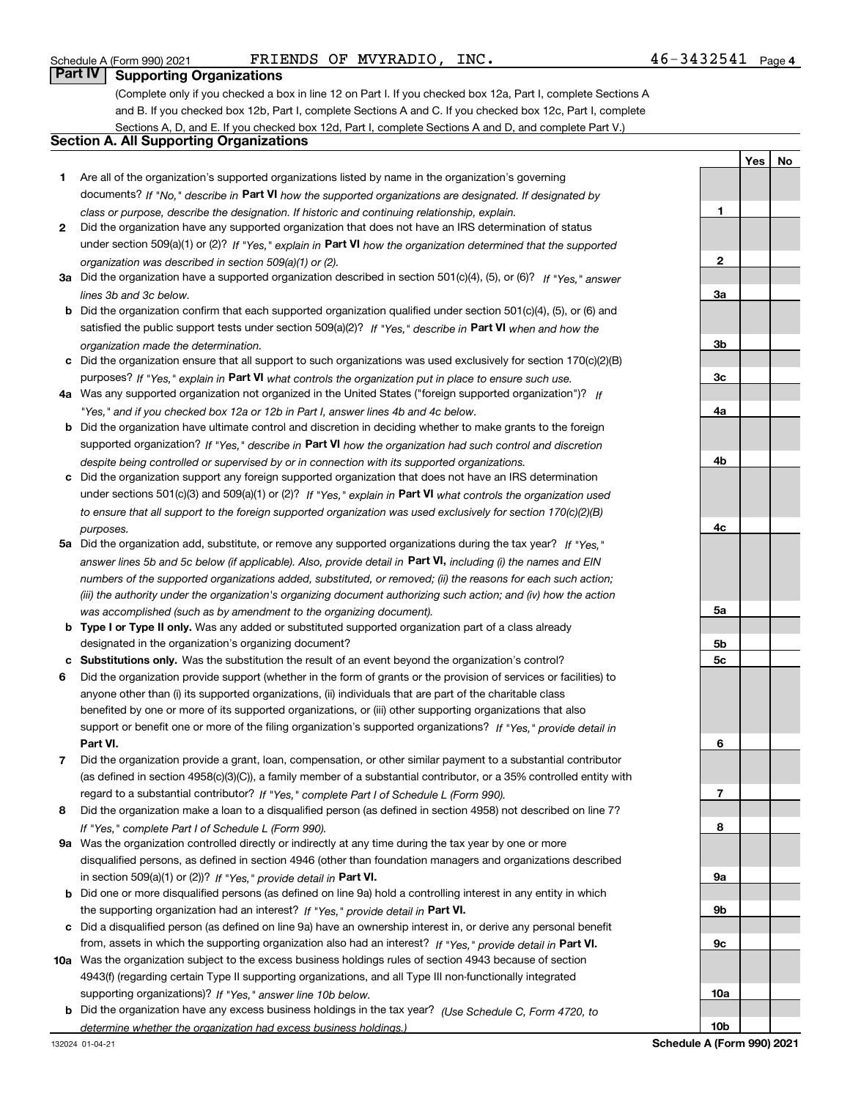supporting organizations)? If "Yes," answer line 10b below.

*determine whether the organization had excess business holdings.)*

#### Schedule A (Form 990) 2021 Page FRIENDS OF MVYRADIO, INC. 46-3432541**Part IV Supporting Organizations**

(Complete only if you checked a box in line 12 on Part I. If you checked box 12a, Part I, complete Sections A and B. If you checked box 12b, Part I, complete Sections A and C. If you checked box 12c, Part I, complete Sections A, D, and E. If you checked box 12d, Part I, complete Sections A and D, and complete Part V.)

## **Section A. All Supporting Organizations**

- **1** Are all of the organization's supported organizations listed by name in the organization's governing documents? If "No," describe in **Part VI** how the supported organizations are designated. If designated by *class or purpose, describe the designation. If historic and continuing relationship, explain.*
- **2** Did the organization have any supported organization that does not have an IRS determination of status under section 509(a)(1) or (2)? If "Yes," explain in Part VI how the organization determined that the supported *organization was described in section 509(a)(1) or (2).*
- **3a** Did the organization have a supported organization described in section 501(c)(4), (5), or (6)? If "Yes," answer *lines 3b and 3c below.*
- **b** Did the organization confirm that each supported organization qualified under section 501(c)(4), (5), or (6) and satisfied the public support tests under section 509(a)(2)? If "Yes," describe in **Part VI** when and how the *organization made the determination.*
- **c**Did the organization ensure that all support to such organizations was used exclusively for section 170(c)(2)(B) purposes? If "Yes," explain in **Part VI** what controls the organization put in place to ensure such use.
- **4a***If* Was any supported organization not organized in the United States ("foreign supported organization")? *"Yes," and if you checked box 12a or 12b in Part I, answer lines 4b and 4c below.*
- **b** Did the organization have ultimate control and discretion in deciding whether to make grants to the foreign supported organization? If "Yes," describe in **Part VI** how the organization had such control and discretion *despite being controlled or supervised by or in connection with its supported organizations.*
- **c** Did the organization support any foreign supported organization that does not have an IRS determination under sections 501(c)(3) and 509(a)(1) or (2)? If "Yes," explain in **Part VI** what controls the organization used *to ensure that all support to the foreign supported organization was used exclusively for section 170(c)(2)(B) purposes.*
- **5a***If "Yes,"* Did the organization add, substitute, or remove any supported organizations during the tax year? answer lines 5b and 5c below (if applicable). Also, provide detail in **Part VI,** including (i) the names and EIN *numbers of the supported organizations added, substituted, or removed; (ii) the reasons for each such action; (iii) the authority under the organization's organizing document authorizing such action; and (iv) how the action was accomplished (such as by amendment to the organizing document).*
- **b** Type I or Type II only. Was any added or substituted supported organization part of a class already designated in the organization's organizing document?
- **cSubstitutions only.**  Was the substitution the result of an event beyond the organization's control?
- **6** Did the organization provide support (whether in the form of grants or the provision of services or facilities) to **Part VI.** *If "Yes," provide detail in* support or benefit one or more of the filing organization's supported organizations? anyone other than (i) its supported organizations, (ii) individuals that are part of the charitable class benefited by one or more of its supported organizations, or (iii) other supporting organizations that also
- **7**Did the organization provide a grant, loan, compensation, or other similar payment to a substantial contributor regard to a substantial contributor? If "Yes," complete Part I of Schedule L (Form 990). (as defined in section 4958(c)(3)(C)), a family member of a substantial contributor, or a 35% controlled entity with
- **8** Did the organization make a loan to a disqualified person (as defined in section 4958) not described on line 7? *If "Yes," complete Part I of Schedule L (Form 990).*
- **9a** Was the organization controlled directly or indirectly at any time during the tax year by one or more in section 509(a)(1) or (2))? If "Yes," *provide detail in* <code>Part VI.</code> disqualified persons, as defined in section 4946 (other than foundation managers and organizations described
- **b** Did one or more disqualified persons (as defined on line 9a) hold a controlling interest in any entity in which the supporting organization had an interest? If "Yes," provide detail in P**art VI**.
- **c**Did a disqualified person (as defined on line 9a) have an ownership interest in, or derive any personal benefit from, assets in which the supporting organization also had an interest? If "Yes," provide detail in P**art VI.**
- **10a** Was the organization subject to the excess business holdings rules of section 4943 because of section 4943(f) (regarding certain Type II supporting organizations, and all Type III non-functionally integrated
	- **b** Did the organization have any excess business holdings in the tax year? (Use Schedule C, Form 4720, to



**YesNo**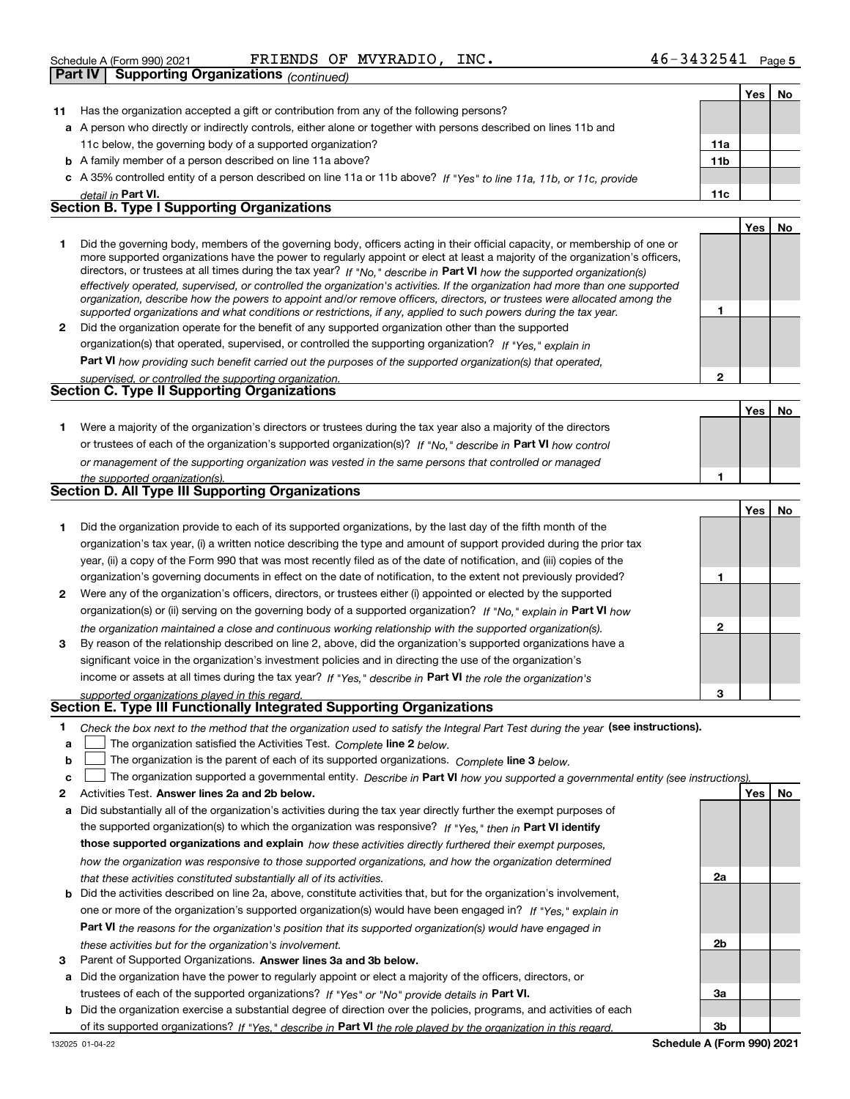|  | Schedule A (Form 990) 2021 |  |  | FRIENDS OF MVYRADIO, | INC. | 46-3432541 | Page 5 |
|--|----------------------------|--|--|----------------------|------|------------|--------|
|--|----------------------------|--|--|----------------------|------|------------|--------|

|              | <b>Supporting Organizations (continued)</b><br><b>Part IV</b>                                                                                                                                                                                            |                 |            |    |
|--------------|----------------------------------------------------------------------------------------------------------------------------------------------------------------------------------------------------------------------------------------------------------|-----------------|------------|----|
|              |                                                                                                                                                                                                                                                          |                 | <b>Yes</b> | No |
| 11           | Has the organization accepted a gift or contribution from any of the following persons?                                                                                                                                                                  |                 |            |    |
|              | a A person who directly or indirectly controls, either alone or together with persons described on lines 11b and                                                                                                                                         |                 |            |    |
|              | 11c below, the governing body of a supported organization?                                                                                                                                                                                               | 11a             |            |    |
|              | <b>b</b> A family member of a person described on line 11a above?                                                                                                                                                                                        | 11 <sub>b</sub> |            |    |
|              | c A 35% controlled entity of a person described on line 11a or 11b above? If "Yes" to line 11a, 11b, or 11c, provide                                                                                                                                     |                 |            |    |
|              | detail in Part VI.                                                                                                                                                                                                                                       | 11c             |            |    |
|              | <b>Section B. Type I Supporting Organizations</b>                                                                                                                                                                                                        |                 |            |    |
|              |                                                                                                                                                                                                                                                          |                 | <b>Yes</b> | No |
| 1            | Did the governing body, members of the governing body, officers acting in their official capacity, or membership of one or                                                                                                                               |                 |            |    |
|              | more supported organizations have the power to regularly appoint or elect at least a majority of the organization's officers,<br>directors, or trustees at all times during the tax year? If "No," describe in Part VI how the supported organization(s) |                 |            |    |
|              | effectively operated, supervised, or controlled the organization's activities. If the organization had more than one supported                                                                                                                           |                 |            |    |
|              | organization, describe how the powers to appoint and/or remove officers, directors, or trustees were allocated among the                                                                                                                                 |                 |            |    |
|              | supported organizations and what conditions or restrictions, if any, applied to such powers during the tax year.                                                                                                                                         | 1               |            |    |
| $\mathbf{2}$ | Did the organization operate for the benefit of any supported organization other than the supported                                                                                                                                                      |                 |            |    |
|              | organization(s) that operated, supervised, or controlled the supporting organization? If "Yes," explain in                                                                                                                                               |                 |            |    |
|              | Part VI how providing such benefit carried out the purposes of the supported organization(s) that operated,                                                                                                                                              |                 |            |    |
|              | supervised, or controlled the supporting organization.<br>Section C. Type II Supporting Organizations                                                                                                                                                    | $\mathbf{2}$    |            |    |
|              |                                                                                                                                                                                                                                                          |                 |            |    |
|              |                                                                                                                                                                                                                                                          |                 | <b>Yes</b> | No |
| 1            | Were a majority of the organization's directors or trustees during the tax year also a majority of the directors                                                                                                                                         |                 |            |    |
|              | or trustees of each of the organization's supported organization(s)? If "No," describe in Part VI how control                                                                                                                                            |                 |            |    |
|              | or management of the supporting organization was vested in the same persons that controlled or managed                                                                                                                                                   |                 |            |    |
|              | the supported organization(s).<br><b>Section D. All Type III Supporting Organizations</b>                                                                                                                                                                | 1               |            |    |
|              |                                                                                                                                                                                                                                                          |                 |            |    |
|              |                                                                                                                                                                                                                                                          |                 | Yes        | No |
| 1            | Did the organization provide to each of its supported organizations, by the last day of the fifth month of the                                                                                                                                           |                 |            |    |
|              | organization's tax year, (i) a written notice describing the type and amount of support provided during the prior tax                                                                                                                                    |                 |            |    |
|              | year, (ii) a copy of the Form 990 that was most recently filed as of the date of notification, and (iii) copies of the                                                                                                                                   |                 |            |    |
|              | organization's governing documents in effect on the date of notification, to the extent not previously provided?                                                                                                                                         | 1               |            |    |
| 2            | Were any of the organization's officers, directors, or trustees either (i) appointed or elected by the supported                                                                                                                                         |                 |            |    |
|              | organization(s) or (ii) serving on the governing body of a supported organization? If "No," explain in Part VI how                                                                                                                                       |                 |            |    |
|              | the organization maintained a close and continuous working relationship with the supported organization(s).<br>By reason of the relationship described on line 2, above, did the examization's supported examizations hove a                             | $\mathbf{2}$    |            |    |

**3**income or assets at all times during the tax year? If "Yes," describe in **Part VI** the role the organization's By reason of the relationship described on line 2, above, did the organization's supported organizations have a significant voice in the organization's investment policies and in directing the use of the organization's

#### *supported organizations played in this regard.* **Section E. Type III Functionally Integrated Supporting Organizations**

|  | Check the box next to the method that the organization used to satisfy the Integral Part Test during the year (see instructions). |  |  |  |
|--|-----------------------------------------------------------------------------------------------------------------------------------|--|--|--|
|--|-----------------------------------------------------------------------------------------------------------------------------------|--|--|--|

- **a**The organization satisfied the Activities Test. *Complete* line 2 below.  $\mathcal{L}^{\text{max}}$
- **b**The organization is the parent of each of its supported organizations. *Complete* line 3 *below.*  $\mathcal{L}^{\text{max}}$

|  |  | c $\Box$ The organization supported a governmental entity. Describe in Part VI how you supported a governmental entity (see instructions) |  |  |  |  |  |
|--|--|-------------------------------------------------------------------------------------------------------------------------------------------|--|--|--|--|--|
|--|--|-------------------------------------------------------------------------------------------------------------------------------------------|--|--|--|--|--|

- **2Answer lines 2a and 2b below. Yes No** Activities Test.
- **a** Did substantially all of the organization's activities during the tax year directly further the exempt purposes of the supported organization(s) to which the organization was responsive? If "Yes," then in **Part VI identify those supported organizations and explain**  *how these activities directly furthered their exempt purposes, how the organization was responsive to those supported organizations, and how the organization determined that these activities constituted substantially all of its activities.*
- **b** Did the activities described on line 2a, above, constitute activities that, but for the organization's involvement, **Part VI**  *the reasons for the organization's position that its supported organization(s) would have engaged in* one or more of the organization's supported organization(s) would have been engaged in? If "Yes," e*xplain in these activities but for the organization's involvement.*
- **3** Parent of Supported Organizations. Answer lines 3a and 3b below.
- **a** Did the organization have the power to regularly appoint or elect a majority of the officers, directors, or trustees of each of the supported organizations? If "Yes" or "No" provide details in **Part VI.**
- **b** Did the organization exercise a substantial degree of direction over the policies, programs, and activities of each of its supported organizations? If "Yes," describe in Part VI the role played by the organization in this regard.

**3a**

**2a 2b**

**3**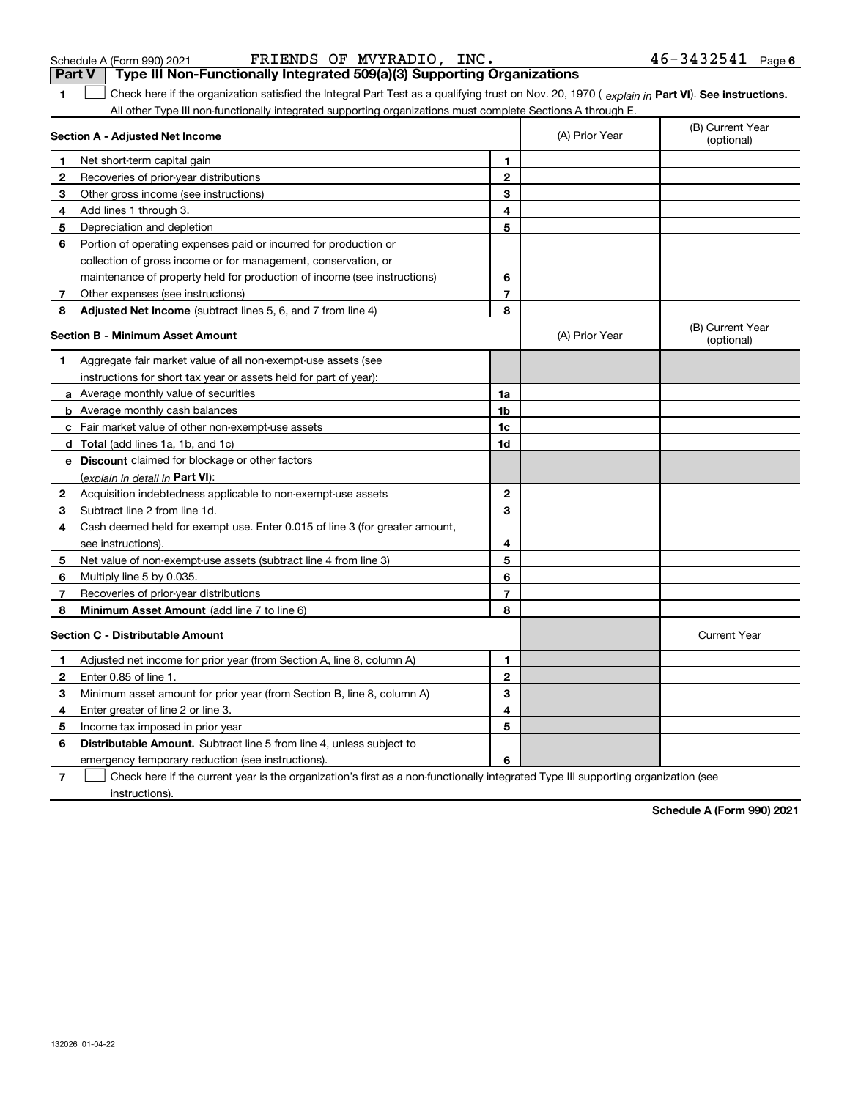|   | FRIENDS OF MVYRADIO, INC.<br>Schedule A (Form 990) 2021                                                                                                                                                                                                       |              |                | 46-3432541<br>Page 6           |
|---|---------------------------------------------------------------------------------------------------------------------------------------------------------------------------------------------------------------------------------------------------------------|--------------|----------------|--------------------------------|
|   | Type III Non-Functionally Integrated 509(a)(3) Supporting Organizations<br>Part V                                                                                                                                                                             |              |                |                                |
|   | Check here if the organization satisfied the Integral Part Test as a qualifying trust on Nov. 20, 1970 (explain in Part VI). See instructions.<br>All other Type III non-functionally integrated supporting organizations must complete Sections A through E. |              |                |                                |
|   | Section A - Adjusted Net Income                                                                                                                                                                                                                               |              | (A) Prior Year | (B) Current Year<br>(optional) |
|   | Net short-term capital gain                                                                                                                                                                                                                                   |              |                |                                |
|   | Recoveries of prior-year distributions                                                                                                                                                                                                                        | $\mathbf{2}$ |                |                                |
| з | Other gross income (see instructions)                                                                                                                                                                                                                         | 3            |                |                                |
| 4 | Add lines 1 through 3.                                                                                                                                                                                                                                        | 4            |                |                                |
| 5 | Depreciation and depletion                                                                                                                                                                                                                                    | 5            |                |                                |
| 6 | Portion of operating expenses paid or incurred for production or<br>collection of gross income or for management, conservation, or<br>maintenance of property held for production of income (see instructions)                                                | 6            |                |                                |
|   | Other expenses (see instructions)                                                                                                                                                                                                                             | 7            |                |                                |
| 8 | <b>Adjusted Net Income</b> (subtract lines 5, 6, and 7 from line 4)                                                                                                                                                                                           | 8            |                |                                |
|   | <b>Section B - Minimum Asset Amount</b>                                                                                                                                                                                                                       |              | (A) Prior Year | (B) Current Year<br>(          |

instructions).

**Schedule A (Form 990) 2021**

**Section B - Minimum Asset Amount 1**Aggregate fair market value of all non-exempt-use assets (see **2**Acquisition indebtedness applicable to non-exempt-use assets **3** Subtract line 2 from line 1d. **4**Cash deemed held for exempt use. Enter 0.015 of line 3 (for greater amount, **5** Net value of non-exempt-use assets (subtract line 4 from line 3) **678a** Average monthly value of securities **b** Average monthly cash balances **c**Fair market value of other non-exempt-use assets **dTotal**  (add lines 1a, 1b, and 1c) **eDiscount** claimed for blockage or other factors **1a1b1c 1d2345678**(explain in detail in Part VI): **Minimum Asset Amount**  (add line 7 to line 6) **Section C - Distributable Amount 1234567123456Distributable Amount.** Subtract line 5 from line 4, unless subject to (B) Current Year (optional)(A) Prior Year instructions for short tax year or assets held for part of year): see instructions). Multiply line 5 by 0.035. Recoveries of prior-year distributions Current Year Adjusted net income for prior year (from Section A, line 8, column A) Enter 0.85 of line 1. Minimum asset amount for prior year (from Section B, line 8, column A) Enter greater of line 2 or line 3. Income tax imposed in prior year emergency temporary reduction (see instructions). Check here if the current year is the organization's first as a non-functionally integrated Type III supporting organization (see  $\mathcal{L}^{\text{max}}$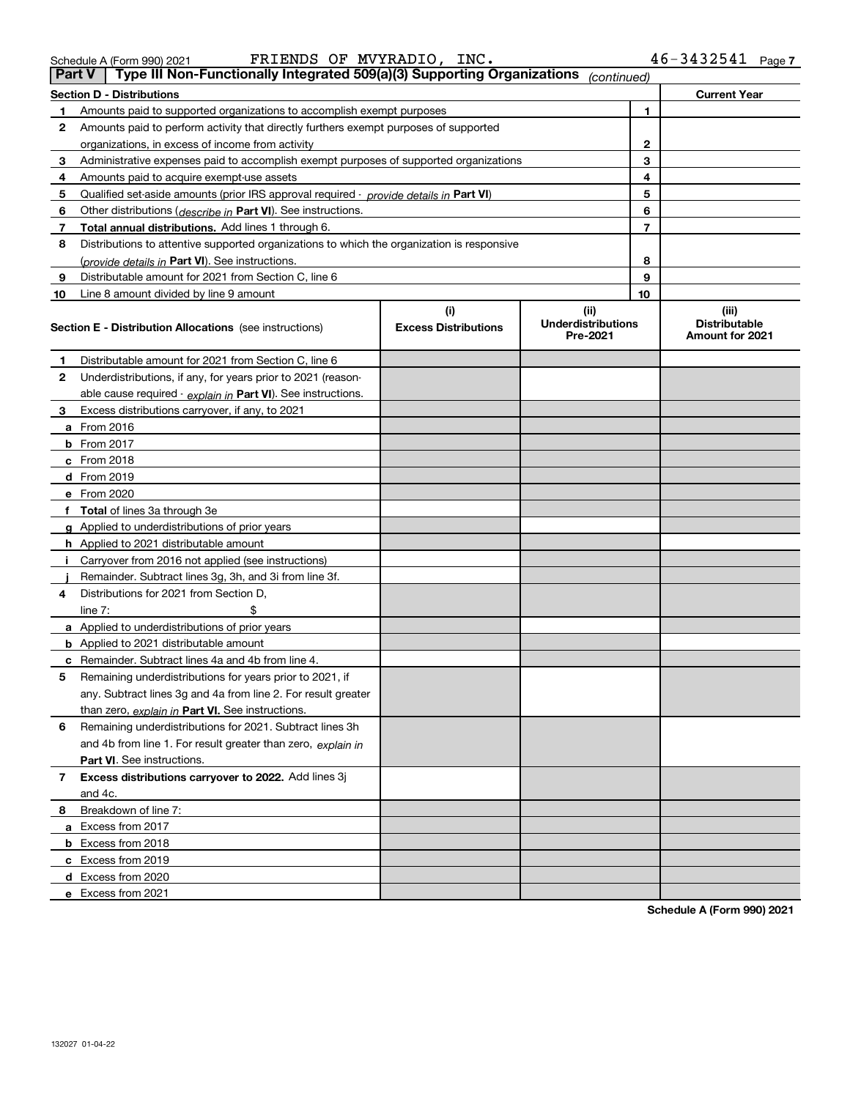| 3chedule A (Form 990) 2021 |  |  |
|----------------------------|--|--|
|                            |  |  |

| Schedule A (Form 990) 2021 |  | FRIENDS OF MVYRADIO, | INC. | 46-3432541 | Page |
|----------------------------|--|----------------------|------|------------|------|
|                            |  |                      |      |            |      |

| <b>Part V</b> | Type III Non-Functionally Integrated 509(a)(3) Supporting Organizations                    |                             | (continued)                           |                |                                         |
|---------------|--------------------------------------------------------------------------------------------|-----------------------------|---------------------------------------|----------------|-----------------------------------------|
|               | <b>Section D - Distributions</b>                                                           |                             |                                       |                | <b>Current Year</b>                     |
| 1             | Amounts paid to supported organizations to accomplish exempt purposes                      |                             |                                       | 1              |                                         |
| 2             | Amounts paid to perform activity that directly furthers exempt purposes of supported       |                             |                                       |                |                                         |
|               | organizations, in excess of income from activity                                           |                             | 2                                     |                |                                         |
| 3             | Administrative expenses paid to accomplish exempt purposes of supported organizations      | 3                           |                                       |                |                                         |
| 4             | Amounts paid to acquire exempt-use assets                                                  |                             |                                       | 4              |                                         |
| 5             | Qualified set-aside amounts (prior IRS approval required - provide details in Part VI)     |                             |                                       | 5              |                                         |
| 6             | Other distributions ( <i>describe in</i> Part VI). See instructions.                       |                             |                                       | 6              |                                         |
| 7             | Total annual distributions. Add lines 1 through 6.                                         |                             |                                       | $\overline{7}$ |                                         |
| 8             | Distributions to attentive supported organizations to which the organization is responsive |                             |                                       |                |                                         |
|               | (provide details in Part VI). See instructions.                                            |                             |                                       | 8              |                                         |
| 9             | Distributable amount for 2021 from Section C, line 6                                       |                             |                                       | 9              |                                         |
| 10            | Line 8 amount divided by line 9 amount                                                     |                             |                                       | 10             |                                         |
|               |                                                                                            | (i)                         | (ii)                                  |                | (iii)                                   |
|               | Section E - Distribution Allocations (see instructions)                                    | <b>Excess Distributions</b> | <b>Underdistributions</b><br>Pre-2021 |                | <b>Distributable</b><br>Amount for 2021 |
| 1             | Distributable amount for 2021 from Section C, line 6                                       |                             |                                       |                |                                         |
| 2             | Underdistributions, if any, for years prior to 2021 (reason-                               |                             |                                       |                |                                         |
|               | able cause required - explain in Part VI). See instructions.                               |                             |                                       |                |                                         |
| 3             | Excess distributions carryover, if any, to 2021                                            |                             |                                       |                |                                         |
|               | a From 2016                                                                                |                             |                                       |                |                                         |
|               | <b>b</b> From 2017                                                                         |                             |                                       |                |                                         |
|               | $c$ From 2018                                                                              |                             |                                       |                |                                         |
|               | d From 2019                                                                                |                             |                                       |                |                                         |
|               | e From 2020                                                                                |                             |                                       |                |                                         |
|               | f Total of lines 3a through 3e                                                             |                             |                                       |                |                                         |
|               | g Applied to underdistributions of prior years                                             |                             |                                       |                |                                         |
|               | h Applied to 2021 distributable amount                                                     |                             |                                       |                |                                         |
|               | Carryover from 2016 not applied (see instructions)                                         |                             |                                       |                |                                         |
|               | Remainder. Subtract lines 3g, 3h, and 3i from line 3f.                                     |                             |                                       |                |                                         |
| 4             | Distributions for 2021 from Section D,                                                     |                             |                                       |                |                                         |
|               | line $7:$                                                                                  |                             |                                       |                |                                         |
|               | a Applied to underdistributions of prior years                                             |                             |                                       |                |                                         |
|               | <b>b</b> Applied to 2021 distributable amount                                              |                             |                                       |                |                                         |
|               | c Remainder. Subtract lines 4a and 4b from line 4.                                         |                             |                                       |                |                                         |
| 5.            | Remaining underdistributions for years prior to 2021, if                                   |                             |                                       |                |                                         |
|               | any. Subtract lines 3g and 4a from line 2. For result greater                              |                             |                                       |                |                                         |
|               | than zero, explain in Part VI. See instructions.                                           |                             |                                       |                |                                         |
| 6             | Remaining underdistributions for 2021. Subtract lines 3h                                   |                             |                                       |                |                                         |
|               | and 4b from line 1. For result greater than zero, explain in                               |                             |                                       |                |                                         |
|               | <b>Part VI.</b> See instructions.                                                          |                             |                                       |                |                                         |
| 7             | Excess distributions carryover to 2022. Add lines 3j                                       |                             |                                       |                |                                         |
|               | and 4c.                                                                                    |                             |                                       |                |                                         |
| 8             | Breakdown of line 7:                                                                       |                             |                                       |                |                                         |
|               | a Excess from 2017                                                                         |                             |                                       |                |                                         |
|               | <b>b</b> Excess from 2018                                                                  |                             |                                       |                |                                         |
|               | c Excess from 2019                                                                         |                             |                                       |                |                                         |
|               | d Excess from 2020                                                                         |                             |                                       |                |                                         |
|               | e Excess from 2021                                                                         |                             |                                       |                |                                         |

**Schedule A (Form 990) 2021**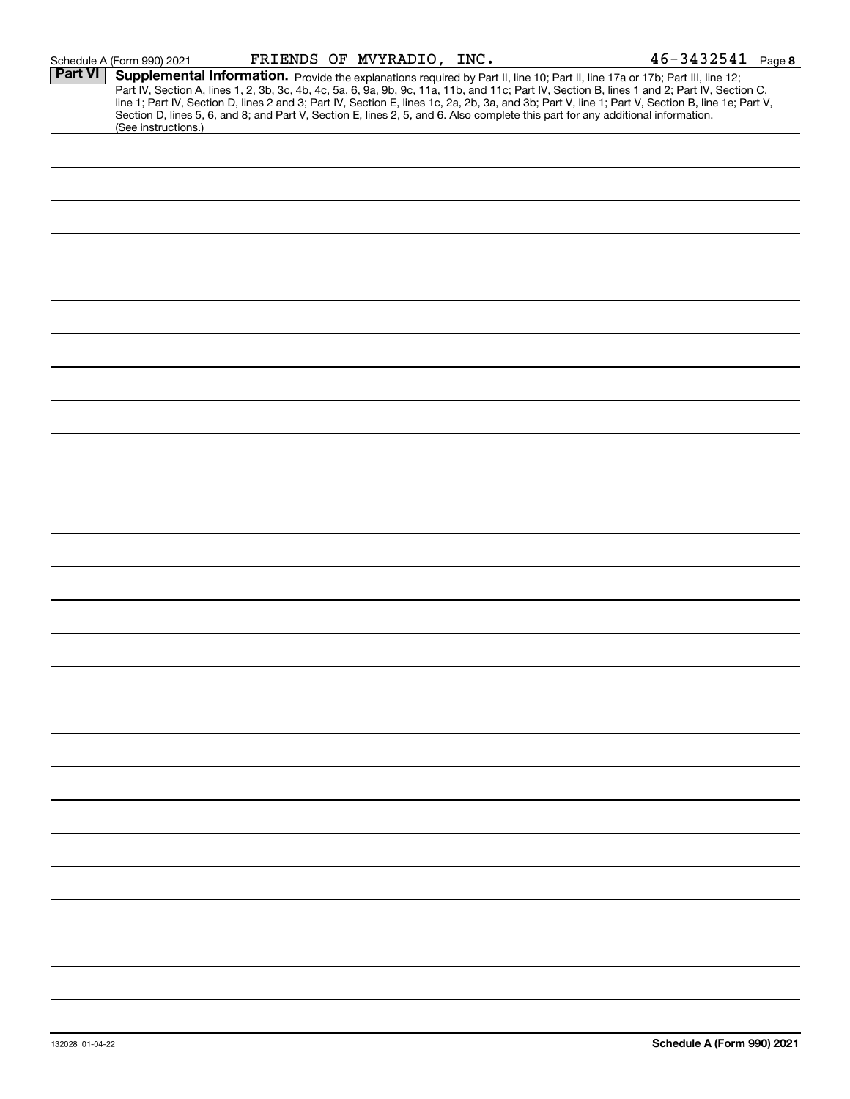|                | Schedule A (Form 990) 2021 | FRIENDS OF MVYRADIO, INC. |                                                                                                                                 | $46 - 3432541$ Page 8                                                                                                                                                                                                                                                                                                                                                                 |
|----------------|----------------------------|---------------------------|---------------------------------------------------------------------------------------------------------------------------------|---------------------------------------------------------------------------------------------------------------------------------------------------------------------------------------------------------------------------------------------------------------------------------------------------------------------------------------------------------------------------------------|
| <b>Part VI</b> |                            |                           | Section D, lines 5, 6, and 8; and Part V, Section E, lines 2, 5, and 6. Also complete this part for any additional information. | Supplemental Information. Provide the explanations required by Part II, line 10; Part II, line 17a or 17b; Part III, line 12;<br>Part IV, Section A, lines 1, 2, 3b, 3c, 4b, 4c, 5a, 6, 9a, 9b, 9c, 11a, 11b, and 11c; Part IV, S<br>line 1; Part IV, Section D, lines 2 and 3; Part IV, Section E, lines 1c, 2a, 2b, 3a, and 3b; Part V, line 1; Part V, Section B, line 1e; Part V, |
|                | (See instructions.)        |                           |                                                                                                                                 |                                                                                                                                                                                                                                                                                                                                                                                       |
|                |                            |                           |                                                                                                                                 |                                                                                                                                                                                                                                                                                                                                                                                       |
|                |                            |                           |                                                                                                                                 |                                                                                                                                                                                                                                                                                                                                                                                       |
|                |                            |                           |                                                                                                                                 |                                                                                                                                                                                                                                                                                                                                                                                       |
|                |                            |                           |                                                                                                                                 |                                                                                                                                                                                                                                                                                                                                                                                       |
|                |                            |                           |                                                                                                                                 |                                                                                                                                                                                                                                                                                                                                                                                       |
|                |                            |                           |                                                                                                                                 |                                                                                                                                                                                                                                                                                                                                                                                       |
|                |                            |                           |                                                                                                                                 |                                                                                                                                                                                                                                                                                                                                                                                       |
|                |                            |                           |                                                                                                                                 |                                                                                                                                                                                                                                                                                                                                                                                       |
|                |                            |                           |                                                                                                                                 |                                                                                                                                                                                                                                                                                                                                                                                       |
|                |                            |                           |                                                                                                                                 |                                                                                                                                                                                                                                                                                                                                                                                       |
|                |                            |                           |                                                                                                                                 |                                                                                                                                                                                                                                                                                                                                                                                       |
|                |                            |                           |                                                                                                                                 |                                                                                                                                                                                                                                                                                                                                                                                       |
|                |                            |                           |                                                                                                                                 |                                                                                                                                                                                                                                                                                                                                                                                       |
|                |                            |                           |                                                                                                                                 |                                                                                                                                                                                                                                                                                                                                                                                       |
|                |                            |                           |                                                                                                                                 |                                                                                                                                                                                                                                                                                                                                                                                       |
|                |                            |                           |                                                                                                                                 |                                                                                                                                                                                                                                                                                                                                                                                       |
|                |                            |                           |                                                                                                                                 |                                                                                                                                                                                                                                                                                                                                                                                       |
|                |                            |                           |                                                                                                                                 |                                                                                                                                                                                                                                                                                                                                                                                       |
|                |                            |                           |                                                                                                                                 |                                                                                                                                                                                                                                                                                                                                                                                       |
|                |                            |                           |                                                                                                                                 |                                                                                                                                                                                                                                                                                                                                                                                       |
|                |                            |                           |                                                                                                                                 |                                                                                                                                                                                                                                                                                                                                                                                       |
|                |                            |                           |                                                                                                                                 |                                                                                                                                                                                                                                                                                                                                                                                       |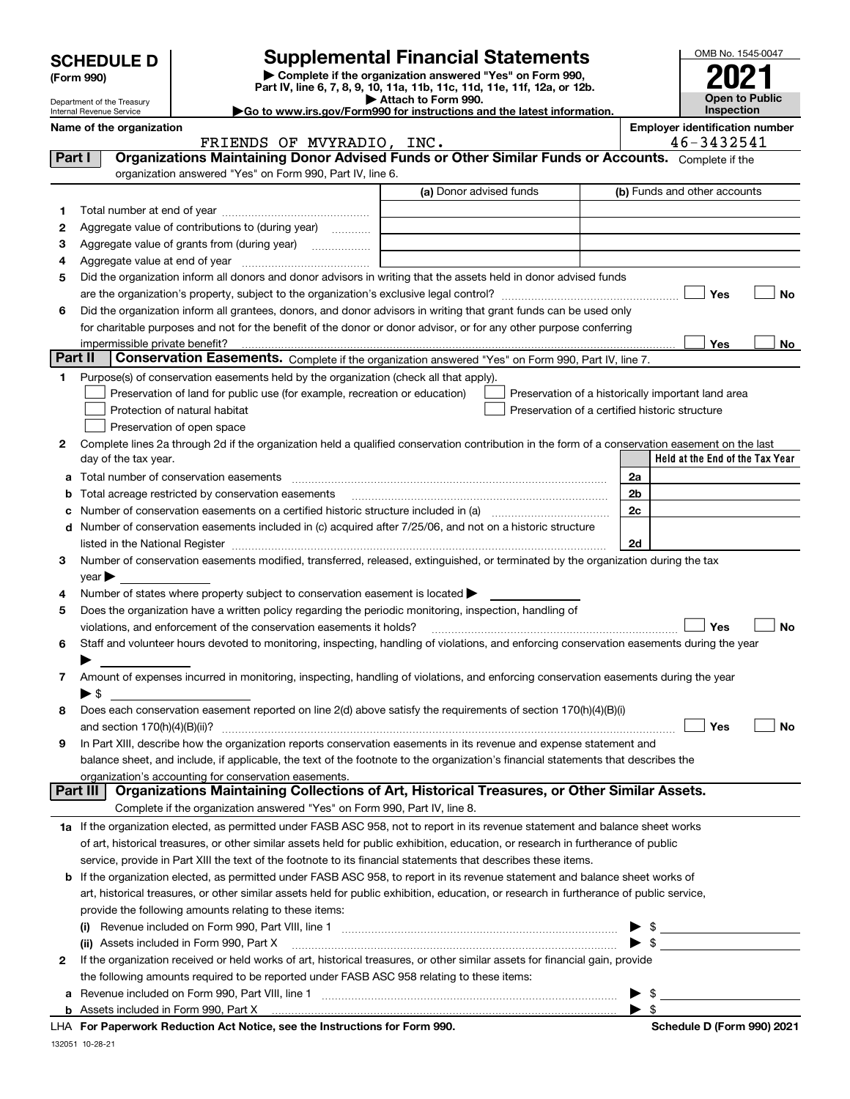|         |                                                        |                                                                                                                                                                |                         |                                                                                                      |                | OMB No. 1545-0047                     |
|---------|--------------------------------------------------------|----------------------------------------------------------------------------------------------------------------------------------------------------------------|-------------------------|------------------------------------------------------------------------------------------------------|----------------|---------------------------------------|
|         | <b>SCHEDULE D</b>                                      | <b>Supplemental Financial Statements</b>                                                                                                                       |                         |                                                                                                      |                |                                       |
|         | (Form 990)                                             | Complete if the organization answered "Yes" on Form 990,<br>Part IV, line 6, 7, 8, 9, 10, 11a, 11b, 11c, 11d, 11e, 11f, 12a, or 12b.                           |                         |                                                                                                      |                |                                       |
|         | Department of the Treasury<br>Internal Revenue Service | Go to www.irs.gov/Form990 for instructions and the latest information.                                                                                         | Attach to Form 990.     |                                                                                                      |                | <b>Open to Public</b><br>Inspection   |
|         | Name of the organization                               |                                                                                                                                                                |                         |                                                                                                      |                | <b>Employer identification number</b> |
|         |                                                        | FRIENDS OF MVYRADIO, INC.                                                                                                                                      |                         |                                                                                                      |                | 46-3432541                            |
| Part I  |                                                        | Organizations Maintaining Donor Advised Funds or Other Similar Funds or Accounts. Complete if the<br>organization answered "Yes" on Form 990, Part IV, line 6. |                         |                                                                                                      |                |                                       |
|         |                                                        |                                                                                                                                                                | (a) Donor advised funds |                                                                                                      |                | (b) Funds and other accounts          |
| 1       |                                                        |                                                                                                                                                                |                         |                                                                                                      |                |                                       |
| 2       |                                                        | Aggregate value of contributions to (during year)                                                                                                              |                         |                                                                                                      |                |                                       |
| 3       |                                                        |                                                                                                                                                                |                         |                                                                                                      |                |                                       |
| 4       |                                                        |                                                                                                                                                                |                         |                                                                                                      |                |                                       |
| 5       |                                                        | Did the organization inform all donors and donor advisors in writing that the assets held in donor advised funds                                               |                         |                                                                                                      |                |                                       |
|         |                                                        |                                                                                                                                                                |                         |                                                                                                      |                | Yes<br><b>No</b>                      |
| 6       |                                                        | Did the organization inform all grantees, donors, and donor advisors in writing that grant funds can be used only                                              |                         |                                                                                                      |                |                                       |
|         |                                                        | for charitable purposes and not for the benefit of the donor or donor advisor, or for any other purpose conferring                                             |                         |                                                                                                      |                |                                       |
|         | impermissible private benefit?                         |                                                                                                                                                                |                         |                                                                                                      |                | Yes<br>No                             |
| Part II |                                                        | Conservation Easements. Complete if the organization answered "Yes" on Form 990, Part IV, line 7.                                                              |                         |                                                                                                      |                |                                       |
| 1       |                                                        | Purpose(s) of conservation easements held by the organization (check all that apply).                                                                          |                         |                                                                                                      |                |                                       |
|         |                                                        | Preservation of land for public use (for example, recreation or education)<br>Protection of natural habitat                                                    |                         | Preservation of a historically important land area<br>Preservation of a certified historic structure |                |                                       |
|         |                                                        | Preservation of open space                                                                                                                                     |                         |                                                                                                      |                |                                       |
| 2       |                                                        | Complete lines 2a through 2d if the organization held a qualified conservation contribution in the form of a conservation easement on the last                 |                         |                                                                                                      |                |                                       |
|         | day of the tax year.                                   |                                                                                                                                                                |                         |                                                                                                      |                | Held at the End of the Tax Year       |
|         |                                                        | Total number of conservation easements                                                                                                                         |                         |                                                                                                      | 2a             |                                       |
| b       |                                                        | Total acreage restricted by conservation easements                                                                                                             |                         |                                                                                                      | 2b             |                                       |
|         |                                                        | Number of conservation easements on a certified historic structure included in (a) manufacture included in (a)                                                 |                         |                                                                                                      | 2 <sub>c</sub> |                                       |
|         |                                                        | d Number of conservation easements included in (c) acquired after 7/25/06, and not on a historic structure                                                     |                         |                                                                                                      |                |                                       |
|         |                                                        |                                                                                                                                                                |                         |                                                                                                      | 2d             |                                       |
| з       | $year \blacktriangleright$                             | Number of conservation easements modified, transferred, released, extinguished, or terminated by the organization during the tax                               |                         |                                                                                                      |                |                                       |
| 4       |                                                        | Number of states where property subject to conservation easement is located $\blacktriangleright$                                                              |                         |                                                                                                      |                |                                       |
| 5       |                                                        | Does the organization have a written policy regarding the periodic monitoring, inspection, handling of                                                         |                         |                                                                                                      |                |                                       |
|         |                                                        | violations, and enforcement of the conservation easements it holds?                                                                                            |                         |                                                                                                      |                | Yes<br><b>No</b>                      |
|         |                                                        | Staff and volunteer hours devoted to monitoring, inspecting, handling of violations, and enforcing conservation easements during the year                      |                         |                                                                                                      |                |                                       |
| 7       |                                                        | Amount of expenses incurred in monitoring, inspecting, handling of violations, and enforcing conservation easements during the year                            |                         |                                                                                                      |                |                                       |
|         | $\blacktriangleright$ s                                |                                                                                                                                                                |                         |                                                                                                      |                |                                       |
| 8       |                                                        | Does each conservation easement reported on line 2(d) above satisfy the requirements of section 170(h)(4)(B)(i)                                                |                         |                                                                                                      |                |                                       |
|         |                                                        |                                                                                                                                                                |                         |                                                                                                      |                | Yes<br>No                             |
| 9       |                                                        | In Part XIII, describe how the organization reports conservation easements in its revenue and expense statement and                                            |                         |                                                                                                      |                |                                       |
|         |                                                        | balance sheet, and include, if applicable, the text of the footnote to the organization's financial statements that describes the                              |                         |                                                                                                      |                |                                       |
|         | Part III                                               | organization's accounting for conservation easements.<br>Organizations Maintaining Collections of Art, Historical Treasures, or Other Similar Assets.          |                         |                                                                                                      |                |                                       |
|         |                                                        | Complete if the organization answered "Yes" on Form 990, Part IV, line 8.                                                                                      |                         |                                                                                                      |                |                                       |
|         |                                                        | 1a If the organization elected, as permitted under FASB ASC 958, not to report in its revenue statement and balance sheet works                                |                         |                                                                                                      |                |                                       |
|         |                                                        | of art, historical treasures, or other similar assets held for public exhibition, education, or research in furtherance of public                              |                         |                                                                                                      |                |                                       |
|         |                                                        | service, provide in Part XIII the text of the footnote to its financial statements that describes these items.                                                 |                         |                                                                                                      |                |                                       |
|         |                                                        | <b>b</b> If the organization elected, as permitted under FASB ASC 958, to report in its revenue statement and balance sheet works of                           |                         |                                                                                                      |                |                                       |
|         |                                                        | art, historical treasures, or other similar assets held for public exhibition, education, or research in furtherance of public service,                        |                         |                                                                                                      |                |                                       |
|         |                                                        | provide the following amounts relating to these items:                                                                                                         |                         |                                                                                                      |                |                                       |
|         |                                                        | Revenue included on Form 990, Part VIII, line 1 [2000] [2000] [2000] [2000] [2000] [2000] [2000] [2000] [2000                                                  |                         |                                                                                                      | -\$            |                                       |
|         |                                                        | (ii) Assets included in Form 990, Part X                                                                                                                       |                         |                                                                                                      | -\$            |                                       |
| 2       |                                                        | If the organization received or held works of art, historical treasures, or other similar assets for financial gain, provide                                   |                         |                                                                                                      |                |                                       |
|         |                                                        | the following amounts required to be reported under FASB ASC 958 relating to these items:                                                                      |                         |                                                                                                      |                |                                       |

|  | LHA For Paperwork Reduction Act Notice, see the Instructions for Form 990. |  |  |
|--|----------------------------------------------------------------------------|--|--|
|--|----------------------------------------------------------------------------|--|--|

**a**Revenue included on Form 990, Part VIII, line 1 ~~~~~~~~~~~~~~~~~~~~~~~~~~~~~~

**For Paperwork Reduction Act Notice, Schedule D (Form 990) 2021** 

 $\blacktriangleright$  \$

 $\blacktriangleright$  \$

132051 10-28-21

**b** Assets included in Form 990, Part X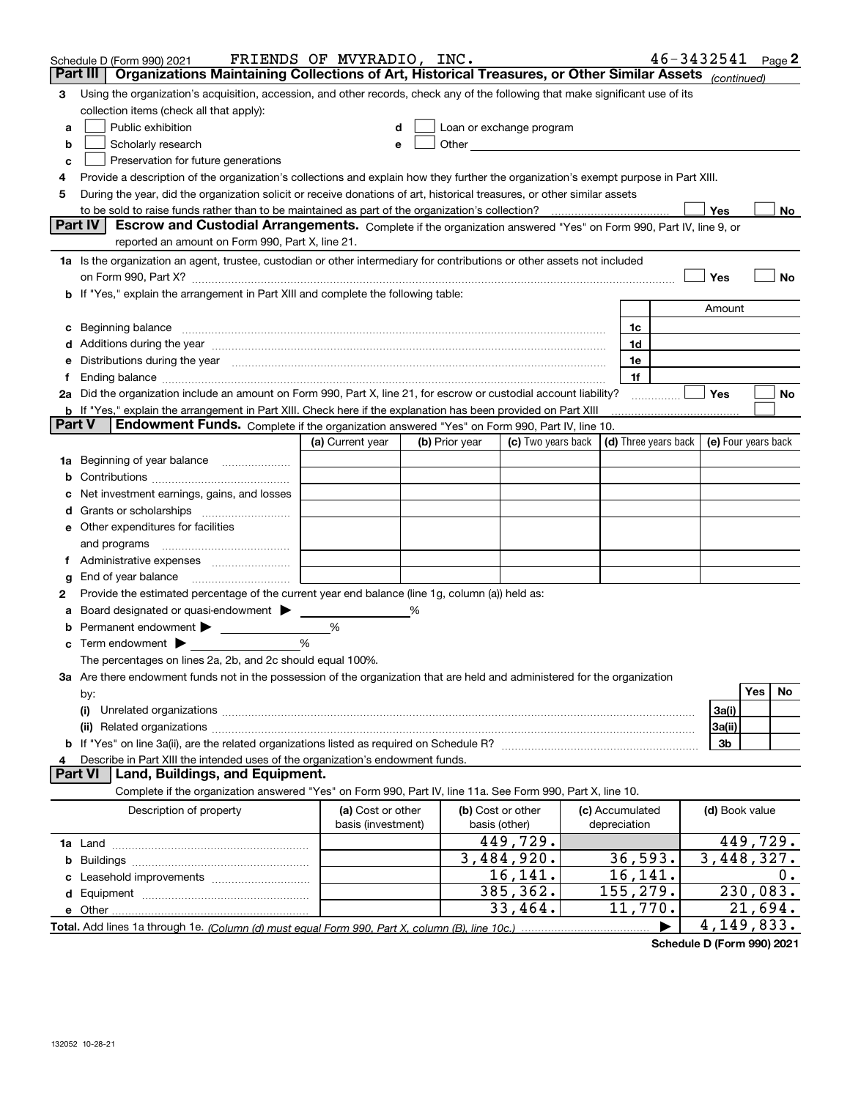|                 | Schedule D (Form 990) 2021                                                                                                                                                                                                     | FRIENDS OF MVYRADIO, INC. |   |                   |                          |                 | 46-3432541     | Page $2$                                                 |
|-----------------|--------------------------------------------------------------------------------------------------------------------------------------------------------------------------------------------------------------------------------|---------------------------|---|-------------------|--------------------------|-----------------|----------------|----------------------------------------------------------|
| <b>Part III</b> | Organizations Maintaining Collections of Art, Historical Treasures, or Other Similar Assets (continued)                                                                                                                        |                           |   |                   |                          |                 |                |                                                          |
| З               | Using the organization's acquisition, accession, and other records, check any of the following that make significant use of its                                                                                                |                           |   |                   |                          |                 |                |                                                          |
|                 | collection items (check all that apply):                                                                                                                                                                                       |                           |   |                   |                          |                 |                |                                                          |
| a               | Public exhibition                                                                                                                                                                                                              |                           |   |                   | Loan or exchange program |                 |                |                                                          |
| b               | Scholarly research                                                                                                                                                                                                             | е                         |   |                   |                          |                 |                |                                                          |
| c               | Preservation for future generations                                                                                                                                                                                            |                           |   |                   |                          |                 |                |                                                          |
| 4               | Provide a description of the organization's collections and explain how they further the organization's exempt purpose in Part XIII.                                                                                           |                           |   |                   |                          |                 |                |                                                          |
| 5               | During the year, did the organization solicit or receive donations of art, historical treasures, or other similar assets                                                                                                       |                           |   |                   |                          |                 |                |                                                          |
|                 |                                                                                                                                                                                                                                |                           |   |                   |                          |                 | Yes            | No                                                       |
|                 | Part IV<br>Escrow and Custodial Arrangements. Complete if the organization answered "Yes" on Form 990, Part IV, line 9, or                                                                                                     |                           |   |                   |                          |                 |                |                                                          |
|                 | reported an amount on Form 990, Part X, line 21.                                                                                                                                                                               |                           |   |                   |                          |                 |                |                                                          |
|                 | 1a Is the organization an agent, trustee, custodian or other intermediary for contributions or other assets not included                                                                                                       |                           |   |                   |                          |                 |                |                                                          |
|                 |                                                                                                                                                                                                                                |                           |   |                   |                          |                 | Yes            | No                                                       |
|                 | b If "Yes," explain the arrangement in Part XIII and complete the following table:                                                                                                                                             |                           |   |                   |                          |                 | Amount         |                                                          |
|                 |                                                                                                                                                                                                                                |                           |   |                   |                          |                 |                |                                                          |
| c               |                                                                                                                                                                                                                                |                           |   |                   |                          | 1c<br>1d        |                |                                                          |
|                 | Distributions during the year manufactured and continuum and the year manufactured and the year manufactured and the year manufactured and the year manufactured and the year manufactured and the year manufactured and the y |                           |   |                   |                          | 1e              |                |                                                          |
|                 |                                                                                                                                                                                                                                |                           |   |                   |                          | 1f              |                |                                                          |
|                 | 2a Did the organization include an amount on Form 990, Part X, line 21, for escrow or custodial account liability?                                                                                                             |                           |   |                   |                          |                 | Yes            | No                                                       |
|                 | <b>b</b> If "Yes," explain the arrangement in Part XIII. Check here if the explanation has been provided on Part XIII                                                                                                          |                           |   |                   |                          |                 |                |                                                          |
| <b>Part V</b>   | Endowment Funds. Complete if the organization answered "Yes" on Form 990, Part IV, line 10.                                                                                                                                    |                           |   |                   |                          |                 |                |                                                          |
|                 |                                                                                                                                                                                                                                | (a) Current year          |   | (b) Prior year    | (c) Two years back       |                 |                | $\vert$ (d) Three years back $\vert$ (e) Four years back |
| 1a              | Beginning of year balance                                                                                                                                                                                                      |                           |   |                   |                          |                 |                |                                                          |
|                 |                                                                                                                                                                                                                                |                           |   |                   |                          |                 |                |                                                          |
|                 | Net investment earnings, gains, and losses                                                                                                                                                                                     |                           |   |                   |                          |                 |                |                                                          |
|                 |                                                                                                                                                                                                                                |                           |   |                   |                          |                 |                |                                                          |
|                 | e Other expenditures for facilities                                                                                                                                                                                            |                           |   |                   |                          |                 |                |                                                          |
|                 | and programs                                                                                                                                                                                                                   |                           |   |                   |                          |                 |                |                                                          |
|                 |                                                                                                                                                                                                                                |                           |   |                   |                          |                 |                |                                                          |
|                 | End of year balance                                                                                                                                                                                                            |                           |   |                   |                          |                 |                |                                                          |
| 2               | Provide the estimated percentage of the current year end balance (line 1g, column (a)) held as:                                                                                                                                |                           |   |                   |                          |                 |                |                                                          |
|                 | Board designated or quasi-endowment                                                                                                                                                                                            |                           | % |                   |                          |                 |                |                                                          |
|                 | Permanent endowment                                                                                                                                                                                                            | %                         |   |                   |                          |                 |                |                                                          |
|                 | Term endowment $\blacktriangleright$                                                                                                                                                                                           | %                         |   |                   |                          |                 |                |                                                          |
|                 | The percentages on lines 2a, 2b, and 2c should equal 100%.                                                                                                                                                                     |                           |   |                   |                          |                 |                |                                                          |
|                 | 3a Are there endowment funds not in the possession of the organization that are held and administered for the organization                                                                                                     |                           |   |                   |                          |                 |                |                                                          |
|                 | by:                                                                                                                                                                                                                            |                           |   |                   |                          |                 |                | <b>Yes</b><br>No                                         |
|                 | (i)                                                                                                                                                                                                                            |                           |   |                   |                          |                 | 3a(i)          |                                                          |
|                 |                                                                                                                                                                                                                                |                           |   |                   |                          |                 | 3a(ii)         |                                                          |
|                 |                                                                                                                                                                                                                                |                           |   |                   |                          |                 | 3b             |                                                          |
|                 | Describe in Part XIII the intended uses of the organization's endowment funds.<br>Land, Buildings, and Equipment.<br><b>Part VI</b>                                                                                            |                           |   |                   |                          |                 |                |                                                          |
|                 | Complete if the organization answered "Yes" on Form 990, Part IV, line 11a. See Form 990, Part X, line 10.                                                                                                                     |                           |   |                   |                          |                 |                |                                                          |
|                 | Description of property                                                                                                                                                                                                        | (a) Cost or other         |   | (b) Cost or other |                          | (c) Accumulated | (d) Book value |                                                          |
|                 |                                                                                                                                                                                                                                | basis (investment)        |   | basis (other)     |                          | depreciation    |                |                                                          |
|                 |                                                                                                                                                                                                                                |                           |   |                   | 449,729.                 |                 |                | 449,729.                                                 |
|                 |                                                                                                                                                                                                                                |                           |   |                   | 3,484,920.               | 36,593.         |                | 3,448,327.                                               |
|                 |                                                                                                                                                                                                                                |                           |   |                   | 16,141.                  | 16,141.         |                | 0.                                                       |
|                 |                                                                                                                                                                                                                                |                           |   |                   | 385,362.                 | 155,279.        |                | 230,083.                                                 |
|                 |                                                                                                                                                                                                                                |                           |   |                   | 33,464.                  | 11,770.         |                | 21,694.                                                  |
|                 |                                                                                                                                                                                                                                |                           |   |                   |                          |                 |                | $\overline{4,149}$ , 833.                                |

**Schedule D (Form 990) 2021**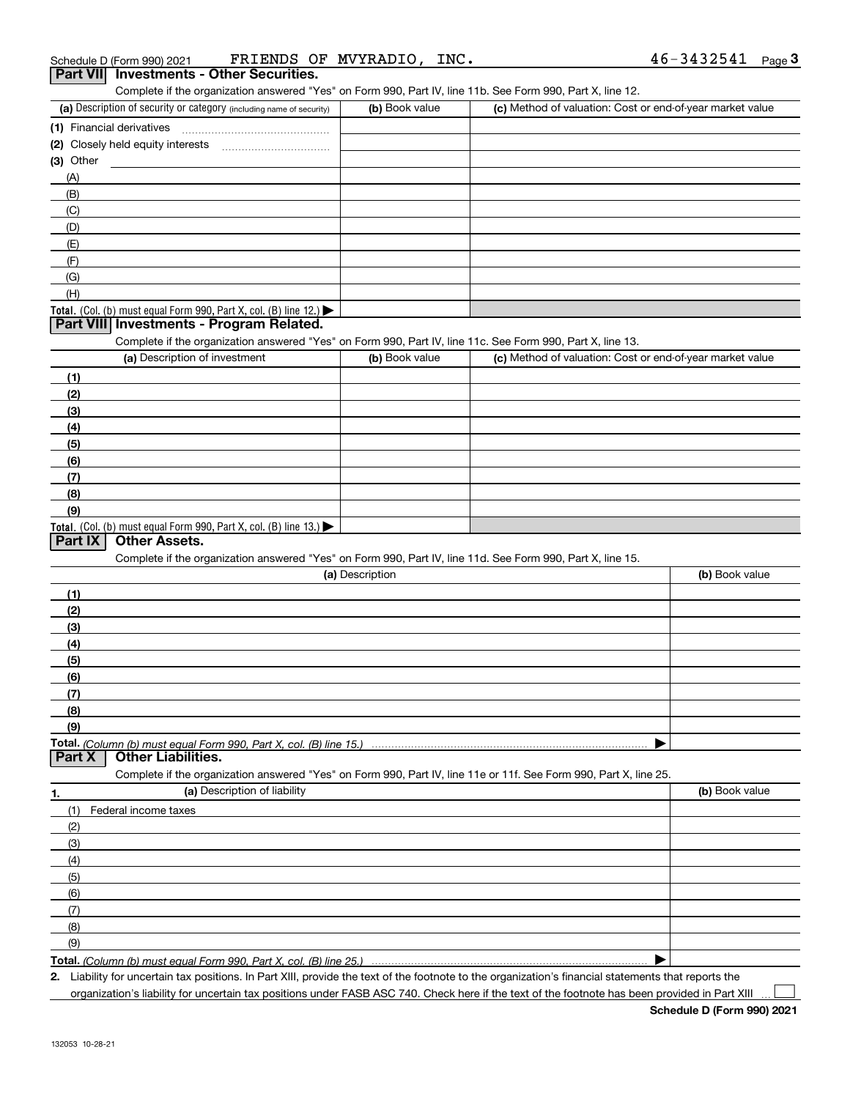|                                   | (1) Financial derivatives                                                                                  |                 |                                                                                                                   |                |
|-----------------------------------|------------------------------------------------------------------------------------------------------------|-----------------|-------------------------------------------------------------------------------------------------------------------|----------------|
| (2) Closely held equity interests |                                                                                                            |                 |                                                                                                                   |                |
| $(3)$ Other                       |                                                                                                            |                 |                                                                                                                   |                |
| (A)                               |                                                                                                            |                 |                                                                                                                   |                |
| (B)                               |                                                                                                            |                 |                                                                                                                   |                |
| (C)                               |                                                                                                            |                 |                                                                                                                   |                |
| (D)                               |                                                                                                            |                 |                                                                                                                   |                |
| (E)                               |                                                                                                            |                 |                                                                                                                   |                |
| (F)                               |                                                                                                            |                 |                                                                                                                   |                |
| (G)                               |                                                                                                            |                 |                                                                                                                   |                |
| (H)                               |                                                                                                            |                 |                                                                                                                   |                |
|                                   | Total. (Col. (b) must equal Form 990, Part X, col. (B) line 12.)                                           |                 |                                                                                                                   |                |
|                                   | Part VIII Investments - Program Related.                                                                   |                 |                                                                                                                   |                |
|                                   | Complete if the organization answered "Yes" on Form 990, Part IV, line 11c. See Form 990, Part X, line 13. |                 |                                                                                                                   |                |
|                                   | (a) Description of investment                                                                              | (b) Book value  | (c) Method of valuation: Cost or end-of-year market value                                                         |                |
| (1)                               |                                                                                                            |                 |                                                                                                                   |                |
| (2)                               |                                                                                                            |                 |                                                                                                                   |                |
| (3)                               |                                                                                                            |                 |                                                                                                                   |                |
| (4)                               |                                                                                                            |                 |                                                                                                                   |                |
|                                   |                                                                                                            |                 |                                                                                                                   |                |
| (5)                               |                                                                                                            |                 |                                                                                                                   |                |
| (6)                               |                                                                                                            |                 |                                                                                                                   |                |
| (7)                               |                                                                                                            |                 |                                                                                                                   |                |
| (8)                               |                                                                                                            |                 |                                                                                                                   |                |
| (9)                               |                                                                                                            |                 |                                                                                                                   |                |
| <b>Part IX</b>                    | Total. (Col. (b) must equal Form 990, Part X, col. (B) line 13.)<br><b>Other Assets.</b>                   |                 |                                                                                                                   |                |
|                                   |                                                                                                            |                 |                                                                                                                   |                |
|                                   | Complete if the organization answered "Yes" on Form 990, Part IV, line 11d. See Form 990, Part X, line 15. |                 |                                                                                                                   |                |
|                                   |                                                                                                            | (a) Description |                                                                                                                   | (b) Book value |
| (1)                               |                                                                                                            |                 |                                                                                                                   |                |
| (2)                               |                                                                                                            |                 |                                                                                                                   |                |
| (3)                               |                                                                                                            |                 |                                                                                                                   |                |
| (4)                               |                                                                                                            |                 |                                                                                                                   |                |
| (5)                               |                                                                                                            |                 |                                                                                                                   |                |
| (6)                               |                                                                                                            |                 |                                                                                                                   |                |
| (7)                               |                                                                                                            |                 |                                                                                                                   |                |
| (8)                               |                                                                                                            |                 |                                                                                                                   |                |
|                                   |                                                                                                            |                 |                                                                                                                   |                |
| (9)                               |                                                                                                            |                 |                                                                                                                   |                |
|                                   |                                                                                                            |                 |                                                                                                                   |                |
| Part X                            | Total. (Column (b) must equal Form 990, Part X, col. (B) line 15.)<br><b>Other Liabilities.</b>            |                 |                                                                                                                   |                |
|                                   |                                                                                                            |                 | Complete if the organization answered "Yes" on Form 990, Part IV, line 11e or 11f. See Form 990, Part X, line 25. |                |
| 1.                                | (a) Description of liability                                                                               |                 |                                                                                                                   | (b) Book value |
|                                   |                                                                                                            |                 |                                                                                                                   |                |
| (1)                               | Federal income taxes                                                                                       |                 |                                                                                                                   |                |
| (2)                               |                                                                                                            |                 |                                                                                                                   |                |
| (3)                               |                                                                                                            |                 |                                                                                                                   |                |
| (4)                               |                                                                                                            |                 |                                                                                                                   |                |
| (5)                               |                                                                                                            |                 |                                                                                                                   |                |
| (6)                               |                                                                                                            |                 |                                                                                                                   |                |
| (7)                               |                                                                                                            |                 |                                                                                                                   |                |
| (8)                               |                                                                                                            |                 |                                                                                                                   |                |
| (9)                               | Total. (Column (b) must equal Form 990, Part X, col. (B) line 25.)                                         |                 |                                                                                                                   |                |

**2.** Liability for uncertain tax positions. In Part XIII, provide the text of the footnote to the organization's financial statements that reports the organization's liability for uncertain tax positions under FASB ASC 740. Check here if the text of the footnote has been provided in Part XIII

(a) Description of security or category (including name of security)  $\vert$  (b) Book value  $\vert$  (c)

Complete if the organization answered "Yes" on Form 990, Part IV, line 11b. See Form 990, Part X, line 12.

(b) Book value (c) Method of valuation: Cost or end-of-year market value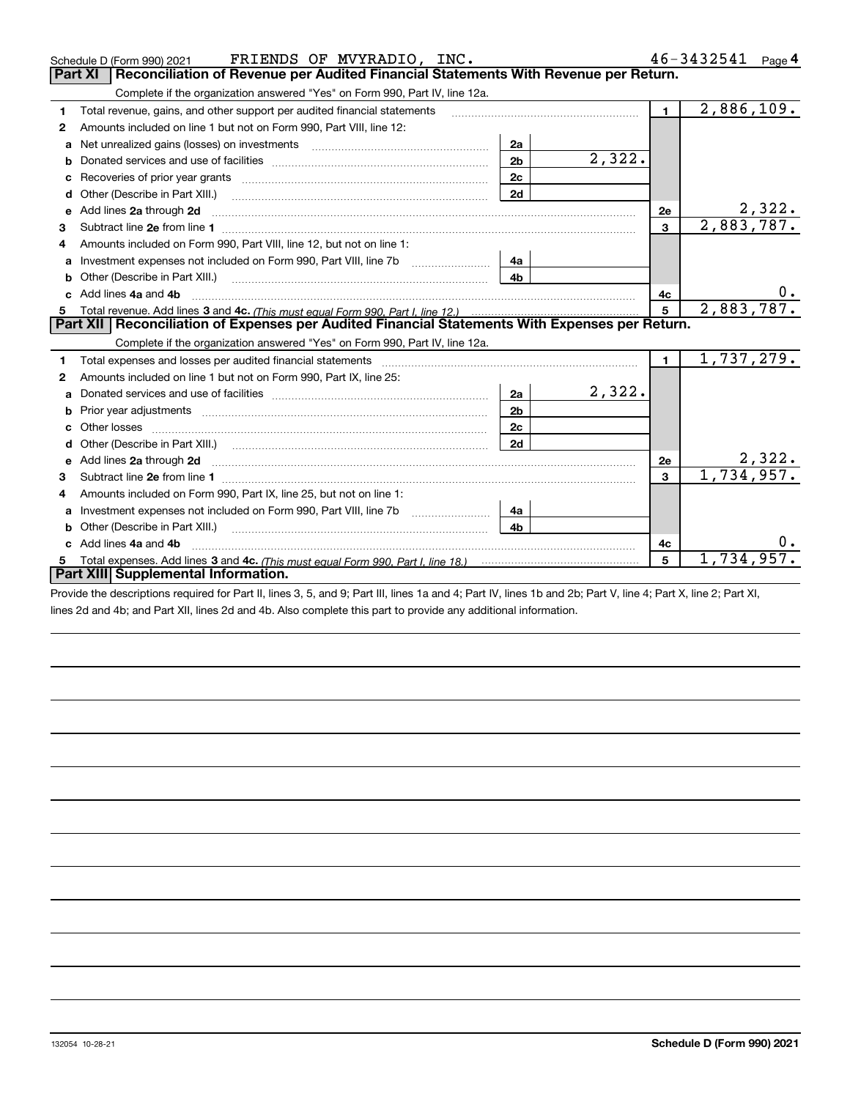|   | FRIENDS OF MVYRADIO, INC.<br>Schedule D (Form 990) 2021                                                                                                                                                                       |                |        |              | $46 - 3432541$ Page 4     |         |
|---|-------------------------------------------------------------------------------------------------------------------------------------------------------------------------------------------------------------------------------|----------------|--------|--------------|---------------------------|---------|
|   | Reconciliation of Revenue per Audited Financial Statements With Revenue per Return.<br><b>Part XI</b>                                                                                                                         |                |        |              |                           |         |
|   | Complete if the organization answered "Yes" on Form 990, Part IV, line 12a.                                                                                                                                                   |                |        |              |                           |         |
| 1 | Total revenue, gains, and other support per audited financial statements                                                                                                                                                      |                |        | $\mathbf 1$  | 2,886,109.                |         |
| 2 | Amounts included on line 1 but not on Form 990, Part VIII, line 12:                                                                                                                                                           |                |        |              |                           |         |
| а |                                                                                                                                                                                                                               | 2a             |        |              |                           |         |
| b |                                                                                                                                                                                                                               | 2 <sub>b</sub> | 2,322. |              |                           |         |
| C |                                                                                                                                                                                                                               | 2c             |        |              |                           |         |
| d | Other (Describe in Part XIII.)                                                                                                                                                                                                | 2d             |        |              |                           |         |
| е | Add lines 2a through 2d                                                                                                                                                                                                       |                |        | <b>2e</b>    | $\frac{2,322}{2,883,787}$ |         |
| 3 | Subtract line 2e from line 1 <b>manufacture in the contract of the 2e</b> from line 1                                                                                                                                         |                |        | 3            |                           |         |
|   | Amounts included on Form 990, Part VIII, line 12, but not on line 1:                                                                                                                                                          |                |        |              |                           |         |
| а | Investment expenses not included on Form 990, Part VIII, line 7b                                                                                                                                                              | 4a             |        |              |                           |         |
| b | Other (Describe in Part XIII.) [100] [100] [100] [100] [100] [100] [100] [100] [100] [100] [100] [100] [100] [                                                                                                                | 4 <sub>h</sub> |        |              |                           |         |
| c | Add lines 4a and 4b                                                                                                                                                                                                           |                |        | 4c           |                           | $0_{.}$ |
| 5 |                                                                                                                                                                                                                               |                |        | 5            | 2,883,787.                |         |
|   | Part XII   Reconciliation of Expenses per Audited Financial Statements With Expenses per Return.                                                                                                                              |                |        |              |                           |         |
|   | Complete if the organization answered "Yes" on Form 990, Part IV, line 12a.                                                                                                                                                   |                |        |              |                           |         |
| 1 | Total expenses and losses per audited financial statements [11, 11] manuscription control expenses and losses per audited financial statements [11] manuscription of the statements [11] manuscription of the statements [11] |                |        | $\mathbf{1}$ | 1,737,279.                |         |
| 2 | Amounts included on line 1 but not on Form 990, Part IX, line 25:                                                                                                                                                             |                |        |              |                           |         |
| a |                                                                                                                                                                                                                               | 2a             | 2,322. |              |                           |         |
| b | Prior year adjustments www.communication.com/www.communication.com/www.com/                                                                                                                                                   | 2 <sub>b</sub> |        |              |                           |         |
| c |                                                                                                                                                                                                                               | 2c             |        |              |                           |         |
| d |                                                                                                                                                                                                                               | 2d             |        |              |                           |         |
| е | Add lines 2a through 2d                                                                                                                                                                                                       |                |        | 2e           |                           | 2,322.  |
| 3 |                                                                                                                                                                                                                               |                |        | $\mathbf{3}$ | 1,734,957.                |         |
| 4 | Amounts included on Form 990, Part IX, line 25, but not on line 1:                                                                                                                                                            |                |        |              |                           |         |
| a |                                                                                                                                                                                                                               | 4a             |        |              |                           |         |
|   | Other (Describe in Part XIII.)                                                                                                                                                                                                | 4 <sub>b</sub> |        |              |                           |         |
|   | Add lines 4a and 4b                                                                                                                                                                                                           |                |        | 4c           |                           |         |
|   |                                                                                                                                                                                                                               |                |        | 5            | 1,734,957.                |         |
|   | Part XIII Supplemental Information.                                                                                                                                                                                           |                |        |              |                           |         |

Provide the descriptions required for Part II, lines 3, 5, and 9; Part III, lines 1a and 4; Part IV, lines 1b and 2b; Part V, line 4; Part X, line 2; Part XI, lines 2d and 4b; and Part XII, lines 2d and 4b. Also complete this part to provide any additional information.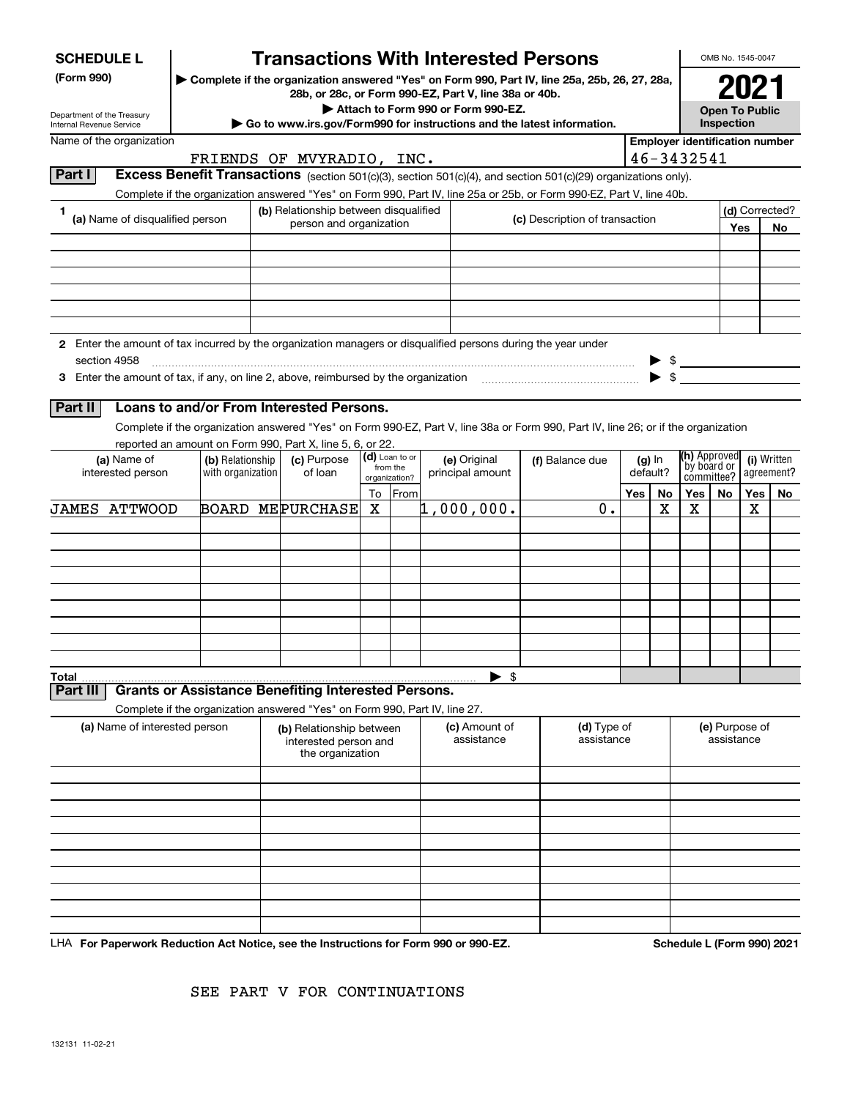| <b>SCHEDULE L</b>          |                                                                                                                                                                                                                                                                                                                                                                                                                                                                                                                                                                                                                                                                                                                                                                                                                                                                                                                                                                                                                                                                                                                                                                                                                                                  |  |                       |  |  |  |  |  |  |            |                           |
|----------------------------|--------------------------------------------------------------------------------------------------------------------------------------------------------------------------------------------------------------------------------------------------------------------------------------------------------------------------------------------------------------------------------------------------------------------------------------------------------------------------------------------------------------------------------------------------------------------------------------------------------------------------------------------------------------------------------------------------------------------------------------------------------------------------------------------------------------------------------------------------------------------------------------------------------------------------------------------------------------------------------------------------------------------------------------------------------------------------------------------------------------------------------------------------------------------------------------------------------------------------------------------------|--|-----------------------|--|--|--|--|--|--|------------|---------------------------|
| (Form 990)                 |                                                                                                                                                                                                                                                                                                                                                                                                                                                                                                                                                                                                                                                                                                                                                                                                                                                                                                                                                                                                                                                                                                                                                                                                                                                  |  |                       |  |  |  |  |  |  |            |                           |
| Department of the Treasury | <b>Transactions With Interested Persons</b><br>28b, or 28c, or Form 990-EZ, Part V, line 38a or 40b.<br>Attach to Form 990 or Form 990-EZ.<br>$\triangleright$ Go to www.irs.gov/Form990 for instructions and the latest information.<br>FRIENDS OF MVYRADIO, INC.<br>(b) Relationship between disqualified<br>(c) Description of transaction<br>person and organization<br>Loans to and/or From Interested Persons.<br>reported an amount on Form 990, Part X, line 5, 6, or 22.<br>(d) Loan to or<br>(c) Purpose<br>(b) Relationship<br>(e) Original<br>(f) Balance due<br>(g) In<br>from the<br>with organization<br>of loan<br>principal amount<br>organization?<br>To From<br>Yes<br><b>BOARD MEPURCHASE</b><br>1,000,000.<br>х<br>Ο.<br>$\blacktriangleright$ \$<br><b>Grants or Assistance Benefiting Interested Persons.</b><br>Complete if the organization answered "Yes" on Form 990, Part IV, line 27.<br>(c) Amount of<br>(d) Type of<br>(b) Relationship between<br>assistance<br>assistance<br>interested person and<br>the organization                                                                                                                                                                                          |  | <b>Open To Public</b> |  |  |  |  |  |  |            |                           |
| Name of the organization   |                                                                                                                                                                                                                                                                                                                                                                                                                                                                                                                                                                                                                                                                                                                                                                                                                                                                                                                                                                                                                                                                                                                                                                                                                                                  |  |                       |  |  |  |  |  |  |            |                           |
|                            |                                                                                                                                                                                                                                                                                                                                                                                                                                                                                                                                                                                                                                                                                                                                                                                                                                                                                                                                                                                                                                                                                                                                                                                                                                                  |  |                       |  |  |  |  |  |  |            |                           |
| Part I                     |                                                                                                                                                                                                                                                                                                                                                                                                                                                                                                                                                                                                                                                                                                                                                                                                                                                                                                                                                                                                                                                                                                                                                                                                                                                  |  |                       |  |  |  |  |  |  |            |                           |
|                            |                                                                                                                                                                                                                                                                                                                                                                                                                                                                                                                                                                                                                                                                                                                                                                                                                                                                                                                                                                                                                                                                                                                                                                                                                                                  |  |                       |  |  |  |  |  |  |            |                           |
| 1                          |                                                                                                                                                                                                                                                                                                                                                                                                                                                                                                                                                                                                                                                                                                                                                                                                                                                                                                                                                                                                                                                                                                                                                                                                                                                  |  |                       |  |  |  |  |  |  |            | No                        |
|                            |                                                                                                                                                                                                                                                                                                                                                                                                                                                                                                                                                                                                                                                                                                                                                                                                                                                                                                                                                                                                                                                                                                                                                                                                                                                  |  |                       |  |  |  |  |  |  |            |                           |
|                            |                                                                                                                                                                                                                                                                                                                                                                                                                                                                                                                                                                                                                                                                                                                                                                                                                                                                                                                                                                                                                                                                                                                                                                                                                                                  |  |                       |  |  |  |  |  |  |            |                           |
|                            |                                                                                                                                                                                                                                                                                                                                                                                                                                                                                                                                                                                                                                                                                                                                                                                                                                                                                                                                                                                                                                                                                                                                                                                                                                                  |  |                       |  |  |  |  |  |  |            |                           |
|                            |                                                                                                                                                                                                                                                                                                                                                                                                                                                                                                                                                                                                                                                                                                                                                                                                                                                                                                                                                                                                                                                                                                                                                                                                                                                  |  |                       |  |  |  |  |  |  |            |                           |
|                            |                                                                                                                                                                                                                                                                                                                                                                                                                                                                                                                                                                                                                                                                                                                                                                                                                                                                                                                                                                                                                                                                                                                                                                                                                                                  |  |                       |  |  |  |  |  |  |            |                           |
|                            |                                                                                                                                                                                                                                                                                                                                                                                                                                                                                                                                                                                                                                                                                                                                                                                                                                                                                                                                                                                                                                                                                                                                                                                                                                                  |  |                       |  |  |  |  |  |  |            |                           |
| section 4958               |                                                                                                                                                                                                                                                                                                                                                                                                                                                                                                                                                                                                                                                                                                                                                                                                                                                                                                                                                                                                                                                                                                                                                                                                                                                  |  |                       |  |  |  |  |  |  |            |                           |
|                            |                                                                                                                                                                                                                                                                                                                                                                                                                                                                                                                                                                                                                                                                                                                                                                                                                                                                                                                                                                                                                                                                                                                                                                                                                                                  |  |                       |  |  |  |  |  |  |            |                           |
| Part II                    |                                                                                                                                                                                                                                                                                                                                                                                                                                                                                                                                                                                                                                                                                                                                                                                                                                                                                                                                                                                                                                                                                                                                                                                                                                                  |  |                       |  |  |  |  |  |  |            |                           |
|                            |                                                                                                                                                                                                                                                                                                                                                                                                                                                                                                                                                                                                                                                                                                                                                                                                                                                                                                                                                                                                                                                                                                                                                                                                                                                  |  |                       |  |  |  |  |  |  |            |                           |
|                            |                                                                                                                                                                                                                                                                                                                                                                                                                                                                                                                                                                                                                                                                                                                                                                                                                                                                                                                                                                                                                                                                                                                                                                                                                                                  |  |                       |  |  |  |  |  |  |            |                           |
| (a) Name of                |                                                                                                                                                                                                                                                                                                                                                                                                                                                                                                                                                                                                                                                                                                                                                                                                                                                                                                                                                                                                                                                                                                                                                                                                                                                  |  |                       |  |  |  |  |  |  |            | (i) Written<br>agreement? |
|                            |                                                                                                                                                                                                                                                                                                                                                                                                                                                                                                                                                                                                                                                                                                                                                                                                                                                                                                                                                                                                                                                                                                                                                                                                                                                  |  |                       |  |  |  |  |  |  |            |                           |
|                            |                                                                                                                                                                                                                                                                                                                                                                                                                                                                                                                                                                                                                                                                                                                                                                                                                                                                                                                                                                                                                                                                                                                                                                                                                                                  |  |                       |  |  |  |  |  |  | Yes  <br>Х | No                        |
|                            |                                                                                                                                                                                                                                                                                                                                                                                                                                                                                                                                                                                                                                                                                                                                                                                                                                                                                                                                                                                                                                                                                                                                                                                                                                                  |  |                       |  |  |  |  |  |  |            |                           |
|                            |                                                                                                                                                                                                                                                                                                                                                                                                                                                                                                                                                                                                                                                                                                                                                                                                                                                                                                                                                                                                                                                                                                                                                                                                                                                  |  |                       |  |  |  |  |  |  |            |                           |
|                            |                                                                                                                                                                                                                                                                                                                                                                                                                                                                                                                                                                                                                                                                                                                                                                                                                                                                                                                                                                                                                                                                                                                                                                                                                                                  |  |                       |  |  |  |  |  |  |            |                           |
|                            |                                                                                                                                                                                                                                                                                                                                                                                                                                                                                                                                                                                                                                                                                                                                                                                                                                                                                                                                                                                                                                                                                                                                                                                                                                                  |  |                       |  |  |  |  |  |  |            |                           |
|                            |                                                                                                                                                                                                                                                                                                                                                                                                                                                                                                                                                                                                                                                                                                                                                                                                                                                                                                                                                                                                                                                                                                                                                                                                                                                  |  |                       |  |  |  |  |  |  |            |                           |
|                            |                                                                                                                                                                                                                                                                                                                                                                                                                                                                                                                                                                                                                                                                                                                                                                                                                                                                                                                                                                                                                                                                                                                                                                                                                                                  |  |                       |  |  |  |  |  |  |            |                           |
|                            |                                                                                                                                                                                                                                                                                                                                                                                                                                                                                                                                                                                                                                                                                                                                                                                                                                                                                                                                                                                                                                                                                                                                                                                                                                                  |  |                       |  |  |  |  |  |  |            |                           |
|                            |                                                                                                                                                                                                                                                                                                                                                                                                                                                                                                                                                                                                                                                                                                                                                                                                                                                                                                                                                                                                                                                                                                                                                                                                                                                  |  |                       |  |  |  |  |  |  |            |                           |
| <b>Total</b><br>Part III   |                                                                                                                                                                                                                                                                                                                                                                                                                                                                                                                                                                                                                                                                                                                                                                                                                                                                                                                                                                                                                                                                                                                                                                                                                                                  |  |                       |  |  |  |  |  |  |            |                           |
|                            |                                                                                                                                                                                                                                                                                                                                                                                                                                                                                                                                                                                                                                                                                                                                                                                                                                                                                                                                                                                                                                                                                                                                                                                                                                                  |  |                       |  |  |  |  |  |  |            |                           |
|                            |                                                                                                                                                                                                                                                                                                                                                                                                                                                                                                                                                                                                                                                                                                                                                                                                                                                                                                                                                                                                                                                                                                                                                                                                                                                  |  |                       |  |  |  |  |  |  |            |                           |
|                            |                                                                                                                                                                                                                                                                                                                                                                                                                                                                                                                                                                                                                                                                                                                                                                                                                                                                                                                                                                                                                                                                                                                                                                                                                                                  |  |                       |  |  |  |  |  |  |            |                           |
|                            |                                                                                                                                                                                                                                                                                                                                                                                                                                                                                                                                                                                                                                                                                                                                                                                                                                                                                                                                                                                                                                                                                                                                                                                                                                                  |  |                       |  |  |  |  |  |  |            |                           |
|                            |                                                                                                                                                                                                                                                                                                                                                                                                                                                                                                                                                                                                                                                                                                                                                                                                                                                                                                                                                                                                                                                                                                                                                                                                                                                  |  |                       |  |  |  |  |  |  |            |                           |
|                            |                                                                                                                                                                                                                                                                                                                                                                                                                                                                                                                                                                                                                                                                                                                                                                                                                                                                                                                                                                                                                                                                                                                                                                                                                                                  |  |                       |  |  |  |  |  |  |            |                           |
|                            |                                                                                                                                                                                                                                                                                                                                                                                                                                                                                                                                                                                                                                                                                                                                                                                                                                                                                                                                                                                                                                                                                                                                                                                                                                                  |  |                       |  |  |  |  |  |  |            |                           |
|                            |                                                                                                                                                                                                                                                                                                                                                                                                                                                                                                                                                                                                                                                                                                                                                                                                                                                                                                                                                                                                                                                                                                                                                                                                                                                  |  |                       |  |  |  |  |  |  |            |                           |
|                            |                                                                                                                                                                                                                                                                                                                                                                                                                                                                                                                                                                                                                                                                                                                                                                                                                                                                                                                                                                                                                                                                                                                                                                                                                                                  |  |                       |  |  |  |  |  |  |            |                           |
|                            | OMB No. 1545-0047<br>Complete if the organization answered "Yes" on Form 990, Part IV, line 25a, 25b, 26, 27, 28a,<br>Inspection<br>Internal Revenue Service<br><b>Employer identification number</b><br>46-3432541<br><b>Excess Benefit Transactions</b> (section 501(c)(3), section 501(c)(4), and section 501(c)(29) organizations only).<br>Complete if the organization answered "Yes" on Form 990, Part IV, line 25a or 25b, or Form 990-EZ, Part V, line 40b.<br>(d) Corrected?<br>(a) Name of disqualified person<br>Yes<br>2 Enter the amount of tax incurred by the organization managers or disqualified persons during the year under<br>$\triangleright$ \$<br>3 Enter the amount of tax, if any, on line 2, above, reimbursed by the organization match match contains an extendion match of tax, if any, on line 2, above, reimbursed by the organization<br>$\blacktriangleright$ \$<br>Complete if the organization answered "Yes" on Form 990-EZ, Part V, line 38a or Form 990, Part IV, line 26; or if the organization<br>(h) Approved<br>by board or<br>interested person<br>default?<br>committee?<br>No<br>Yes  <br>No<br><b>JAMES ATTWOOD</b><br>x<br>х<br>(a) Name of interested person<br>(e) Purpose of<br>assistance |  |                       |  |  |  |  |  |  |            |                           |
|                            |                                                                                                                                                                                                                                                                                                                                                                                                                                                                                                                                                                                                                                                                                                                                                                                                                                                                                                                                                                                                                                                                                                                                                                                                                                                  |  |                       |  |  |  |  |  |  |            |                           |

**For Paperwork Reduction Act Notice, see the Instructions for Form 990 or 990-EZ. Schedule L (Form 990) 2021** LHA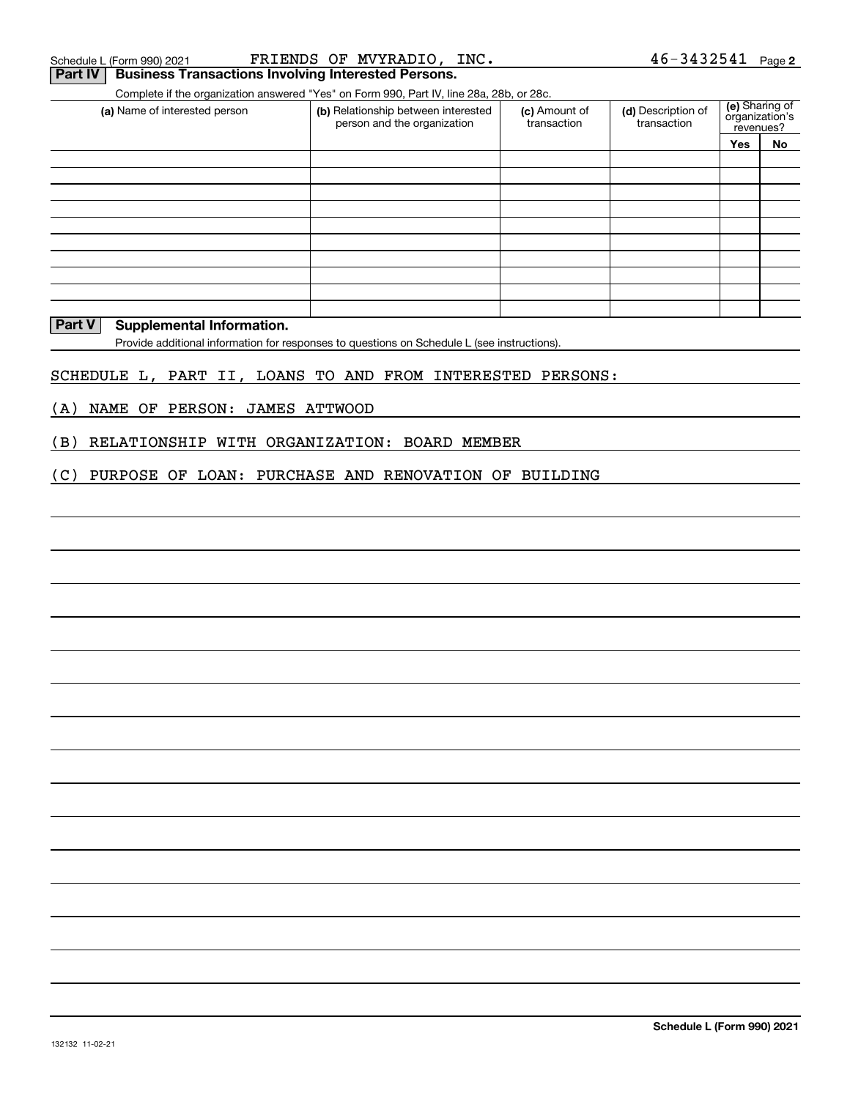|  | Schedule L (Form 990) 2021 |  |
|--|----------------------------|--|
|  |                            |  |

Schedule L (Form 990) 2021 FRIENDS OF MVYRADIO , INC • 46-3432541 Page **Part IV Business Transactions Involving Interested Persons.** 

Complete if the organization answered "Yes" on Form 990, Part IV, line 28a, 28b, or 28c.

| (a) Name of interested person | (b) Relationship between interested<br>person and the organization | (c) Amount of<br>transaction | (d) Description of<br>transaction |     | (e) Sharing of<br>organization's<br>revenues? |
|-------------------------------|--------------------------------------------------------------------|------------------------------|-----------------------------------|-----|-----------------------------------------------|
|                               |                                                                    |                              |                                   | Yes | No                                            |
|                               |                                                                    |                              |                                   |     |                                               |
|                               |                                                                    |                              |                                   |     |                                               |
|                               |                                                                    |                              |                                   |     |                                               |
|                               |                                                                    |                              |                                   |     |                                               |
|                               |                                                                    |                              |                                   |     |                                               |
|                               |                                                                    |                              |                                   |     |                                               |
|                               |                                                                    |                              |                                   |     |                                               |
|                               |                                                                    |                              |                                   |     |                                               |
|                               |                                                                    |                              |                                   |     |                                               |
|                               |                                                                    |                              |                                   |     |                                               |

### **Part V** Supplemental Information.

Provide additional information for responses to questions on Schedule L (see instructions).

#### SCHEDULE L, PART II, LOANS TO AND FROM INTERESTED PERSONS:

(A) NAME OF PERSON: JAMES ATTWOOD

(B) RELATIONSHIP WITH ORGANIZATION: BOARD MEMBER

(C) PURPOSE OF LOAN: PURCHASE AND RENOVATION OF BUILDING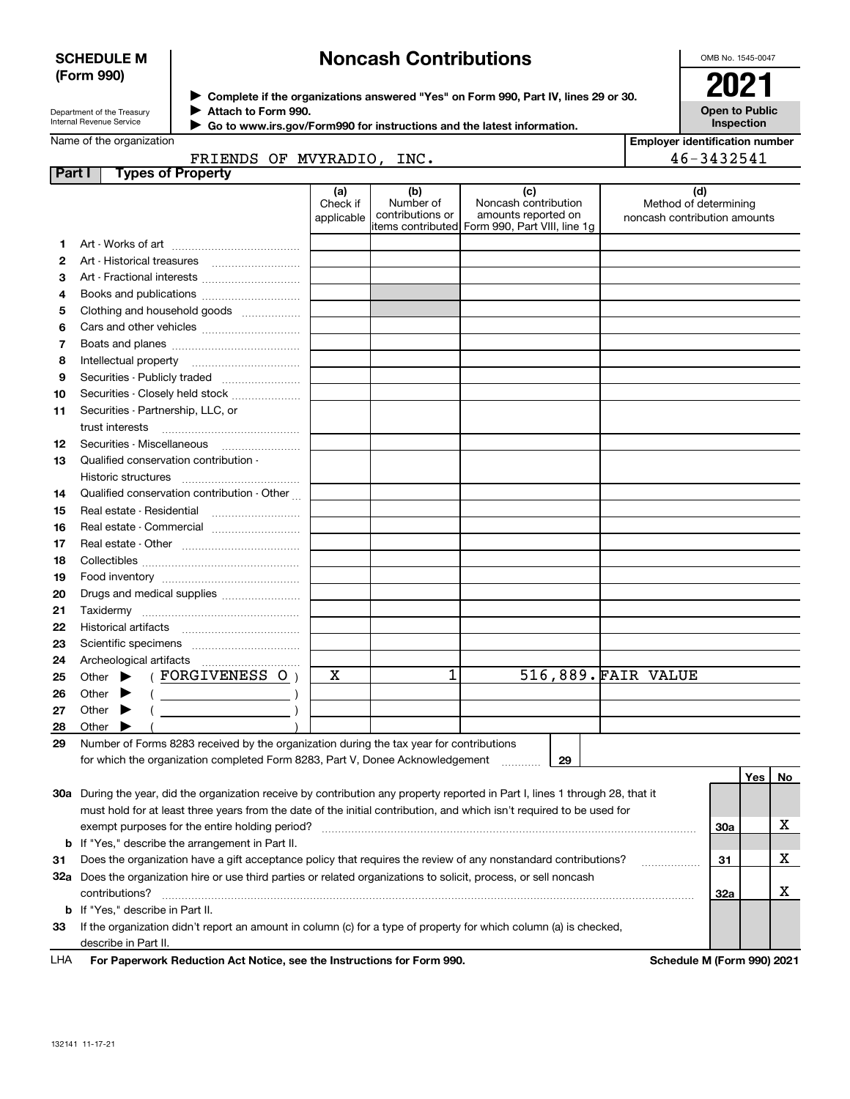### **SCHEDULE M (Form 990)**

# **Noncash Contributions**

OMB No. 1545-0047

**Open to Public Inspection**

| Department of the Treasury      |
|---------------------------------|
| <b>Internal Revenue Service</b> |

**Complete if the organizations answered "Yes" on Form 990, Part IV, lines 29 or 30.** <sup>J</sup>**2021 Attach to Form 990.** J

 **Go to www.irs.gov/Form990 for instructions and the latest information.** J

|  | Name of the organization |  |
|--|--------------------------|--|

| loyer identification numbe |  |
|----------------------------|--|

|        | Name of the organization                                                                                                                                                                                                                                                                                                                                                                                                   |                               |                                      |                                                                                                       | <b>Employer identification number</b>                        |            |           |
|--------|----------------------------------------------------------------------------------------------------------------------------------------------------------------------------------------------------------------------------------------------------------------------------------------------------------------------------------------------------------------------------------------------------------------------------|-------------------------------|--------------------------------------|-------------------------------------------------------------------------------------------------------|--------------------------------------------------------------|------------|-----------|
|        | FRIENDS OF MVYRADIO, INC.                                                                                                                                                                                                                                                                                                                                                                                                  |                               |                                      |                                                                                                       |                                                              | 46-3432541 |           |
| Part I | <b>Types of Property</b>                                                                                                                                                                                                                                                                                                                                                                                                   | (a)<br>Check if<br>applicable | (b)<br>Number of<br>contributions or | (c)<br>Noncash contribution<br>amounts reported on<br>items contributed  Form 990, Part VIII, line 1g | (d)<br>Method of determining<br>noncash contribution amounts |            |           |
| 1      |                                                                                                                                                                                                                                                                                                                                                                                                                            |                               |                                      |                                                                                                       |                                                              |            |           |
| 2      |                                                                                                                                                                                                                                                                                                                                                                                                                            |                               |                                      |                                                                                                       |                                                              |            |           |
| З      | Art - Fractional interests                                                                                                                                                                                                                                                                                                                                                                                                 |                               |                                      |                                                                                                       |                                                              |            |           |
| 4      |                                                                                                                                                                                                                                                                                                                                                                                                                            |                               |                                      |                                                                                                       |                                                              |            |           |
| 5      | Clothing and household goods                                                                                                                                                                                                                                                                                                                                                                                               |                               |                                      |                                                                                                       |                                                              |            |           |
| 6      | Cars and other vehicles                                                                                                                                                                                                                                                                                                                                                                                                    |                               |                                      |                                                                                                       |                                                              |            |           |
| 7      |                                                                                                                                                                                                                                                                                                                                                                                                                            |                               |                                      |                                                                                                       |                                                              |            |           |
| 8      |                                                                                                                                                                                                                                                                                                                                                                                                                            |                               |                                      |                                                                                                       |                                                              |            |           |
| 9      | Securities - Publicly traded                                                                                                                                                                                                                                                                                                                                                                                               |                               |                                      |                                                                                                       |                                                              |            |           |
| 10     | Securities - Closely held stock                                                                                                                                                                                                                                                                                                                                                                                            |                               |                                      |                                                                                                       |                                                              |            |           |
| 11     | Securities - Partnership, LLC, or                                                                                                                                                                                                                                                                                                                                                                                          |                               |                                      |                                                                                                       |                                                              |            |           |
|        | trust interests                                                                                                                                                                                                                                                                                                                                                                                                            |                               |                                      |                                                                                                       |                                                              |            |           |
| 12     |                                                                                                                                                                                                                                                                                                                                                                                                                            |                               |                                      |                                                                                                       |                                                              |            |           |
| 13     | Qualified conservation contribution -                                                                                                                                                                                                                                                                                                                                                                                      |                               |                                      |                                                                                                       |                                                              |            |           |
|        | Historic structures<br>                                                                                                                                                                                                                                                                                                                                                                                                    |                               |                                      |                                                                                                       |                                                              |            |           |
| 14     | Qualified conservation contribution - Other                                                                                                                                                                                                                                                                                                                                                                                |                               |                                      |                                                                                                       |                                                              |            |           |
| 15     | Real estate - Residential                                                                                                                                                                                                                                                                                                                                                                                                  |                               |                                      |                                                                                                       |                                                              |            |           |
| 16     | Real estate - Commercial                                                                                                                                                                                                                                                                                                                                                                                                   |                               |                                      |                                                                                                       |                                                              |            |           |
| 17     |                                                                                                                                                                                                                                                                                                                                                                                                                            |                               |                                      |                                                                                                       |                                                              |            |           |
| 18     |                                                                                                                                                                                                                                                                                                                                                                                                                            |                               |                                      |                                                                                                       |                                                              |            |           |
| 19     |                                                                                                                                                                                                                                                                                                                                                                                                                            |                               |                                      |                                                                                                       |                                                              |            |           |
| 20     | Drugs and medical supplies                                                                                                                                                                                                                                                                                                                                                                                                 |                               |                                      |                                                                                                       |                                                              |            |           |
| 21     | Taxidermy                                                                                                                                                                                                                                                                                                                                                                                                                  |                               |                                      |                                                                                                       |                                                              |            |           |
| 22     |                                                                                                                                                                                                                                                                                                                                                                                                                            |                               |                                      |                                                                                                       |                                                              |            |           |
| 23     |                                                                                                                                                                                                                                                                                                                                                                                                                            |                               |                                      |                                                                                                       |                                                              |            |           |
| 24     |                                                                                                                                                                                                                                                                                                                                                                                                                            |                               |                                      |                                                                                                       |                                                              |            |           |
| 25     | Other $\blacktriangleright$ (FORGIVENESS O)                                                                                                                                                                                                                                                                                                                                                                                | х                             | 1                                    |                                                                                                       | 516,889. FAIR VALUE                                          |            |           |
| 26     | Other $\blacktriangleright$<br>$($ $)$                                                                                                                                                                                                                                                                                                                                                                                     |                               |                                      |                                                                                                       |                                                              |            |           |
| 27     | $\left(\begin{array}{ccc} \rule{0pt}{2.5ex} & \rule{0pt}{2.5ex} & \rule{0pt}{2.5ex} & \rule{0pt}{2.5ex} & \rule{0pt}{2.5ex} & \rule{0pt}{2.5ex} & \rule{0pt}{2.5ex} & \rule{0pt}{2.5ex} & \rule{0pt}{2.5ex} & \rule{0pt}{2.5ex} & \rule{0pt}{2.5ex} & \rule{0pt}{2.5ex} & \rule{0pt}{2.5ex} & \rule{0pt}{2.5ex} & \rule{0pt}{2.5ex} & \rule{0pt}{2.5ex} & \rule{0pt}{2.5ex} & \rule{0pt}{2$<br>Other $\blacktriangleright$ |                               |                                      |                                                                                                       |                                                              |            |           |
| 28     | Other                                                                                                                                                                                                                                                                                                                                                                                                                      |                               |                                      |                                                                                                       |                                                              |            |           |
| 29     | Number of Forms 8283 received by the organization during the tax year for contributions<br>for which the organization completed Form 8283, Part V, Donee Acknowledgement                                                                                                                                                                                                                                                   |                               |                                      |                                                                                                       |                                                              |            |           |
|        |                                                                                                                                                                                                                                                                                                                                                                                                                            |                               |                                      | 29                                                                                                    |                                                              |            | Yes<br>No |
|        | 30a During the year, did the organization receive by contribution any property reported in Part I, lines 1 through 28, that it                                                                                                                                                                                                                                                                                             |                               |                                      |                                                                                                       |                                                              |            |           |
|        | must hold for at least three years from the date of the initial contribution, and which isn't required to be used for                                                                                                                                                                                                                                                                                                      |                               |                                      |                                                                                                       |                                                              |            |           |
|        | exempt purposes for the entire holding period?                                                                                                                                                                                                                                                                                                                                                                             |                               |                                      |                                                                                                       |                                                              | 30a        | X         |
|        | <b>b</b> If "Yes," describe the arrangement in Part II.                                                                                                                                                                                                                                                                                                                                                                    |                               |                                      |                                                                                                       |                                                              |            |           |
| 31     | Does the organization have a gift acceptance policy that requires the review of any nonstandard contributions?                                                                                                                                                                                                                                                                                                             |                               |                                      |                                                                                                       |                                                              | 31         | X         |
|        | 32a Does the organization hire or use third parties or related organizations to solicit, process, or sell noncash                                                                                                                                                                                                                                                                                                          |                               |                                      |                                                                                                       |                                                              |            |           |
|        | contributions?                                                                                                                                                                                                                                                                                                                                                                                                             |                               |                                      |                                                                                                       |                                                              | 32a        | х         |
|        | <b>b</b> If "Yes," describe in Part II.                                                                                                                                                                                                                                                                                                                                                                                    |                               |                                      |                                                                                                       |                                                              |            |           |

**33**If the organization didn't report an amount in column (c) for a type of property for which column (a) is checked, describe in Part II.

**For Paperwork Reduction Act Notice, see the Instructions for Form 990. Schedule M (Form 990) 2021** LHA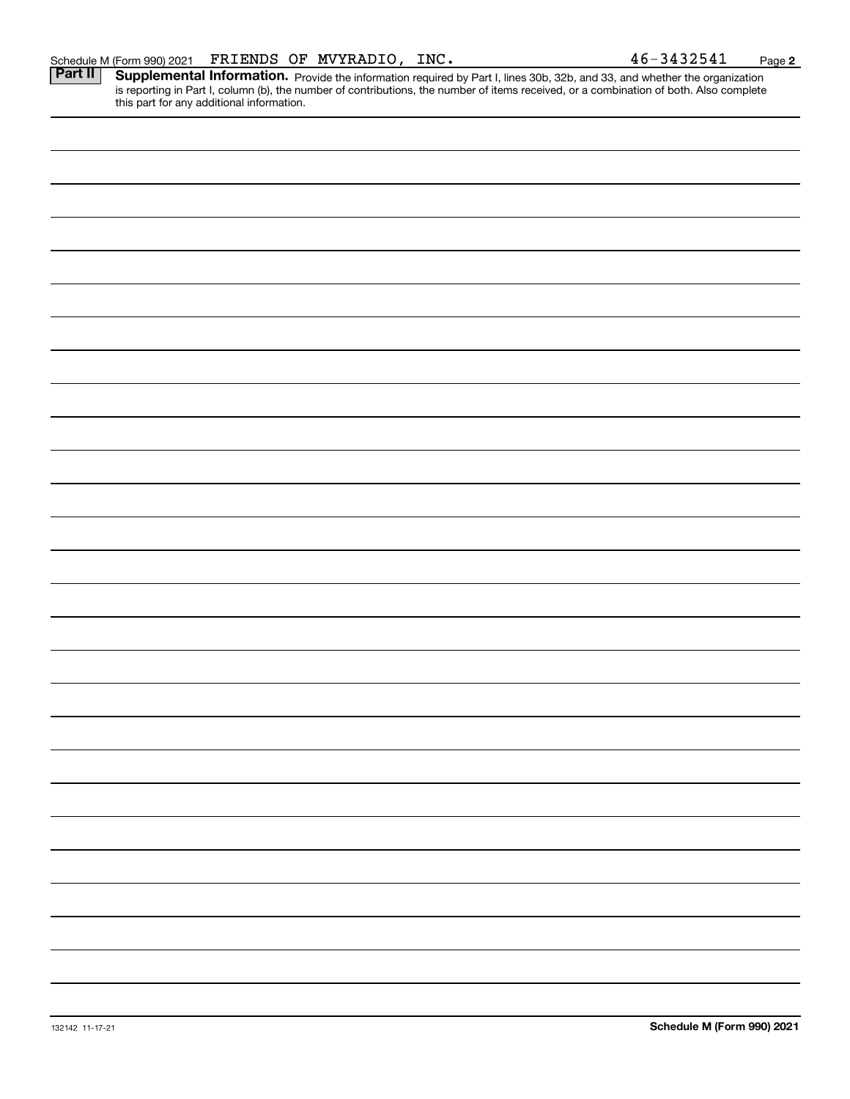Part II | Supplemental Information. Provide the information required by Part I, lines 30b, 32b, and 33, and whether the organization is reporting in Part I, column (b), the number of contributions, the number of items received, or a combination of both. Also complete this part for any additional information.